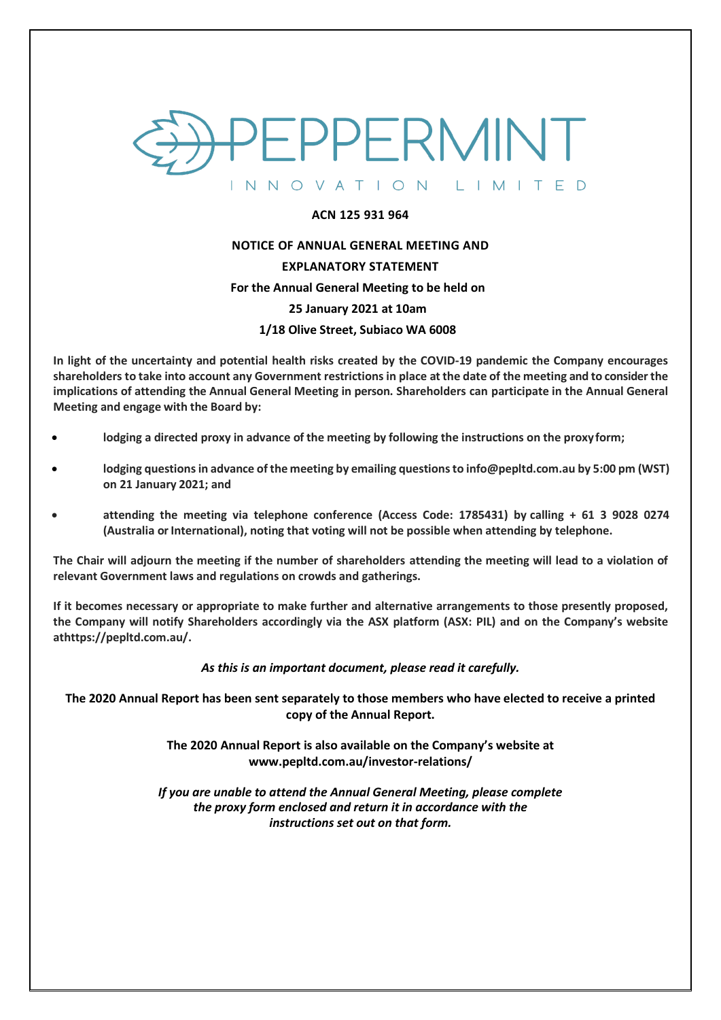

#### **ACN 125 931 964**

#### **NOTICE OF ANNUAL GENERAL MEETING AND**

#### **EXPLANATORY STATEMENT**

#### **For the Annual General Meeting to be held on**

#### **25 January 2021 at 10am**

#### **1/18 Olive Street, Subiaco WA 6008**

**In light of the uncertainty and potential health risks created by the COVID-19 pandemic the Company encourages shareholders to take into account any Government restrictions in place at the date of the meeting and to consider the implications of attending the Annual General Meeting in person. Shareholders can participate in the Annual General Meeting and engage with the Board by:**

- **lodging a directed proxy in advance of the meeting by following the instructions on the proxy form;**
- **lodging questionsin advance of the meeting by emailing questions to info@pepltd.com.a[u](mailto:mvanuffelen@tianpoh.com) by 5:00 pm (WST) on 21 January 2021; and**
- **attending the meeting via telephone conference (Access Code: 1785431) by calling + 61 3 9028 0274 (Australia orInternational), noting that voting will not be possible when attending by telephone.**

**The Chair will adjourn the meeting if the number of shareholders attending the meeting will lead to a violation of relevant Government laws and regulations on crowds and gatherings.**

**If it becomes necessary or appropriate to make further and alternative arrangements to those presently proposed, the Company will notify Shareholders accordingly via the ASX platform (ASX: PIL) and on the Company's website athttps://pepltd.com.au/.** 

#### *As this is an important document, please read it carefully.*

**The 2020 Annual Report has been sent separately to those members who have elected to receive a printed copy of the Annual Report.**

> **The 2020 Annual Report is also available on the Company's website at www.pepltd.com.au/investor-relations/**

*If you are unable to attend the Annual General Meeting, please complete the proxy form enclosed and return it in accordance with the instructions set out on that form.*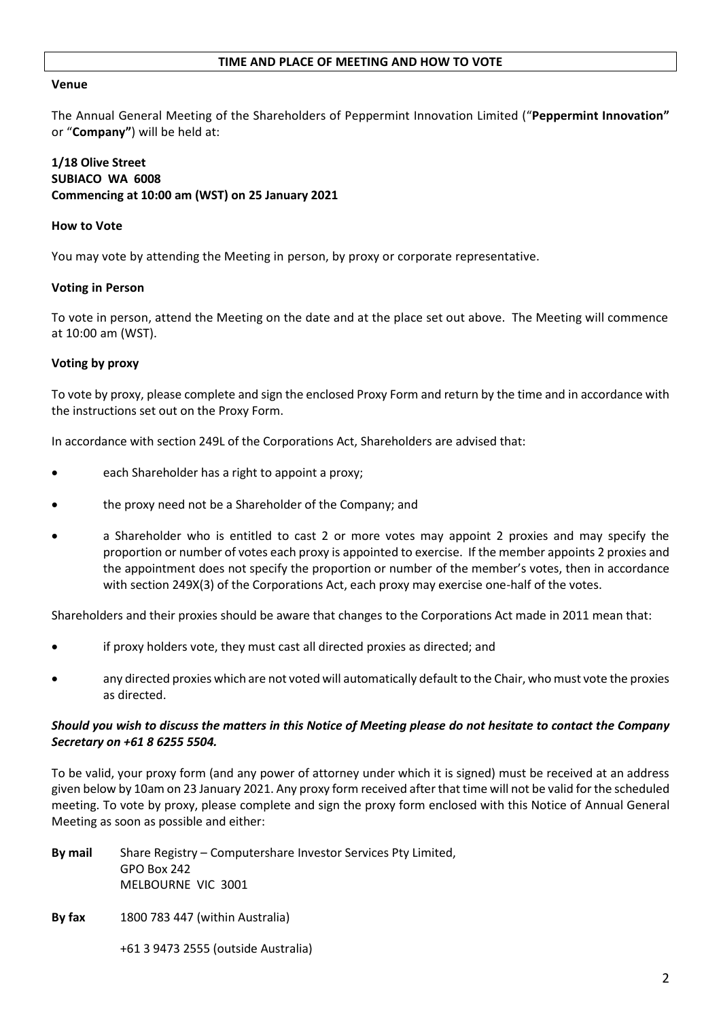#### **TIME AND PLACE OF MEETING AND HOW TO VOTE**

#### **Venue**

The Annual General Meeting of the Shareholders of Peppermint Innovation Limited ("**Peppermint Innovation"** or "**Company"**) will be held at:

# **1/18 Olive Street SUBIACO WA 6008 Commencing at 10:00 am (WST) on 25 January 2021**

#### **How to Vote**

You may vote by attending the Meeting in person, by proxy or corporate representative.

#### **Voting in Person**

To vote in person, attend the Meeting on the date and at the place set out above. The Meeting will commence at 10:00 am (WST).

#### **Voting by proxy**

To vote by proxy, please complete and sign the enclosed Proxy Form and return by the time and in accordance with the instructions set out on the Proxy Form.

In accordance with section 249L of the Corporations Act, Shareholders are advised that:

- each Shareholder has a right to appoint a proxy;
- the proxy need not be a Shareholder of the Company; and
- a Shareholder who is entitled to cast 2 or more votes may appoint 2 proxies and may specify the proportion or number of votes each proxy is appointed to exercise. If the member appoints 2 proxies and the appointment does not specify the proportion or number of the member's votes, then in accordance with section 249X(3) of the Corporations Act, each proxy may exercise one-half of the votes.

Shareholders and their proxies should be aware that changes to the Corporations Act made in 2011 mean that:

- if proxy holders vote, they must cast all directed proxies as directed; and
- any directed proxies which are not voted will automatically default to the Chair, who must vote the proxies as directed.

#### *Should you wish to discuss the matters in this Notice of Meeting please do not hesitate to contact the Company Secretary on +61 8 6255 5504.*

To be valid, your proxy form (and any power of attorney under which it is signed) must be received at an address given below by 10am on 23 January 2021. Any proxy form received after that time will not be valid for the scheduled meeting. To vote by proxy, please complete and sign the proxy form enclosed with this Notice of Annual General Meeting as soon as possible and either:

- **By mail** Share Registry Computershare Investor Services Pty Limited, GPO Box 242 MELBOURNE VIC 3001
- **By fax** 1800 783 447 (within Australia)

+61 3 9473 2555 (outside Australia)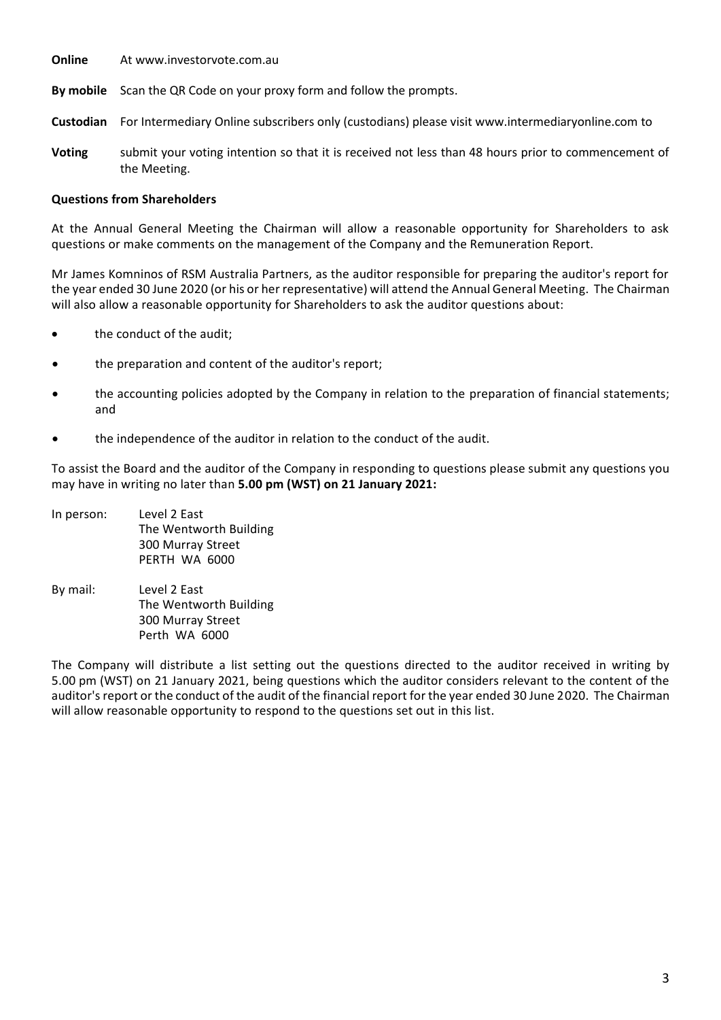- **Online** At [www.investorvote.com.au](http://www.investorvote.com.au/)
- **By mobile** Scan the QR Code on your proxy form and follow the prompts.
- **Custodian** For Intermediary Online subscribers only (custodians) please visit [www.intermediaryonline.com](http://www.intermediaryonline.com/) to
- **Voting** submit your voting intention so that it is received not less than 48 hours prior to commencement of the Meeting.

# **Questions from Shareholders**

At the Annual General Meeting the Chairman will allow a reasonable opportunity for Shareholders to ask questions or make comments on the management of the Company and the Remuneration Report.

Mr James Komninos of RSM Australia Partners, as the auditor responsible for preparing the auditor's report for the year ended 30 June 2020 (or his or her representative) will attend the Annual General Meeting. The Chairman will also allow a reasonable opportunity for Shareholders to ask the auditor questions about:

- the conduct of the audit;
- the preparation and content of the auditor's report;
- the accounting policies adopted by the Company in relation to the preparation of financial statements; and
- the independence of the auditor in relation to the conduct of the audit.

To assist the Board and the auditor of the Company in responding to questions please submit any questions you may have in writing no later than **5.00 pm (WST) on 21 January 2021:**

- In person: Level 2 East The Wentworth Building 300 Murray Street PERTH WA 6000
- By mail: Level 2 East The Wentworth Building 300 Murray Street Perth WA 6000

The Company will distribute a list setting out the questions directed to the auditor received in writing by 5.00 pm (WST) on 21 January 2021, being questions which the auditor considers relevant to the content of the auditor's report or the conduct of the audit of the financial report for the year ended 30 June 2020. The Chairman will allow reasonable opportunity to respond to the questions set out in this list.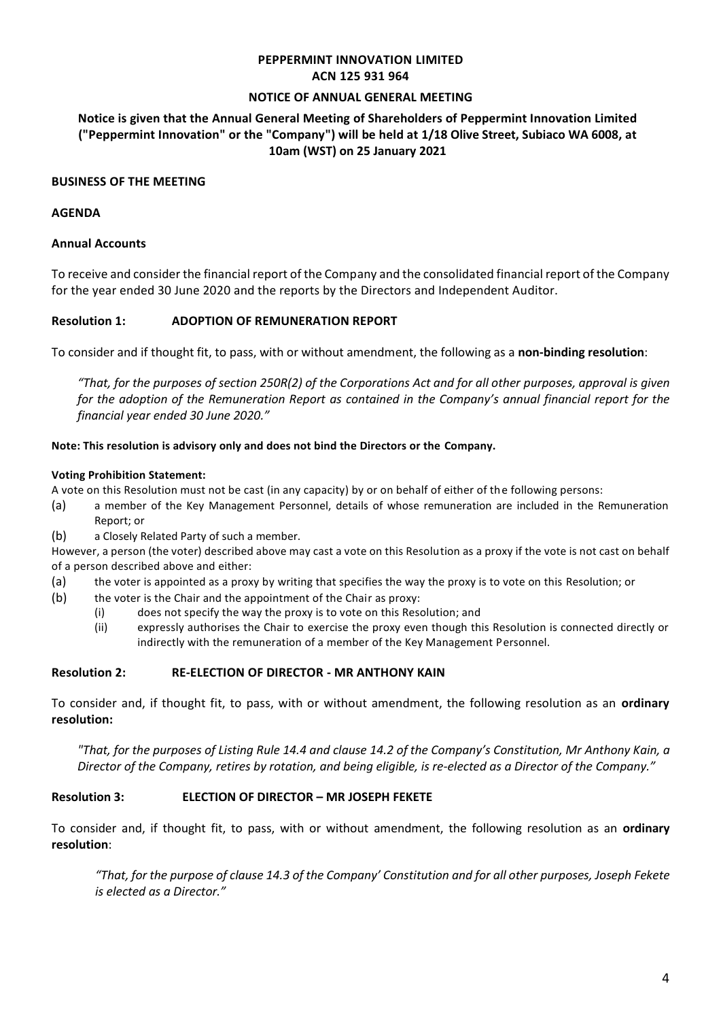# **PEPPERMINT INNOVATION LIMITED ACN 125 931 964**

#### **NOTICE OF ANNUAL GENERAL MEETING**

# **Notice is given that the Annual General Meeting of Shareholders of Peppermint Innovation Limited ("Peppermint Innovation" or the "Company") will be held at 1/18 Olive Street, Subiaco WA 6008, at 10am (WST) on 25 January 2021**

#### **BUSINESS OF THE MEETING**

#### **AGENDA**

# **Annual Accounts**

To receive and consider the financial report of the Company and the consolidated financial report of the Company for the year ended 30 June 2020 and the reports by the Directors and Independent Auditor.

# **Resolution 1: ADOPTION OF REMUNERATION REPORT**

To consider and if thought fit, to pass, with or without amendment, the following as a **non-binding resolution**:

"That, for the purposes of section 250R(2) of the Corporations Act and for all other purposes, approval is given *for the adoption of the Remuneration Report as contained in the Company's annual financial report for the financial year ended 30 June 2020."*

#### **Note: This resolution is advisory only and does not bind the Directors or the Company.**

#### **Voting Prohibition Statement:**

A vote on this Resolution must not be cast (in any capacity) by or on behalf of either of the following persons:

- (a) a member of the Key Management Personnel, details of whose remuneration are included in the Remuneration Report; or
- (b) a Closely Related Party of such a member.

However, a person (the voter) described above may cast a vote on this Resolution as a proxy if the vote is not cast on behalf of a person described above and either:

- (a) the voter is appointed as a proxy by writing that specifies the way the proxy is to vote on this Resolution; or
- (b) the voter is the Chair and the appointment of the Chair as proxy:
	- (i) does not specify the way the proxy is to vote on this Resolution; and
	- (ii) expressly authorises the Chair to exercise the proxy even though this Resolution is connected directly or indirectly with the remuneration of a member of the Key Management Personnel.

#### **Resolution 2: RE-ELECTION OF DIRECTOR - MR ANTHONY KAIN**

To consider and, if thought fit, to pass, with or without amendment, the following resolution as an **ordinary resolution:**

*"That, for the purposes of Listing Rule 14.4 and clause 14.2 of the Company's Constitution, Mr Anthony Kain, a Director of the Company, retires by rotation, and being eligible, is re-elected as a Director of the Company."*

#### **Resolution 3: ELECTION OF DIRECTOR – MR JOSEPH FEKETE**

To consider and, if thought fit, to pass, with or without amendment, the following resolution as an **ordinary resolution**:

*"That, for the purpose of clause 14.3 of the Company' Constitution and for all other purposes, Joseph Fekete is elected as a Director."*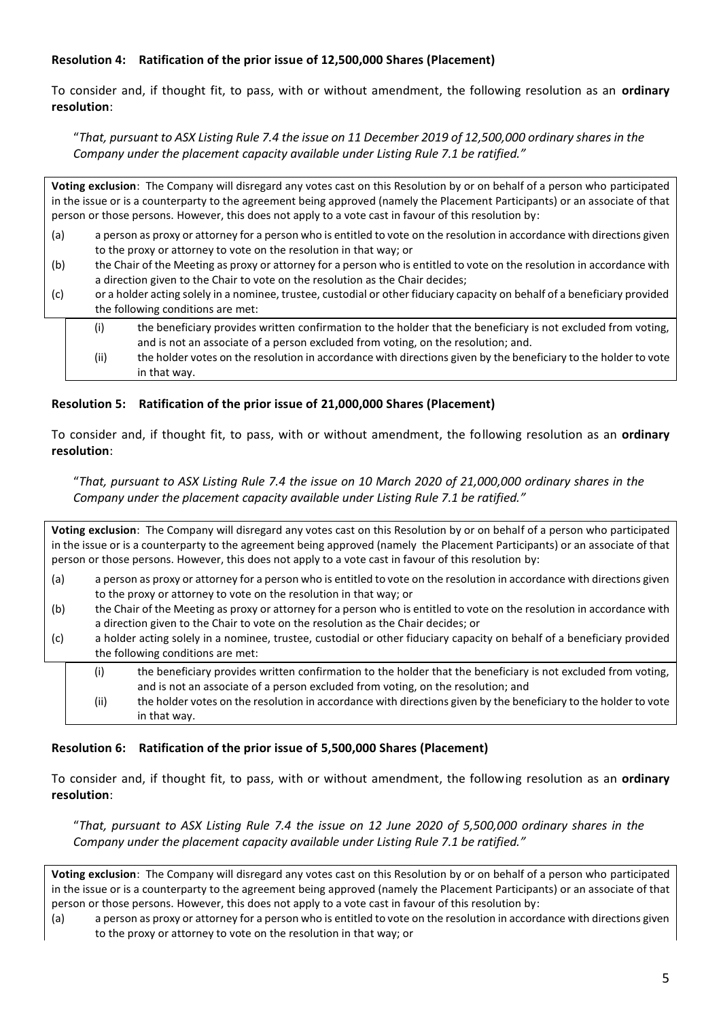# **Resolution 4: Ratification of the prior issue of 12,500,000 Shares (Placement)**

To consider and, if thought fit, to pass, with or without amendment, the following resolution as an **ordinary resolution**:

"*That, pursuant to ASX Listing Rule 7.4 the issue on 11 December 2019 of 12,500,000 ordinary shares in the Company under the placement capacity available under Listing Rule 7.1 be ratified."*

**Voting exclusion**: The Company will disregard any votes cast on this Resolution by or on behalf of a person who participated in the issue or is a counterparty to the agreement being approved (namely the Placement Participants) or an associate of that person or those persons. However, this does not apply to a vote cast in favour of this resolution by:

- (a) a person as proxy or attorney for a person who is entitled to vote on the resolution in accordance with directions given to the proxy or attorney to vote on the resolution in that way; or
- (b) the Chair of the Meeting as proxy or attorney for a person who is entitled to vote on the resolution in accordance with a direction given to the Chair to vote on the resolution as the Chair decides;
- (c) or a holder acting solely in a nominee, trustee, custodial or other fiduciary capacity on behalf of a beneficiary provided the following conditions are met:
	- (i) the beneficiary provides written confirmation to the holder that the beneficiary is not excluded from voting, and is not an associate of a person excluded from voting, on the resolution; and.
		- (ii) the holder votes on the resolution in accordance with directions given by the beneficiary to the holder to vote in that way.

# **Resolution 5: Ratification of the prior issue of 21,000,000 Shares (Placement)**

To consider and, if thought fit, to pass, with or without amendment, the following resolution as an **ordinary resolution**:

"*That, pursuant to ASX Listing Rule 7.4 the issue on 10 March 2020 of 21,000,000 ordinary shares in the Company under the placement capacity available under Listing Rule 7.1 be ratified."*

**Voting exclusion**: The Company will disregard any votes cast on this Resolution by or on behalf of a person who participated in the issue or is a counterparty to the agreement being approved (namely the Placement Participants) or an associate of that person or those persons. However, this does not apply to a vote cast in favour of this resolution by:

- (a) a person as proxy or attorney for a person who is entitled to vote on the resolution in accordance with directions given to the proxy or attorney to vote on the resolution in that way; or
- (b) the Chair of the Meeting as proxy or attorney for a person who is entitled to vote on the resolution in accordance with a direction given to the Chair to vote on the resolution as the Chair decides; or
- (c) a holder acting solely in a nominee, trustee, custodial or other fiduciary capacity on behalf of a beneficiary provided the following conditions are met:
	- (i) the beneficiary provides written confirmation to the holder that the beneficiary is not excluded from voting, and is not an associate of a person excluded from voting, on the resolution; and (ii) the holder votes on the resolution in accordance with directions given by the beneficiary to the holder to vote in that way.

#### **Resolution 6: Ratification of the prior issue of 5,500,000 Shares (Placement)**

To consider and, if thought fit, to pass, with or without amendment, the following resolution as an **ordinary resolution**:

"*That, pursuant to ASX Listing Rule 7.4 the issue on 12 June 2020 of 5,500,000 ordinary shares in the Company under the placement capacity available under Listing Rule 7.1 be ratified."*

**Voting exclusion**: The Company will disregard any votes cast on this Resolution by or on behalf of a person who participated in the issue or is a counterparty to the agreement being approved (namely the Placement Participants) or an associate of that person or those persons. However, this does not apply to a vote cast in favour of this resolution by:

(a) a person as proxy or attorney for a person who is entitled to vote on the resolution in accordance with directions given to the proxy or attorney to vote on the resolution in that way; or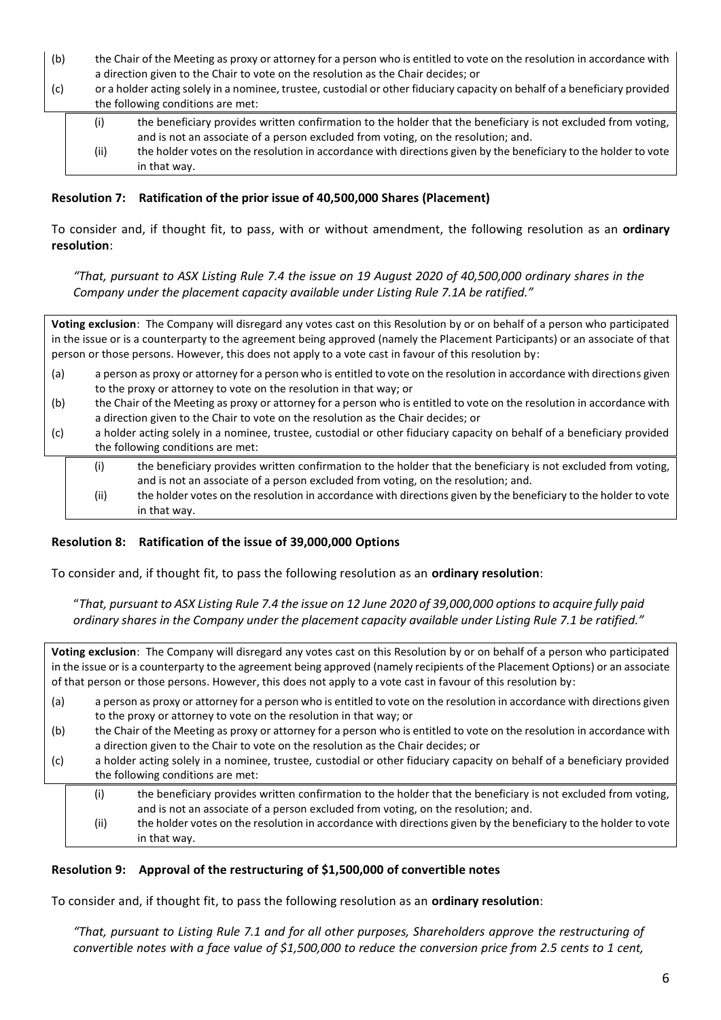- (b) the Chair of the Meeting as proxy or attorney for a person who is entitled to vote on the resolution in accordance with a direction given to the Chair to vote on the resolution as the Chair decides; or
- (c) or a holder acting solely in a nominee, trustee, custodial or other fiduciary capacity on behalf of a beneficiary provided the following conditions are met:

| (i)  | the beneficiary provides written confirmation to the holder that the beneficiary is not excluded from voting,   |
|------|-----------------------------------------------------------------------------------------------------------------|
|      | and is not an associate of a person excluded from voting, on the resolution; and.                               |
| (ii) | the holder votes on the resolution in accordance with directions given by the beneficiary to the holder to vote |
|      | in that way.                                                                                                    |

#### **Resolution 7: Ratification of the prior issue of 40,500,000 Shares (Placement)**

To consider and, if thought fit, to pass, with or without amendment, the following resolution as an **ordinary resolution**:

*"That, pursuant to ASX Listing Rule 7.4 the issue on 19 August 2020 of 40,500,000 ordinary shares in the Company under the placement capacity available under Listing Rule 7.1A be ratified."*

**Voting exclusion**: The Company will disregard any votes cast on this Resolution by or on behalf of a person who participated in the issue or is a counterparty to the agreement being approved (namely the Placement Participants) or an associate of that person or those persons. However, this does not apply to a vote cast in favour of this resolution by: (a) a person as proxy or attorney for a person who is entitled to vote on the resolution in accordance with directions given

- to the proxy or attorney to vote on the resolution in that way; or
- (b) the Chair of the Meeting as proxy or attorney for a person who is entitled to vote on the resolution in accordance with a direction given to the Chair to vote on the resolution as the Chair decides; or
- (c) a holder acting solely in a nominee, trustee, custodial or other fiduciary capacity on behalf of a beneficiary provided the following conditions are met:

| (i)  | the beneficiary provides written confirmation to the holder that the beneficiary is not excluded from voting,<br>and is not an associate of a person excluded from voting, on the resolution; and. |
|------|----------------------------------------------------------------------------------------------------------------------------------------------------------------------------------------------------|
| (ii) | the holder votes on the resolution in accordance with directions given by the beneficiary to the holder to vote<br>in that way.                                                                    |

#### **Resolution 8: Ratification of the issue of 39,000,000 Options**

To consider and, if thought fit, to pass the following resolution as an **ordinary resolution**:

"*That, pursuant to ASX Listing Rule 7.4 the issue on 12 June 2020 of 39,000,000 options to acquire fully paid ordinary shares in the Company under the placement capacity available under Listing Rule 7.1 be ratified."*

**Voting exclusion**: The Company will disregard any votes cast on this Resolution by or on behalf of a person who participated in the issue or is a counterparty to the agreement being approved (namely recipients of the Placement Options) or an associate of that person or those persons. However, this does not apply to a vote cast in favour of this resolution by:

- (a) a person as proxy or attorney for a person who is entitled to vote on the resolution in accordance with directions given to the proxy or attorney to vote on the resolution in that way; or
- (b) the Chair of the Meeting as proxy or attorney for a person who is entitled to vote on the resolution in accordance with a direction given to the Chair to vote on the resolution as the Chair decides; or
- (c) a holder acting solely in a nominee, trustee, custodial or other fiduciary capacity on behalf of a beneficiary provided the following conditions are met:
	- (i) the beneficiary provides written confirmation to the holder that the beneficiary is not excluded from voting, and is not an associate of a person excluded from voting, on the resolution; and.
	- (ii) the holder votes on the resolution in accordance with directions given by the beneficiary to the holder to vote in that way.

#### **Resolution 9: Approval of the restructuring of \$1,500,000 of convertible notes**

To consider and, if thought fit, to pass the following resolution as an **ordinary resolution**:

*"That, pursuant to Listing Rule 7.1 and for all other purposes, Shareholders approve the restructuring of convertible notes with a face value of \$1,500,000 to reduce the conversion price from 2.5 cents to 1 cent,*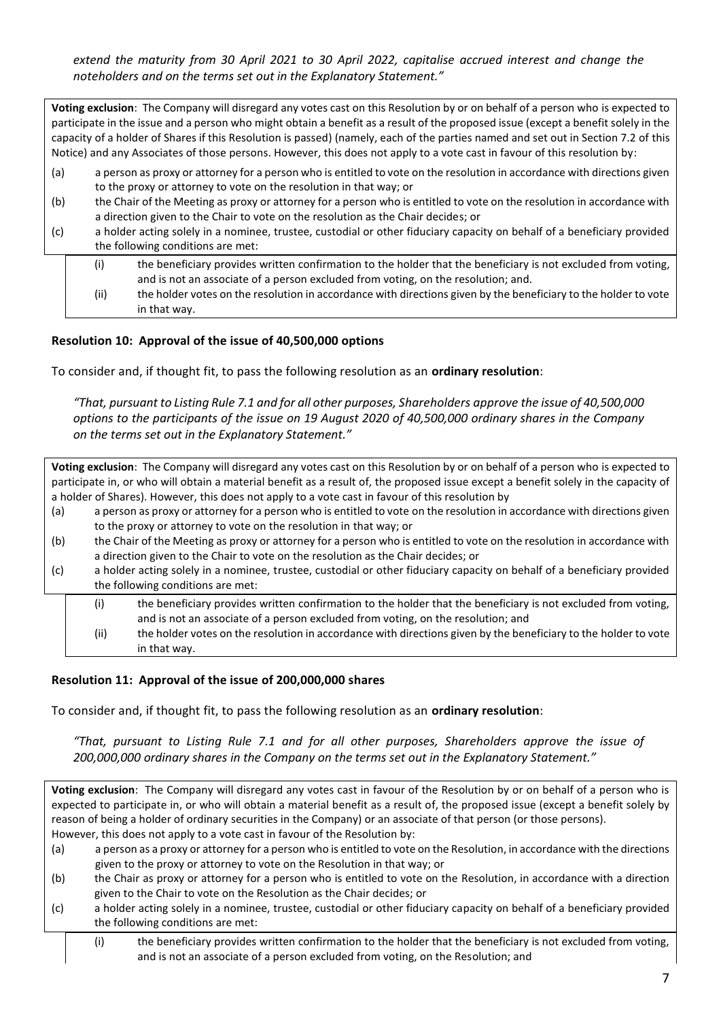*extend the maturity from 30 April 2021 to 30 April 2022, capitalise accrued interest and change the noteholders and on the terms set out in the Explanatory Statement."*

**Voting exclusion**: The Company will disregard any votes cast on this Resolution by or on behalf of a person who is expected to participate in the issue and a person who might obtain a benefit as a result of the proposed issue (except a benefit solely in the capacity of a holder of Shares if this Resolution is passed) (namely, each of the parties named and set out in Section 7.2 of this Notice) and any Associates of those persons. However, this does not apply to a vote cast in favour of this resolution by:

- (a) a person as proxy or attorney for a person who is entitled to vote on the resolution in accordance with directions given to the proxy or attorney to vote on the resolution in that way; or
- (b) the Chair of the Meeting as proxy or attorney for a person who is entitled to vote on the resolution in accordance with a direction given to the Chair to vote on the resolution as the Chair decides; or
- (c) a holder acting solely in a nominee, trustee, custodial or other fiduciary capacity on behalf of a beneficiary provided the following conditions are met:
	- (i) the beneficiary provides written confirmation to the holder that the beneficiary is not excluded from voting, and is not an associate of a person excluded from voting, on the resolution; and.
	- (ii) the holder votes on the resolution in accordance with directions given by the beneficiary to the holder to vote in that way.

# **Resolution 10: Approval of the issue of 40,500,000 options**

To consider and, if thought fit, to pass the following resolution as an **ordinary resolution**:

*"That, pursuant to Listing Rule 7.1 and for all other purposes, Shareholders approve the issue of 40,500,000 options to the participants of the issue on 19 August 2020 of 40,500,000 ordinary shares in the Company on the terms set out in the Explanatory Statement."*

**Voting exclusion**: The Company will disregard any votes cast on this Resolution by or on behalf of a person who is expected to participate in, or who will obtain a material benefit as a result of, the proposed issue except a benefit solely in the capacity of a holder of Shares). However, this does not apply to a vote cast in favour of this resolution by

- (a) a person as proxy or attorney for a person who is entitled to vote on the resolution in accordance with directions given to the proxy or attorney to vote on the resolution in that way; or
- (b) the Chair of the Meeting as proxy or attorney for a person who is entitled to vote on the resolution in accordance with a direction given to the Chair to vote on the resolution as the Chair decides; or
- (c) a holder acting solely in a nominee, trustee, custodial or other fiduciary capacity on behalf of a beneficiary provided the following conditions are met:
	- (i) the beneficiary provides written confirmation to the holder that the beneficiary is not excluded from voting, and is not an associate of a person excluded from voting, on the resolution; and
	- (ii) the holder votes on the resolution in accordance with directions given by the beneficiary to the holder to vote in that way.

#### **Resolution 11: Approval of the issue of 200,000,000 shares**

To consider and, if thought fit, to pass the following resolution as an **ordinary resolution**:

*"That, pursuant to Listing Rule 7.1 and for all other purposes, Shareholders approve the issue of 200,000,000 ordinary shares in the Company on the terms set out in the Explanatory Statement."*

**Voting exclusion**: The Company will disregard any votes cast in favour of the Resolution by or on behalf of a person who is expected to participate in, or who will obtain a material benefit as a result of, the proposed issue (except a benefit solely by reason of being a holder of ordinary securities in the Company) or an associate of that person (or those persons). However, this does not apply to a vote cast in favour of the Resolution by:

- (a) a person as a proxy or attorney for a person who is entitled to vote on the Resolution, in accordance with the directions given to the proxy or attorney to vote on the Resolution in that way; or
- (b) the Chair as proxy or attorney for a person who is entitled to vote on the Resolution, in accordance with a direction given to the Chair to vote on the Resolution as the Chair decides; or
- (c) a holder acting solely in a nominee, trustee, custodial or other fiduciary capacity on behalf of a beneficiary provided the following conditions are met:
	- (i) the beneficiary provides written confirmation to the holder that the beneficiary is not excluded from voting, and is not an associate of a person excluded from voting, on the Resolution; and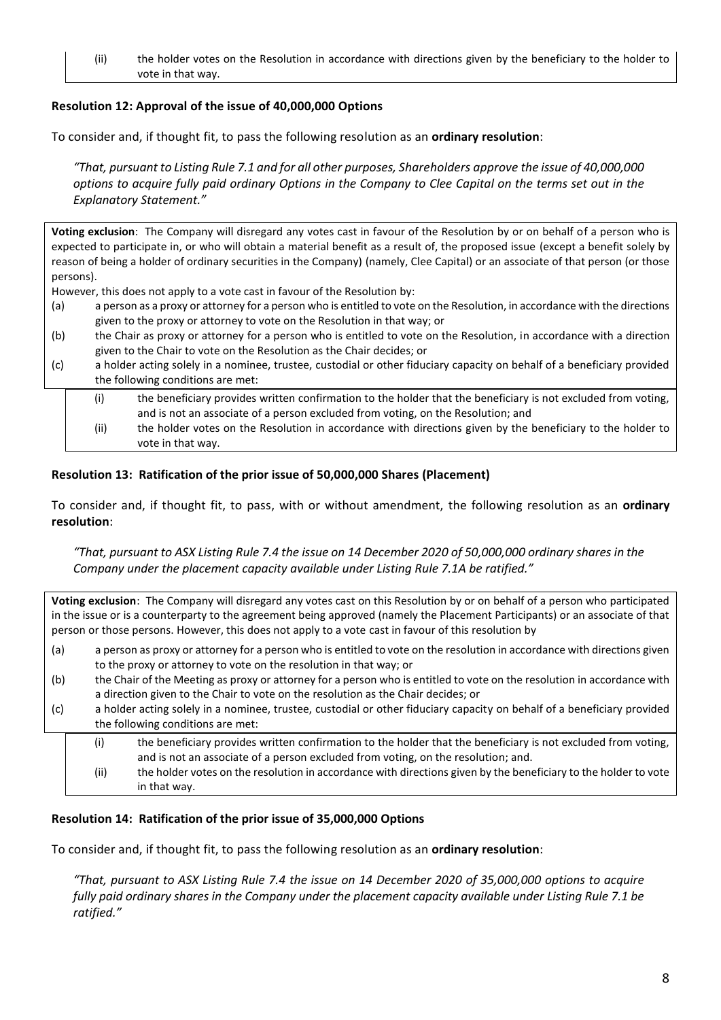(ii) the holder votes on the Resolution in accordance with directions given by the beneficiary to the holder to vote in that way.

# **Resolution 12: Approval of the issue of 40,000,000 Options**

To consider and, if thought fit, to pass the following resolution as an **ordinary resolution**:

*"That, pursuant to Listing Rule 7.1 and for all other purposes, Shareholders approve the issue of 40,000,000 options to acquire fully paid ordinary Options in the Company to Clee Capital on the terms set out in the Explanatory Statement."*

**Voting exclusion**: The Company will disregard any votes cast in favour of the Resolution by or on behalf of a person who is expected to participate in, or who will obtain a material benefit as a result of, the proposed issue (except a benefit solely by reason of being a holder of ordinary securities in the Company) (namely, Clee Capital) or an associate of that person (or those persons).

However, this does not apply to a vote cast in favour of the Resolution by:

- (a) a person as a proxy or attorney for a person who is entitled to vote on the Resolution, in accordance with the directions given to the proxy or attorney to vote on the Resolution in that way; or
- (b) the Chair as proxy or attorney for a person who is entitled to vote on the Resolution, in accordance with a direction given to the Chair to vote on the Resolution as the Chair decides; or
- (c) a holder acting solely in a nominee, trustee, custodial or other fiduciary capacity on behalf of a beneficiary provided the following conditions are met:
	- (i) the beneficiary provides written confirmation to the holder that the beneficiary is not excluded from voting, and is not an associate of a person excluded from voting, on the Resolution; and
	- (ii) the holder votes on the Resolution in accordance with directions given by the beneficiary to the holder to vote in that way.

#### **Resolution 13: Ratification of the prior issue of 50,000,000 Shares (Placement)**

To consider and, if thought fit, to pass, with or without amendment, the following resolution as an **ordinary resolution**:

*"That, pursuant to ASX Listing Rule 7.4 the issue on 14 December 2020 of 50,000,000 ordinary shares in the Company under the placement capacity available under Listing Rule 7.1A be ratified."*

**Voting exclusion**: The Company will disregard any votes cast on this Resolution by or on behalf of a person who participated in the issue or is a counterparty to the agreement being approved (namely the Placement Participants) or an associate of that person or those persons. However, this does not apply to a vote cast in favour of this resolution by

- (a) a person as proxy or attorney for a person who is entitled to vote on the resolution in accordance with directions given to the proxy or attorney to vote on the resolution in that way; or
- (b) the Chair of the Meeting as proxy or attorney for a person who is entitled to vote on the resolution in accordance with a direction given to the Chair to vote on the resolution as the Chair decides; or
- (c) a holder acting solely in a nominee, trustee, custodial or other fiduciary capacity on behalf of a beneficiary provided the following conditions are met:
	- (i) the beneficiary provides written confirmation to the holder that the beneficiary is not excluded from voting, and is not an associate of a person excluded from voting, on the resolution; and. (ii) the holder votes on the resolution in accordance with directions given by the beneficiary to the holder to vote

# in that way.

# **Resolution 14: Ratification of the prior issue of 35,000,000 Options**

To consider and, if thought fit, to pass the following resolution as an **ordinary resolution**:

*"That, pursuant to ASX Listing Rule 7.4 the issue on 14 December 2020 of 35,000,000 options to acquire fully paid ordinary shares in the Company under the placement capacity available under Listing Rule 7.1 be ratified."*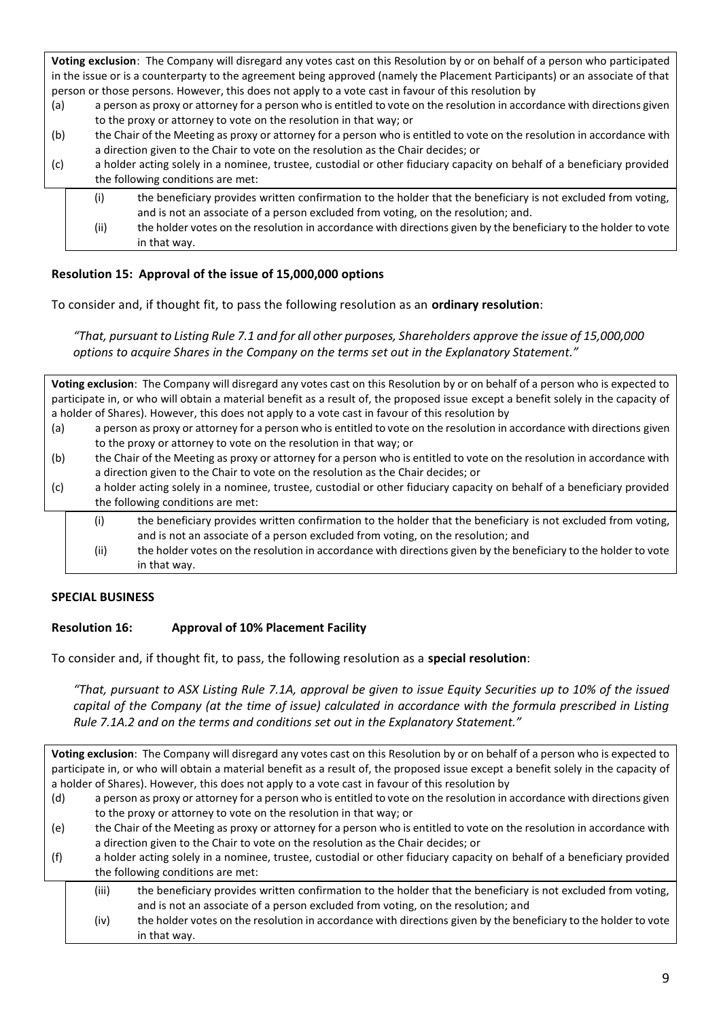**Voting exclusion**: The Company will disregard any votes cast on this Resolution by or on behalf of a person who participated in the issue or is a counterparty to the agreement being approved (namely the Placement Participants) or an associate of that person or those persons. However, this does not apply to a vote cast in favour of this resolution by

- (a) a person as proxy or attorney for a person who is entitled to vote on the resolution in accordance with directions given to the proxy or attorney to vote on the resolution in that way; or
- (b) the Chair of the Meeting as proxy or attorney for a person who is entitled to vote on the resolution in accordance with a direction given to the Chair to vote on the resolution as the Chair decides; or
- (c) a holder acting solely in a nominee, trustee, custodial or other fiduciary capacity on behalf of a beneficiary provided the following conditions are met:
	- (i) the beneficiary provides written confirmation to the holder that the beneficiary is not excluded from voting, and is not an associate of a person excluded from voting, on the resolution; and.
	- (ii) the holder votes on the resolution in accordance with directions given by the beneficiary to the holder to vote in that way.

# **Resolution 15: Approval of the issue of 15,000,000 options**

To consider and, if thought fit, to pass the following resolution as an **ordinary resolution**:

*"That, pursuant to Listing Rule 7.1 and for all other purposes, Shareholders approve the issue of 15,000,000 options to acquire Shares in the Company on the terms set out in the Explanatory Statement."*

**Voting exclusion**: The Company will disregard any votes cast on this Resolution by or on behalf of a person who is expected to participate in, or who will obtain a material benefit as a result of, the proposed issue except a benefit solely in the capacity of a holder of Shares). However, this does not apply to a vote cast in favour of this resolution by

- (a) a person as proxy or attorney for a person who is entitled to vote on the resolution in accordance with directions given to the proxy or attorney to vote on the resolution in that way; or
- (b) the Chair of the Meeting as proxy or attorney for a person who is entitled to vote on the resolution in accordance with a direction given to the Chair to vote on the resolution as the Chair decides; or
- (c) a holder acting solely in a nominee, trustee, custodial or other fiduciary capacity on behalf of a beneficiary provided the following conditions are met:
	- (i) the beneficiary provides written confirmation to the holder that the beneficiary is not excluded from voting, and is not an associate of a person excluded from voting, on the resolution; and (ii) the holder votes on the resolution in accordance with directions given by the beneficiary to the holder to vote in that way.

# **SPECIAL BUSINESS**

# **Resolution 16: Approval of 10% Placement Facility**

To consider and, if thought fit, to pass, the following resolution as a **special resolution**:

*"That, pursuant to ASX Listing Rule 7.1A, approval be given to issue Equity Securities up to 10% of the issued capital of the Company (at the time of issue) calculated in accordance with the formula prescribed in Listing Rule 7.1A.2 and on the terms and conditions set out in the Explanatory Statement."*

**Voting exclusion**: The Company will disregard any votes cast on this Resolution by or on behalf of a person who is expected to participate in, or who will obtain a material benefit as a result of, the proposed issue except a benefit solely in the capacity of a holder of Shares). However, this does not apply to a vote cast in favour of this resolution by

- (d) a person as proxy or attorney for a person who is entitled to vote on the resolution in accordance with directions given to the proxy or attorney to vote on the resolution in that way; or
- (e) the Chair of the Meeting as proxy or attorney for a person who is entitled to vote on the resolution in accordance with a direction given to the Chair to vote on the resolution as the Chair decides; or
- (f) a holder acting solely in a nominee, trustee, custodial or other fiduciary capacity on behalf of a beneficiary provided the following conditions are met:
	- (iii) the beneficiary provides written confirmation to the holder that the beneficiary is not excluded from voting, and is not an associate of a person excluded from voting, on the resolution; and
	- (iv) the holder votes on the resolution in accordance with directions given by the beneficiary to the holder to vote in that way.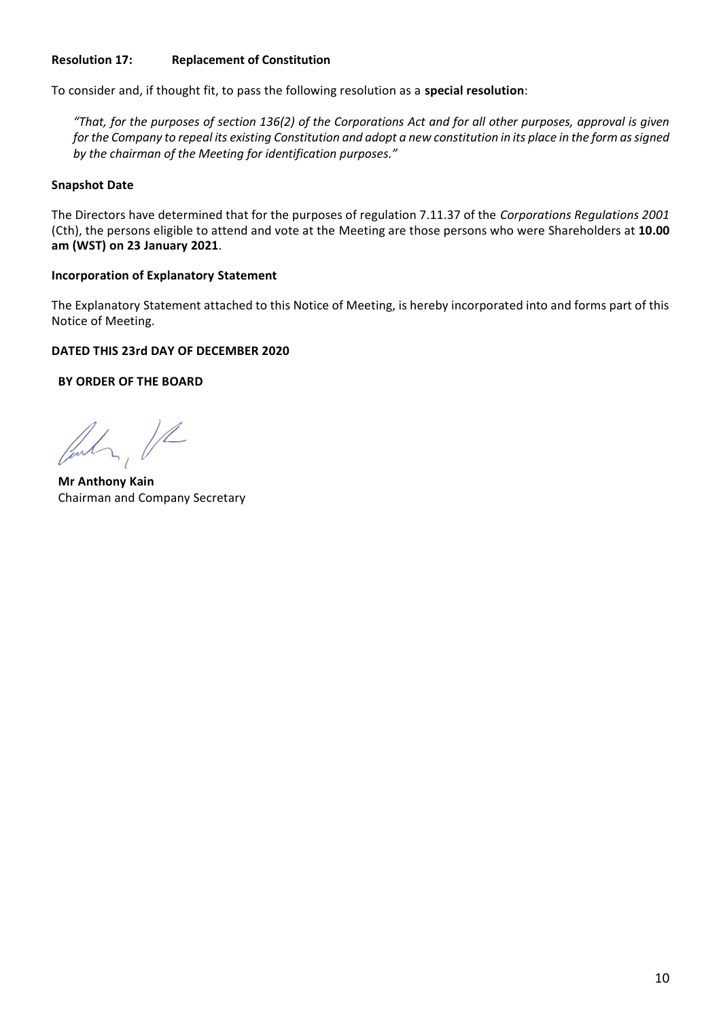# **Resolution 17: Replacement of Constitution**

To consider and, if thought fit, to pass the following resolution as a **special resolution**:

*"That, for the purposes of section 136(2) of the Corporations Act and for all other purposes, approval is given for the Company to repeal its existing Constitution and adopt a new constitution in its place in the form as signed by the chairman of the Meeting for identification purposes."*

#### **Snapshot Date**

The Directors have determined that for the purposes of regulation 7.11.37 of the *Corporations Regulations 2001* (Cth), the persons eligible to attend and vote at the Meeting are those persons who were Shareholders at **10.00 am (WST) on 23 January 2021**.

#### **Incorporation of Explanatory Statement**

The Explanatory Statement attached to this Notice of Meeting, is hereby incorporated into and forms part of this Notice of Meeting.

#### **DATED THIS 23rd DAY OF DECEMBER 2020**

**BY ORDER OF THE BOARD**

July, VR

**Mr Anthony Kain** Chairman and Company Secretary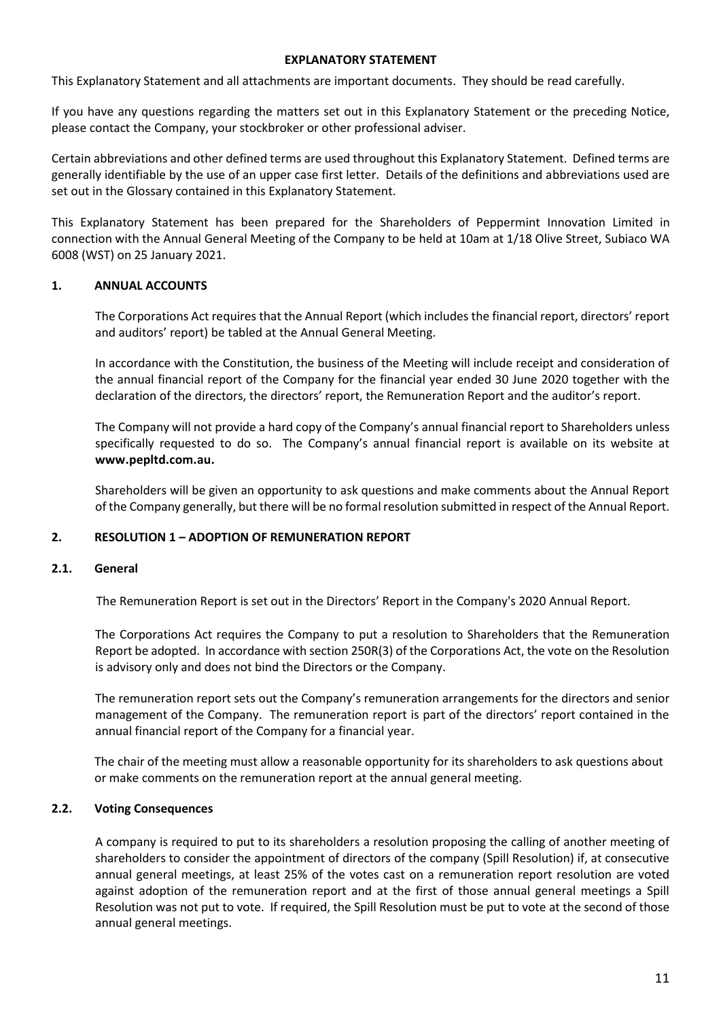#### **EXPLANATORY STATEMENT**

This Explanatory Statement and all attachments are important documents. They should be read carefully.

If you have any questions regarding the matters set out in this Explanatory Statement or the preceding Notice, please contact the Company, your stockbroker or other professional adviser.

Certain abbreviations and other defined terms are used throughout this Explanatory Statement. Defined terms are generally identifiable by the use of an upper case first letter. Details of the definitions and abbreviations used are set out in the Glossary contained in this Explanatory Statement.

This Explanatory Statement has been prepared for the Shareholders of Peppermint Innovation Limited in connection with the Annual General Meeting of the Company to be held at 10am at 1/18 Olive Street, Subiaco WA 6008 (WST) on 25 January 2021.

#### **1. ANNUAL ACCOUNTS**

The Corporations Act requires that the Annual Report (which includes the financial report, directors' report and auditors' report) be tabled at the Annual General Meeting.

In accordance with the Constitution, the business of the Meeting will include receipt and consideration of the annual financial report of the Company for the financial year ended 30 June 2020 together with the declaration of the directors, the directors' report, the Remuneration Report and the auditor's report.

The Company will not provide a hard copy of the Company's annual financial report to Shareholders unless specifically requested to do so. The Company's annual financial report is available on its website at **www.pepltd.com.au.** 

Shareholders will be given an opportunity to ask questions and make comments about the Annual Report of the Company generally, but there will be no formal resolution submitted in respect of the Annual Report.

#### **2. RESOLUTION 1 – ADOPTION OF REMUNERATION REPORT**

#### **2.1. General**

The Remuneration Report is set out in the Directors' Report in the Company's 2020 Annual Report.

The Corporations Act requires the Company to put a resolution to Shareholders that the Remuneration Report be adopted. In accordance with section 250R(3) of the Corporations Act, the vote on the Resolution is advisory only and does not bind the Directors or the Company.

The remuneration report sets out the Company's remuneration arrangements for the directors and senior management of the Company. The remuneration report is part of the directors' report contained in the annual financial report of the Company for a financial year.

The chair of the meeting must allow a reasonable opportunity for its shareholders to ask questions about or make comments on the remuneration report at the annual general meeting.

#### **2.2. Voting Consequences**

A company is required to put to its shareholders a resolution proposing the calling of another meeting of shareholders to consider the appointment of directors of the company (Spill Resolution) if, at consecutive annual general meetings, at least 25% of the votes cast on a remuneration report resolution are voted against adoption of the remuneration report and at the first of those annual general meetings a Spill Resolution was not put to vote. If required, the Spill Resolution must be put to vote at the second of those annual general meetings.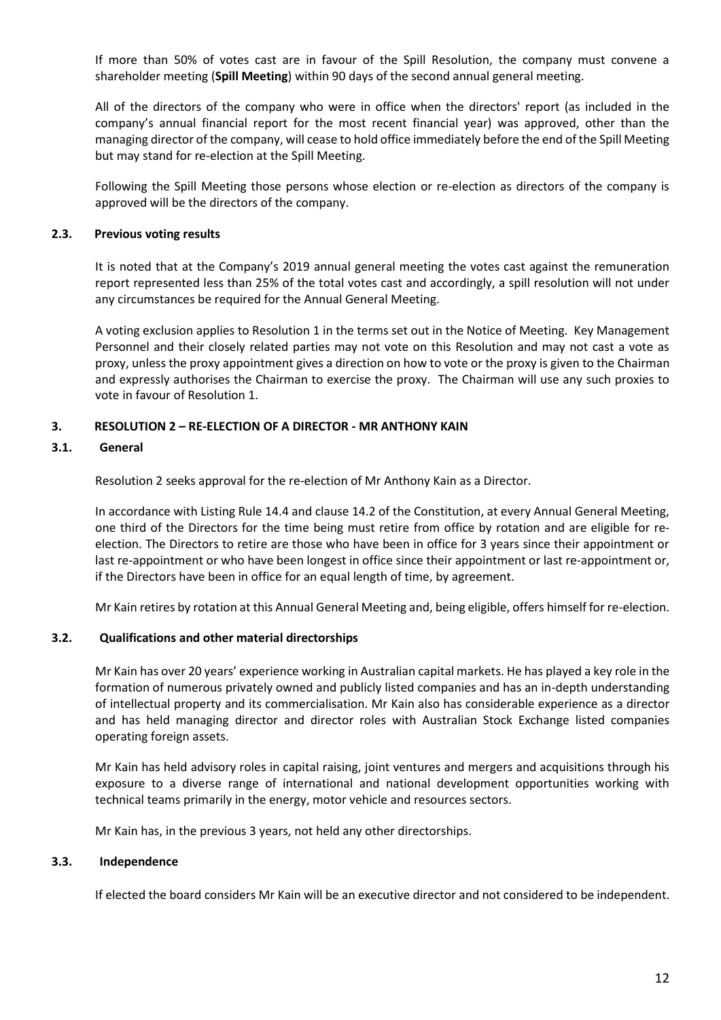If more than 50% of votes cast are in favour of the Spill Resolution, the company must convene a shareholder meeting (**Spill Meeting**) within 90 days of the second annual general meeting.

All of the directors of the company who were in office when the directors' report (as included in the company's annual financial report for the most recent financial year) was approved, other than the managing director of the company, will cease to hold office immediately before the end of the Spill Meeting but may stand for re-election at the Spill Meeting.

Following the Spill Meeting those persons whose election or re-election as directors of the company is approved will be the directors of the company.

#### **2.3. Previous voting results**

It is noted that at the Company's 2019 annual general meeting the votes cast against the remuneration report represented less than 25% of the total votes cast and accordingly, a spill resolution will not under any circumstances be required for the Annual General Meeting.

A voting exclusion applies to Resolution 1 in the terms set out in the Notice of Meeting. Key Management Personnel and their closely related parties may not vote on this Resolution and may not cast a vote as proxy, unless the proxy appointment gives a direction on how to vote or the proxy is given to the Chairman and expressly authorises the Chairman to exercise the proxy. The Chairman will use any such proxies to vote in favour of Resolution 1.

# **3. RESOLUTION 2 – RE-ELECTION OF A DIRECTOR - MR ANTHONY KAIN**

# **3.1. General**

Resolution 2 seeks approval for the re-election of Mr Anthony Kain as a Director.

In accordance with Listing Rule 14.4 and clause 14.2 of the Constitution, at every Annual General Meeting, one third of the Directors for the time being must retire from office by rotation and are eligible for reelection. The Directors to retire are those who have been in office for 3 years since their appointment or last re-appointment or who have been longest in office since their appointment or last re-appointment or, if the Directors have been in office for an equal length of time, by agreement.

Mr Kain retires by rotation at this Annual General Meeting and, being eligible, offers himself for re-election.

# **3.2. Qualifications and other material directorships**

Mr Kain has over 20 years' experience working in Australian capital markets. He has played a key role in the formation of numerous privately owned and publicly listed companies and has an in-depth understanding of intellectual property and its commercialisation. Mr Kain also has considerable experience as a director and has held managing director and director roles with Australian Stock Exchange listed companies operating foreign assets.

Mr Kain has held advisory roles in capital raising, joint ventures and mergers and acquisitions through his exposure to a diverse range of international and national development opportunities working with technical teams primarily in the energy, motor vehicle and resources sectors.

Mr Kain has, in the previous 3 years, not held any other directorships.

# **3.3. Independence**

If elected the board considers Mr Kain will be an executive director and not considered to be independent.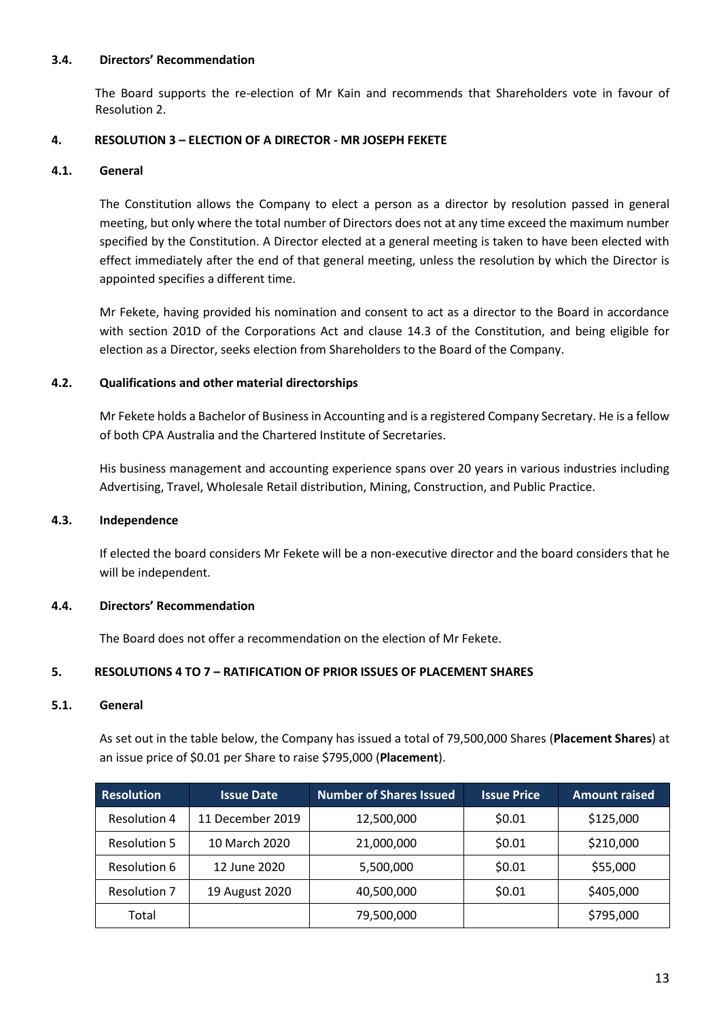# **3.4. Directors' Recommendation**

The Board supports the re-election of Mr Kain and recommends that Shareholders vote in favour of Resolution 2.

# **4. RESOLUTION 3 – ELECTION OF A DIRECTOR - MR JOSEPH FEKETE**

#### **4.1. General**

The Constitution allows the Company to elect a person as a director by resolution passed in general meeting, but only where the total number of Directors does not at any time exceed the maximum number specified by the Constitution. A Director elected at a general meeting is taken to have been elected with effect immediately after the end of that general meeting, unless the resolution by which the Director is appointed specifies a different time.

Mr Fekete, having provided his nomination and consent to act as a director to the Board in accordance with section 201D of the Corporations Act and clause 14.3 of the Constitution, and being eligible for election as a Director, seeks election from Shareholders to the Board of the Company.

# **4.2. Qualifications and other material directorships**

Mr Fekete holds a Bachelor of Business in Accounting and is a registered Company Secretary. He is a fellow of both CPA Australia and the Chartered Institute of Secretaries.

His business management and accounting experience spans over 20 years in various industries including Advertising, Travel, Wholesale Retail distribution, Mining, Construction, and Public Practice.

#### **4.3. Independence**

If elected the board considers Mr Fekete will be a non-executive director and the board considers that he will be independent.

#### **4.4. Directors' Recommendation**

The Board does not offer a recommendation on the election of Mr Fekete.

# **5. RESOLUTIONS 4 TO 7 – RATIFICATION OF PRIOR ISSUES OF PLACEMENT SHARES**

#### **5.1. General**

As set out in the table below, the Company has issued a total of 79,500,000 Shares (**Placement Shares**) at an issue price of \$0.01 per Share to raise \$795,000 (**Placement**).

| <b>Resolution</b>   | <b>Issue Date</b> | <b>Number of Shares Issued</b> | <b>Issue Price</b> | <b>Amount raised</b> |
|---------------------|-------------------|--------------------------------|--------------------|----------------------|
| <b>Resolution 4</b> | 11 December 2019  | 12,500,000                     | \$0.01             | \$125,000            |
| <b>Resolution 5</b> | 10 March 2020     | 21,000,000                     | \$0.01             | \$210,000            |
| <b>Resolution 6</b> | 12 June 2020      | 5,500,000                      | \$0.01             | \$55,000             |
| <b>Resolution 7</b> | 19 August 2020    | 40,500,000                     | \$0.01             | \$405,000            |
| Total               |                   | 79,500,000                     |                    | \$795,000            |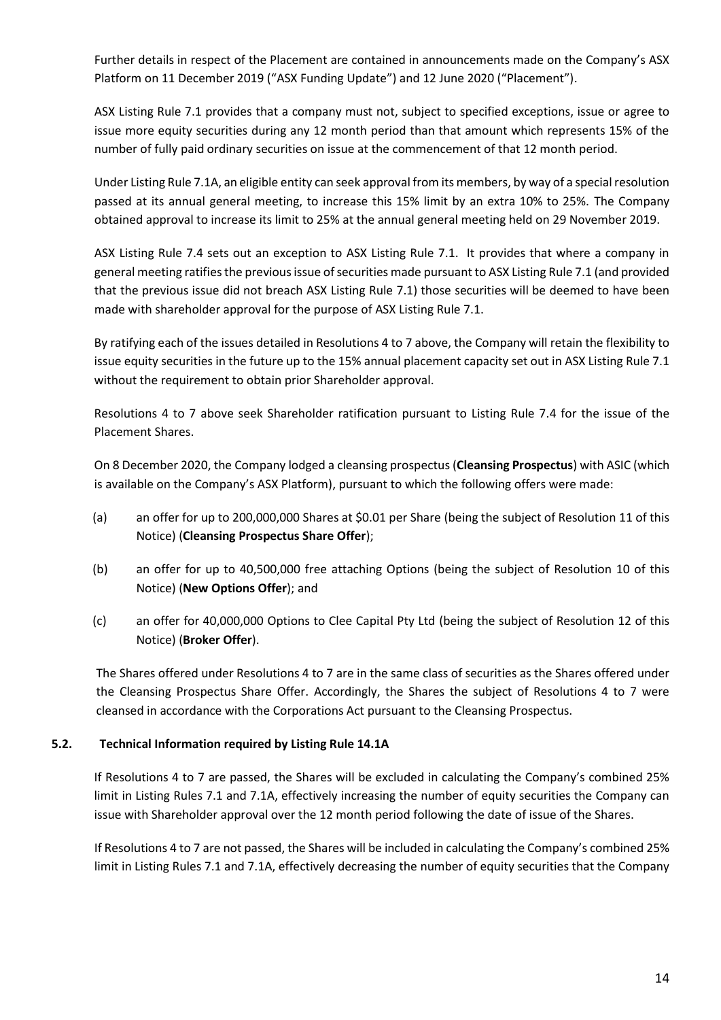Further details in respect of the Placement are contained in announcements made on the Company's ASX Platform on 11 December 2019 ("ASX Funding Update") and 12 June 2020 ("Placement").

ASX Listing Rule 7.1 provides that a company must not, subject to specified exceptions, issue or agree to issue more equity securities during any 12 month period than that amount which represents 15% of the number of fully paid ordinary securities on issue at the commencement of that 12 month period.

Under Listing Rule 7.1A, an eligible entity can seek approval from its members, by way of a special resolution passed at its annual general meeting, to increase this 15% limit by an extra 10% to 25%. The Company obtained approval to increase its limit to 25% at the annual general meeting held on 29 November 2019.

ASX Listing Rule 7.4 sets out an exception to ASX Listing Rule 7.1. It provides that where a company in general meeting ratifies the previous issue of securities made pursuant to ASX Listing Rule 7.1 (and provided that the previous issue did not breach ASX Listing Rule 7.1) those securities will be deemed to have been made with shareholder approval for the purpose of ASX Listing Rule 7.1.

By ratifying each of the issues detailed in Resolutions 4 to 7 above, the Company will retain the flexibility to issue equity securities in the future up to the 15% annual placement capacity set out in ASX Listing Rule 7.1 without the requirement to obtain prior Shareholder approval.

Resolutions 4 to 7 above seek Shareholder ratification pursuant to Listing Rule 7.4 for the issue of the Placement Shares.

On 8 December 2020, the Company lodged a cleansing prospectus (**Cleansing Prospectus**) with ASIC (which is available on the Company's ASX Platform), pursuant to which the following offers were made:

- (a) an offer for up to 200,000,000 Shares at \$0.01 per Share (being the subject of Resolution 11 of this Notice) (**Cleansing Prospectus Share Offer**);
- (b) an offer for up to 40,500,000 free attaching Options (being the subject of Resolution 10 of this Notice) (**New Options Offer**); and
- (c) an offer for 40,000,000 Options to Clee Capital Pty Ltd (being the subject of Resolution 12 of this Notice) (**Broker Offer**).

The Shares offered under Resolutions 4 to 7 are in the same class of securities as the Shares offered under the Cleansing Prospectus Share Offer. Accordingly, the Shares the subject of Resolutions 4 to 7 were cleansed in accordance with the Corporations Act pursuant to the Cleansing Prospectus.

# **5.2. Technical Information required by Listing Rule 14.1A**

If Resolutions 4 to 7 are passed, the Shares will be excluded in calculating the Company's combined 25% limit in Listing Rules 7.1 and 7.1A, effectively increasing the number of equity securities the Company can issue with Shareholder approval over the 12 month period following the date of issue of the Shares.

If Resolutions 4 to 7 are not passed, the Shares will be included in calculating the Company's combined 25% limit in Listing Rules 7.1 and 7.1A, effectively decreasing the number of equity securities that the Company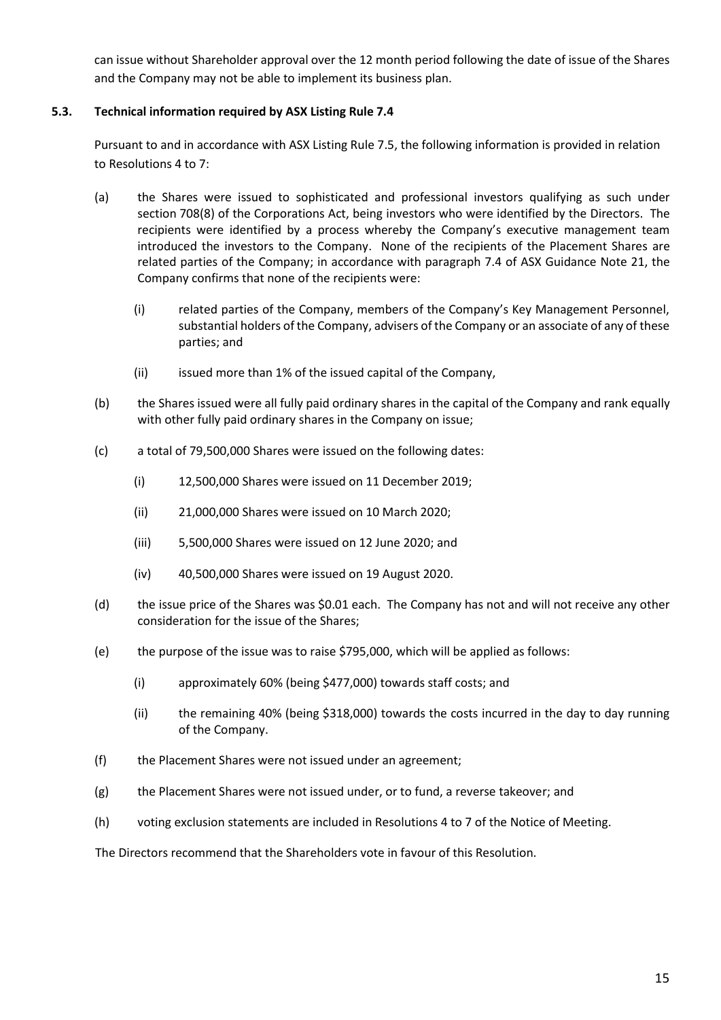can issue without Shareholder approval over the 12 month period following the date of issue of the Shares and the Company may not be able to implement its business plan.

# **5.3. Technical information required by ASX Listing Rule 7.4**

Pursuant to and in accordance with ASX Listing Rule 7.5, the following information is provided in relation to Resolutions 4 to 7:

- (a) the Shares were issued to sophisticated and professional investors qualifying as such under section 708(8) of the Corporations Act, being investors who were identified by the Directors. The recipients were identified by a process whereby the Company's executive management team introduced the investors to the Company. None of the recipients of the Placement Shares are related parties of the Company; in accordance with paragraph 7.4 of ASX Guidance Note 21, the Company confirms that none of the recipients were:
	- (i) related parties of the Company, members of the Company's Key Management Personnel, substantial holders of the Company, advisers of the Company or an associate of any of these parties; and
	- (ii) issued more than 1% of the issued capital of the Company,
- (b) the Shares issued were all fully paid ordinary shares in the capital of the Company and rank equally with other fully paid ordinary shares in the Company on issue;
- (c) a total of 79,500,000 Shares were issued on the following dates:
	- (i) 12,500,000 Shares were issued on 11 December 2019;
	- (ii) 21,000,000 Shares were issued on 10 March 2020;
	- (iii) 5,500,000 Shares were issued on 12 June 2020; and
	- (iv) 40,500,000 Shares were issued on 19 August 2020.
- (d) the issue price of the Shares was \$0.01 each. The Company has not and will not receive any other consideration for the issue of the Shares;
- (e) the purpose of the issue was to raise \$795,000, which will be applied as follows:
	- (i) approximately 60% (being \$477,000) towards staff costs; and
	- (ii) the remaining 40% (being \$318,000) towards the costs incurred in the day to day running of the Company.
- (f) the Placement Shares were not issued under an agreement;
- (g) the Placement Shares were not issued under, or to fund, a reverse takeover; and
- (h) voting exclusion statements are included in Resolutions 4 to 7 of the Notice of Meeting.

The Directors recommend that the Shareholders vote in favour of this Resolution.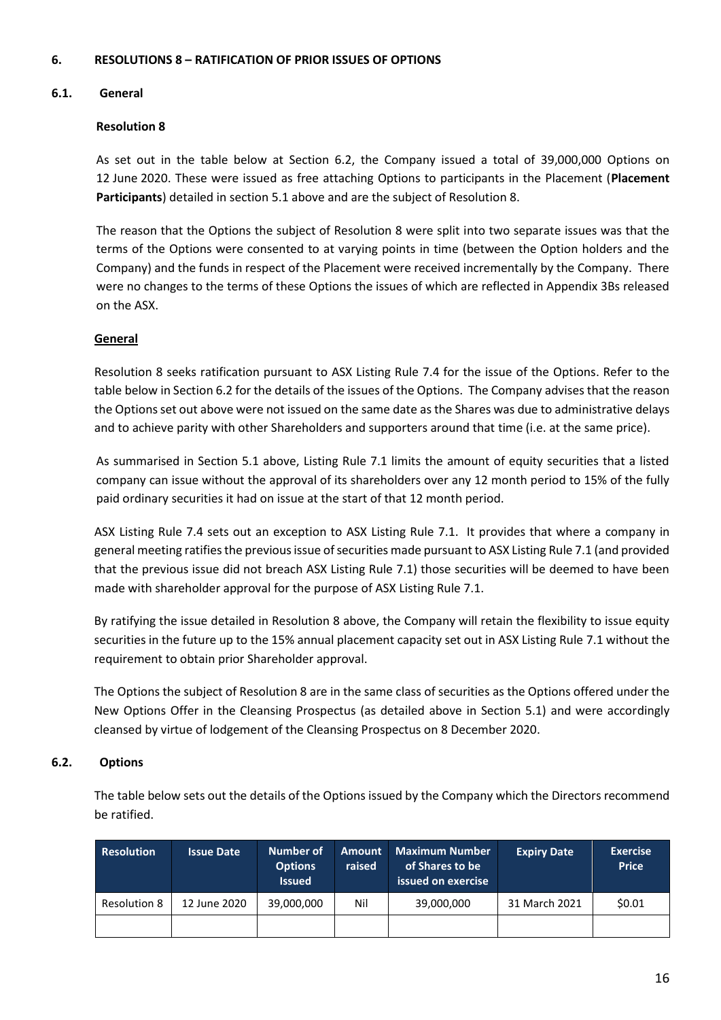# **6. RESOLUTIONS 8 – RATIFICATION OF PRIOR ISSUES OF OPTIONS**

# **6.1. General**

# **Resolution 8**

As set out in the table below at Section 6.2, the Company issued a total of 39,000,000 Options on 12 June 2020. These were issued as free attaching Options to participants in the Placement (**Placement Participants**) detailed in section 5.1 above and are the subject of Resolution 8.

The reason that the Options the subject of Resolution 8 were split into two separate issues was that the terms of the Options were consented to at varying points in time (between the Option holders and the Company) and the funds in respect of the Placement were received incrementally by the Company. There were no changes to the terms of these Options the issues of which are reflected in Appendix 3Bs released on the ASX.

# **General**

Resolution 8 seeks ratification pursuant to ASX Listing Rule 7.4 for the issue of the Options. Refer to the table below in Section 6.2 for the details of the issues of the Options. The Company advises that the reason the Options set out above were not issued on the same date as the Shares was due to administrative delays and to achieve parity with other Shareholders and supporters around that time (i.e. at the same price).

As summarised in Section 5.1 above, Listing Rule 7.1 limits the amount of equity securities that a listed company can issue without the approval of its shareholders over any 12 month period to 15% of the fully paid ordinary securities it had on issue at the start of that 12 month period.

ASX Listing Rule 7.4 sets out an exception to ASX Listing Rule 7.1. It provides that where a company in general meeting ratifies the previous issue of securities made pursuant to ASX Listing Rule 7.1 (and provided that the previous issue did not breach ASX Listing Rule 7.1) those securities will be deemed to have been made with shareholder approval for the purpose of ASX Listing Rule 7.1.

By ratifying the issue detailed in Resolution 8 above, the Company will retain the flexibility to issue equity securities in the future up to the 15% annual placement capacity set out in ASX Listing Rule 7.1 without the requirement to obtain prior Shareholder approval.

The Options the subject of Resolution 8 are in the same class of securities as the Options offered under the New Options Offer in the Cleansing Prospectus (as detailed above in Section 5.1) and were accordingly cleansed by virtue of lodgement of the Cleansing Prospectus on 8 December 2020.

#### **6.2. Options**

The table below sets out the details of the Options issued by the Company which the Directors recommend be ratified.

| <b>Resolution</b>   | <b>Issue Date</b> | Number of<br><b>Options</b><br><b>Issued</b> | <b>Amount</b><br>raised | Maximum Number<br>of Shares to be<br>issued on exercise | <b>Expiry Date</b> | <b>Exercise</b><br><b>Price</b> |
|---------------------|-------------------|----------------------------------------------|-------------------------|---------------------------------------------------------|--------------------|---------------------------------|
| <b>Resolution 8</b> | 12 June 2020      | 39,000,000                                   | Nil                     | 39,000,000                                              | 31 March 2021      | \$0.01                          |
|                     |                   |                                              |                         |                                                         |                    |                                 |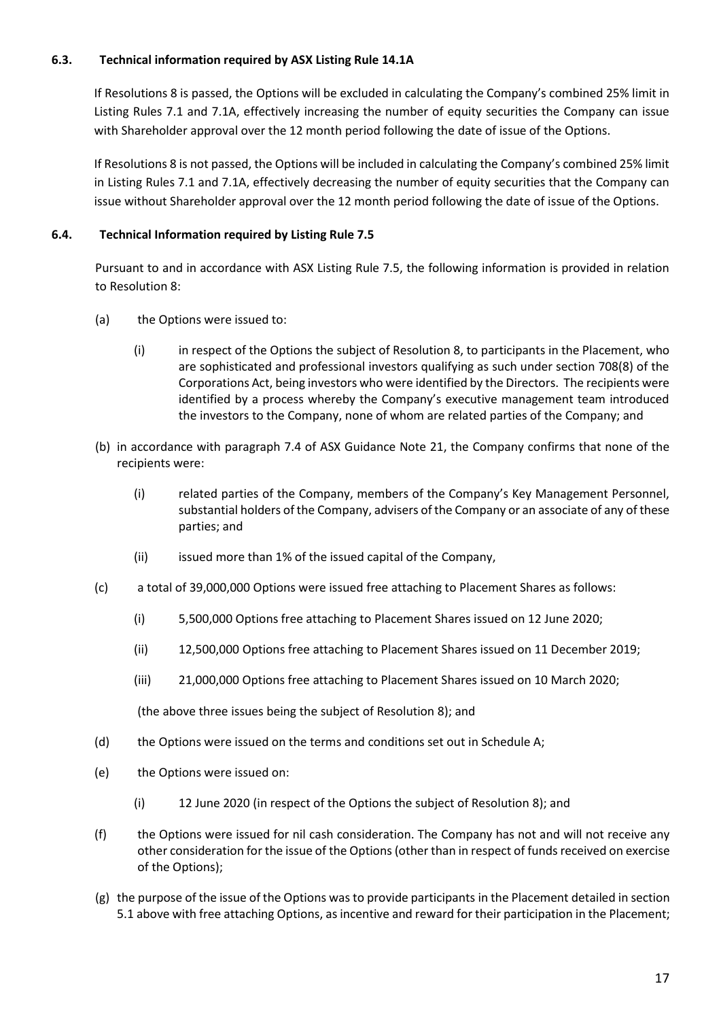# **6.3. Technical information required by ASX Listing Rule 14.1A**

If Resolutions 8 is passed, the Options will be excluded in calculating the Company's combined 25% limit in Listing Rules 7.1 and 7.1A, effectively increasing the number of equity securities the Company can issue with Shareholder approval over the 12 month period following the date of issue of the Options.

If Resolutions 8 is not passed, the Options will be included in calculating the Company's combined 25% limit in Listing Rules 7.1 and 7.1A, effectively decreasing the number of equity securities that the Company can issue without Shareholder approval over the 12 month period following the date of issue of the Options.

# **6.4. Technical Information required by Listing Rule 7.5**

Pursuant to and in accordance with ASX Listing Rule 7.5, the following information is provided in relation to Resolution 8:

- (a) the Options were issued to:
	- (i) in respect of the Options the subject of Resolution 8, to participants in the Placement, who are sophisticated and professional investors qualifying as such under section 708(8) of the Corporations Act, being investors who were identified by the Directors. The recipients were identified by a process whereby the Company's executive management team introduced the investors to the Company, none of whom are related parties of the Company; and
- (b) in accordance with paragraph 7.4 of ASX Guidance Note 21, the Company confirms that none of the recipients were:
	- (i) related parties of the Company, members of the Company's Key Management Personnel, substantial holders of the Company, advisers of the Company or an associate of any of these parties; and
	- (ii) issued more than 1% of the issued capital of the Company,
- (c) a total of 39,000,000 Options were issued free attaching to Placement Shares as follows:
	- (i) 5,500,000 Options free attaching to Placement Shares issued on 12 June 2020;
	- (ii) 12,500,000 Options free attaching to Placement Shares issued on 11 December 2019;
	- (iii) 21,000,000 Options free attaching to Placement Shares issued on 10 March 2020;

(the above three issues being the subject of Resolution 8); and

- (d) the Options were issued on the terms and conditions set out in Schedule A;
- (e) the Options were issued on:
	- (i) 12 June 2020 (in respect of the Options the subject of Resolution 8); and
- (f) the Options were issued for nil cash consideration. The Company has not and will not receive any other consideration for the issue of the Options (other than in respect of funds received on exercise of the Options);
- (g) the purpose of the issue of the Options was to provide participants in the Placement detailed in section 5.1 above with free attaching Options, as incentive and reward for their participation in the Placement;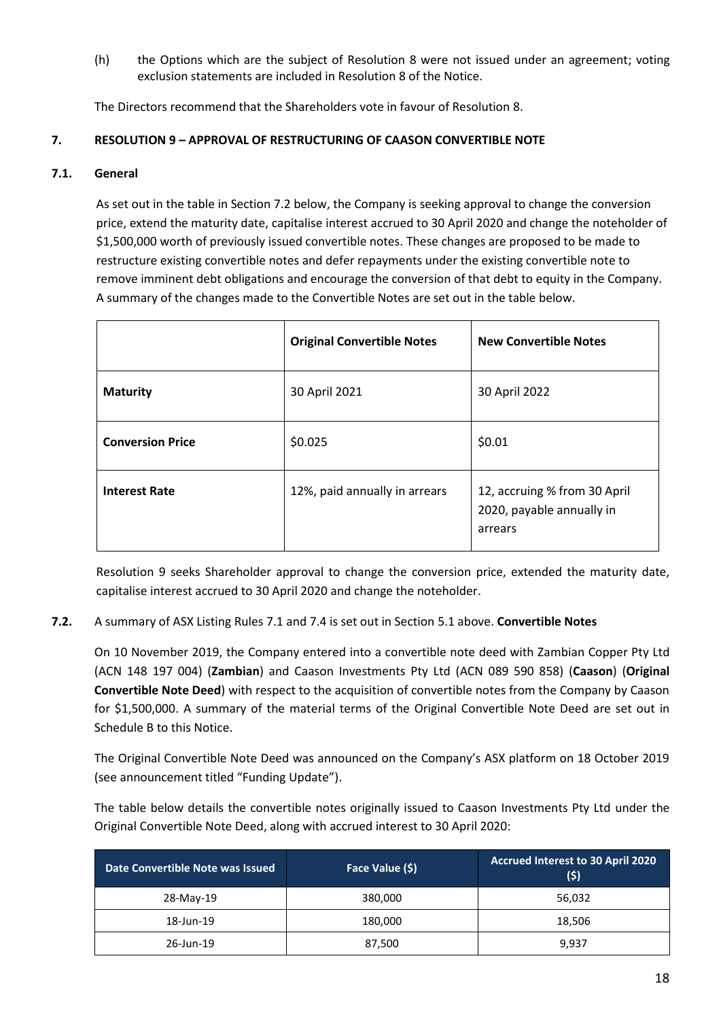(h) the Options which are the subject of Resolution 8 were not issued under an agreement; voting exclusion statements are included in Resolution 8 of the Notice.

The Directors recommend that the Shareholders vote in favour of Resolution 8.

# **7. RESOLUTION 9 – APPROVAL OF RESTRUCTURING OF CAASON CONVERTIBLE NOTE**

# **7.1. General**

As set out in the table in Section 7.2 below, the Company is seeking approval to change the conversion price, extend the maturity date, capitalise interest accrued to 30 April 2020 and change the noteholder of \$1,500,000 worth of previously issued convertible notes. These changes are proposed to be made to restructure existing convertible notes and defer repayments under the existing convertible note to remove imminent debt obligations and encourage the conversion of that debt to equity in the Company. A summary of the changes made to the Convertible Notes are set out in the table below.

|                         | <b>Original Convertible Notes</b> | <b>New Convertible Notes</b>                                         |
|-------------------------|-----------------------------------|----------------------------------------------------------------------|
| <b>Maturity</b>         | 30 April 2021                     | 30 April 2022                                                        |
| <b>Conversion Price</b> | \$0.025                           | \$0.01                                                               |
| <b>Interest Rate</b>    | 12%, paid annually in arrears     | 12, accruing % from 30 April<br>2020, payable annually in<br>arrears |

Resolution 9 seeks Shareholder approval to change the conversion price, extended the maturity date, capitalise interest accrued to 30 April 2020 and change the noteholder.

**7.2.** A summary of ASX Listing Rules 7.1 and 7.4 is set out in Section 5.1 above. **Convertible Notes** 

On 10 November 2019, the Company entered into a convertible note deed with Zambian Copper Pty Ltd (ACN 148 197 004) (**Zambian**) and Caason Investments Pty Ltd (ACN 089 590 858) (**Caason**) (**Original Convertible Note Deed**) with respect to the acquisition of convertible notes from the Company by Caason for \$1,500,000. A summary of the material terms of the Original Convertible Note Deed are set out in Schedule B to this Notice.

The Original Convertible Note Deed was announced on the Company's ASX platform on 18 October 2019 (see announcement titled "Funding Update").

The table below details the convertible notes originally issued to Caason Investments Pty Ltd under the Original Convertible Note Deed, along with accrued interest to 30 April 2020:

| Date Convertible Note was Issued | Face Value (\$) | Accrued Interest to 30 April 2020<br>(5) |
|----------------------------------|-----------------|------------------------------------------|
| 28-May-19                        | 380,000         | 56,032                                   |
| 18-Jun-19                        | 180,000         | 18,506                                   |
| 26-Jun-19                        | 87,500          | 9,937                                    |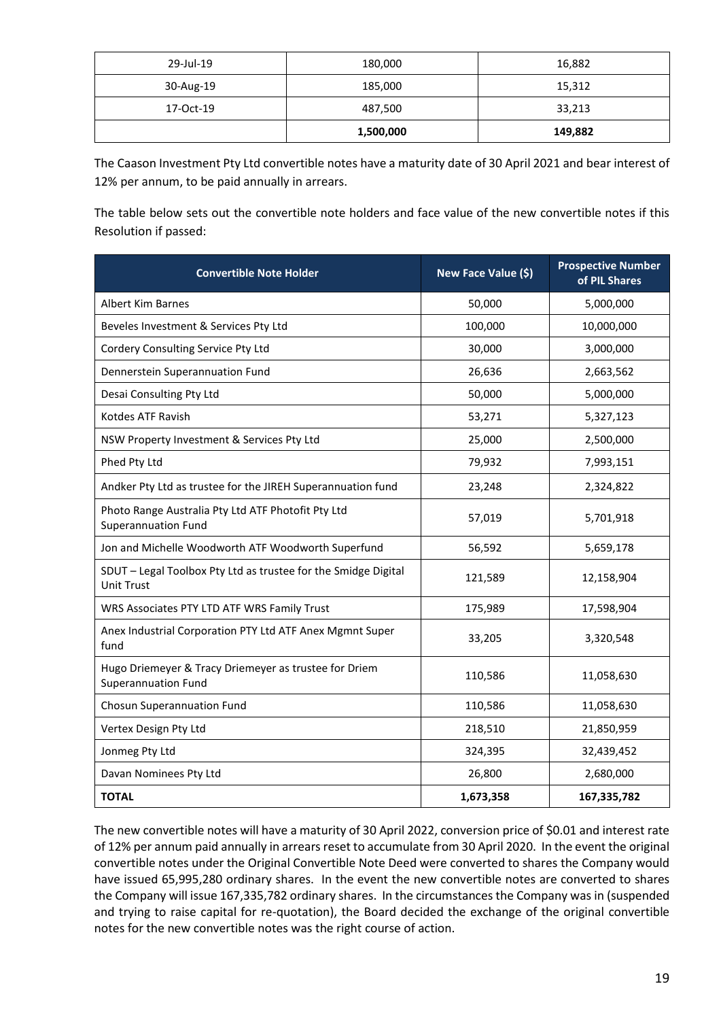| 29-Jul-19 | 180,000   | 16,882  |
|-----------|-----------|---------|
| 30-Aug-19 | 185,000   | 15,312  |
| 17-Oct-19 | 487,500   | 33,213  |
|           | 1,500,000 | 149,882 |

The Caason Investment Pty Ltd convertible notes have a maturity date of 30 April 2021 and bear interest of 12% per annum, to be paid annually in arrears.

The table below sets out the convertible note holders and face value of the new convertible notes if this Resolution if passed:

| <b>Convertible Note Holder</b>                                                      | New Face Value (\$) | <b>Prospective Number</b><br>of PIL Shares |
|-------------------------------------------------------------------------------------|---------------------|--------------------------------------------|
| <b>Albert Kim Barnes</b>                                                            | 50,000              | 5,000,000                                  |
| Beveles Investment & Services Pty Ltd                                               | 100,000             | 10,000,000                                 |
| Cordery Consulting Service Pty Ltd                                                  | 30,000              | 3,000,000                                  |
| Dennerstein Superannuation Fund                                                     | 26,636              | 2,663,562                                  |
| Desai Consulting Pty Ltd                                                            | 50,000              | 5,000,000                                  |
| Kotdes ATF Ravish                                                                   | 53,271              | 5,327,123                                  |
| NSW Property Investment & Services Pty Ltd                                          | 25,000              | 2,500,000                                  |
| Phed Pty Ltd                                                                        | 79,932              | 7,993,151                                  |
| Andker Pty Ltd as trustee for the JIREH Superannuation fund                         | 23,248              | 2,324,822                                  |
| Photo Range Australia Pty Ltd ATF Photofit Pty Ltd<br><b>Superannuation Fund</b>    | 57,019              | 5,701,918                                  |
| Jon and Michelle Woodworth ATF Woodworth Superfund                                  | 56,592              | 5,659,178                                  |
| SDUT - Legal Toolbox Pty Ltd as trustee for the Smidge Digital<br><b>Unit Trust</b> | 121,589             | 12,158,904                                 |
| WRS Associates PTY LTD ATF WRS Family Trust                                         | 175,989             | 17,598,904                                 |
| Anex Industrial Corporation PTY Ltd ATF Anex Mgmnt Super<br>fund                    | 33,205              | 3,320,548                                  |
| Hugo Driemeyer & Tracy Driemeyer as trustee for Driem<br><b>Superannuation Fund</b> | 110,586             | 11,058,630                                 |
| Chosun Superannuation Fund                                                          | 110,586             | 11,058,630                                 |
| Vertex Design Pty Ltd                                                               | 218,510             | 21,850,959                                 |
| Jonmeg Pty Ltd                                                                      | 324,395             | 32,439,452                                 |
| Davan Nominees Pty Ltd                                                              | 26,800              | 2,680,000                                  |
| <b>TOTAL</b>                                                                        | 1,673,358           | 167,335,782                                |

The new convertible notes will have a maturity of 30 April 2022, conversion price of \$0.01 and interest rate of 12% per annum paid annually in arrears reset to accumulate from 30 April 2020. In the event the original convertible notes under the Original Convertible Note Deed were converted to shares the Company would have issued 65,995,280 ordinary shares. In the event the new convertible notes are converted to shares the Company will issue 167,335,782 ordinary shares. In the circumstances the Company was in (suspended and trying to raise capital for re-quotation), the Board decided the exchange of the original convertible notes for the new convertible notes was the right course of action.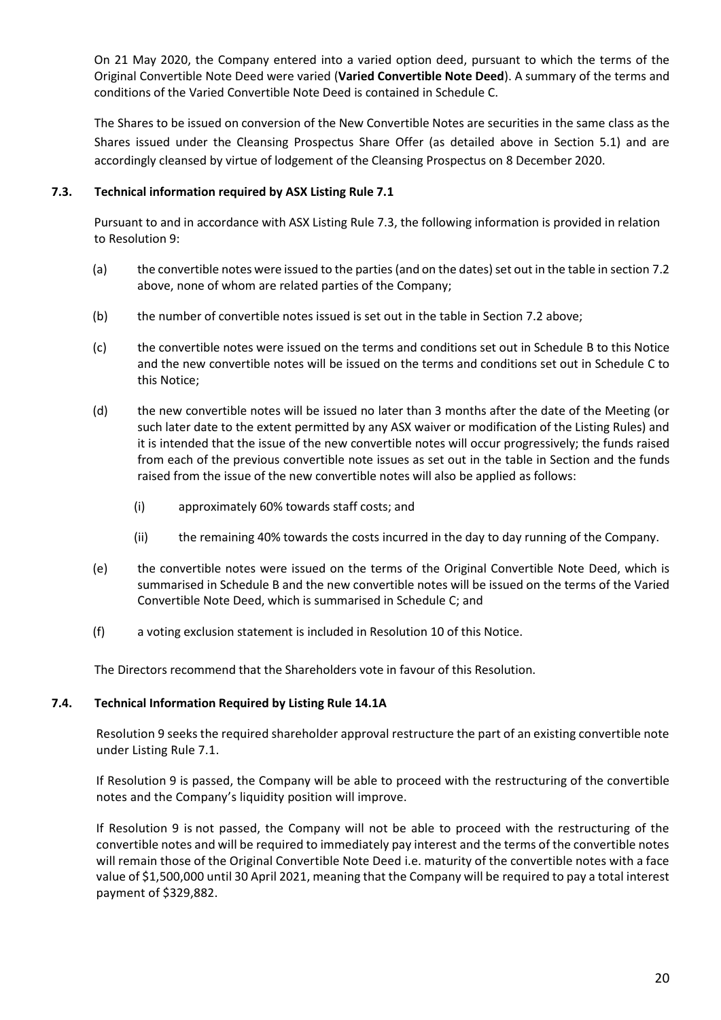On 21 May 2020, the Company entered into a varied option deed, pursuant to which the terms of the Original Convertible Note Deed were varied (**Varied Convertible Note Deed**). A summary of the terms and conditions of the Varied Convertible Note Deed is contained in Schedule C.

The Shares to be issued on conversion of the New Convertible Notes are securities in the same class as the Shares issued under the Cleansing Prospectus Share Offer (as detailed above in Section 5.1) and are accordingly cleansed by virtue of lodgement of the Cleansing Prospectus on 8 December 2020.

# **7.3. Technical information required by ASX Listing Rule 7.1**

Pursuant to and in accordance with ASX Listing Rule 7.3, the following information is provided in relation to Resolution 9:

- (a) the convertible notes were issued to the parties (and on the dates) set out in the table in section 7.2 above, none of whom are related parties of the Company;
- (b) the number of convertible notes issued is set out in the table in Section 7.2 above;
- (c) the convertible notes were issued on the terms and conditions set out in Schedule B to this Notice and the new convertible notes will be issued on the terms and conditions set out in Schedule C to this Notice;
- (d) the new convertible notes will be issued no later than 3 months after the date of the Meeting (or such later date to the extent permitted by any ASX waiver or modification of the Listing Rules) and it is intended that the issue of the new convertible notes will occur progressively; the funds raised from each of the previous convertible note issues as set out in the table in Section and the funds raised from the issue of the new convertible notes will also be applied as follows:
	- (i) approximately 60% towards staff costs; and
	- (ii) the remaining 40% towards the costs incurred in the day to day running of the Company.
- (e) the convertible notes were issued on the terms of the Original Convertible Note Deed, which is summarised in Schedule B and the new convertible notes will be issued on the terms of the Varied Convertible Note Deed, which is summarised in Schedule C; and
- (f) a voting exclusion statement is included in Resolution 10 of this Notice.

The Directors recommend that the Shareholders vote in favour of this Resolution.

#### **7.4. Technical Information Required by Listing Rule 14.1A**

Resolution 9 seeks the required shareholder approval restructure the part of an existing convertible note under Listing Rule 7.1.

If Resolution 9 is passed, the Company will be able to proceed with the restructuring of the convertible notes and the Company's liquidity position will improve.

If Resolution 9 is not passed, the Company will not be able to proceed with the restructuring of the convertible notes and will be required to immediately pay interest and the terms of the convertible notes will remain those of the Original Convertible Note Deed i.e. maturity of the convertible notes with a face value of \$1,500,000 until 30 April 2021, meaning that the Company will be required to pay a total interest payment of \$329,882.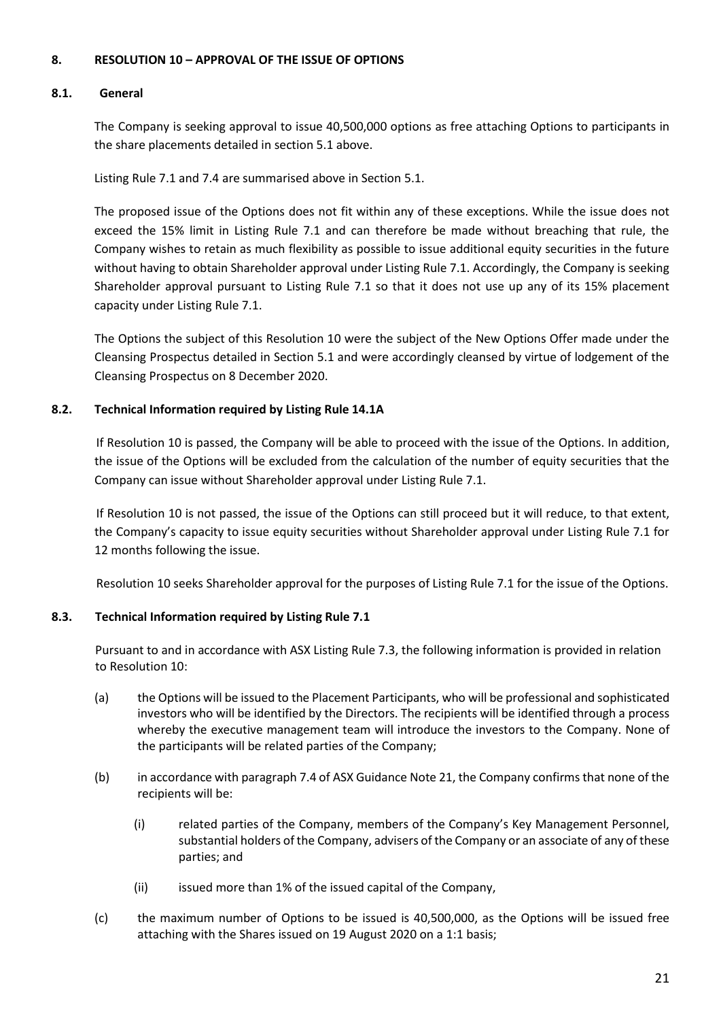# **8. RESOLUTION 10 – APPROVAL OF THE ISSUE OF OPTIONS**

#### **8.1. General**

The Company is seeking approval to issue 40,500,000 options as free attaching Options to participants in the share placements detailed in section 5.1 above.

Listing Rule 7.1 and 7.4 are summarised above in Section 5.1.

The proposed issue of the Options does not fit within any of these exceptions. While the issue does not exceed the 15% limit in Listing Rule 7.1 and can therefore be made without breaching that rule, the Company wishes to retain as much flexibility as possible to issue additional equity securities in the future without having to obtain Shareholder approval under Listing Rule 7.1. Accordingly, the Company is seeking Shareholder approval pursuant to Listing Rule 7.1 so that it does not use up any of its 15% placement capacity under Listing Rule 7.1.

The Options the subject of this Resolution 10 were the subject of the New Options Offer made under the Cleansing Prospectus detailed in Section 5.1 and were accordingly cleansed by virtue of lodgement of the Cleansing Prospectus on 8 December 2020.

# **8.2. Technical Information required by Listing Rule 14.1A**

If Resolution 10 is passed, the Company will be able to proceed with the issue of the Options. In addition, the issue of the Options will be excluded from the calculation of the number of equity securities that the Company can issue without Shareholder approval under Listing Rule 7.1.

If Resolution 10 is not passed, the issue of the Options can still proceed but it will reduce, to that extent, the Company's capacity to issue equity securities without Shareholder approval under Listing Rule 7.1 for 12 months following the issue.

Resolution 10 seeks Shareholder approval for the purposes of Listing Rule 7.1 for the issue of the Options.

# **8.3. Technical Information required by Listing Rule 7.1**

Pursuant to and in accordance with ASX Listing Rule 7.3, the following information is provided in relation to Resolution 10:

- (a) the Options will be issued to the Placement Participants, who will be professional and sophisticated investors who will be identified by the Directors. The recipients will be identified through a process whereby the executive management team will introduce the investors to the Company. None of the participants will be related parties of the Company;
- (b) in accordance with paragraph 7.4 of ASX Guidance Note 21, the Company confirms that none of the recipients will be:
	- (i) related parties of the Company, members of the Company's Key Management Personnel, substantial holders of the Company, advisers of the Company or an associate of any of these parties; and
	- (ii) issued more than 1% of the issued capital of the Company,
- (c) the maximum number of Options to be issued is 40,500,000, as the Options will be issued free attaching with the Shares issued on 19 August 2020 on a 1:1 basis;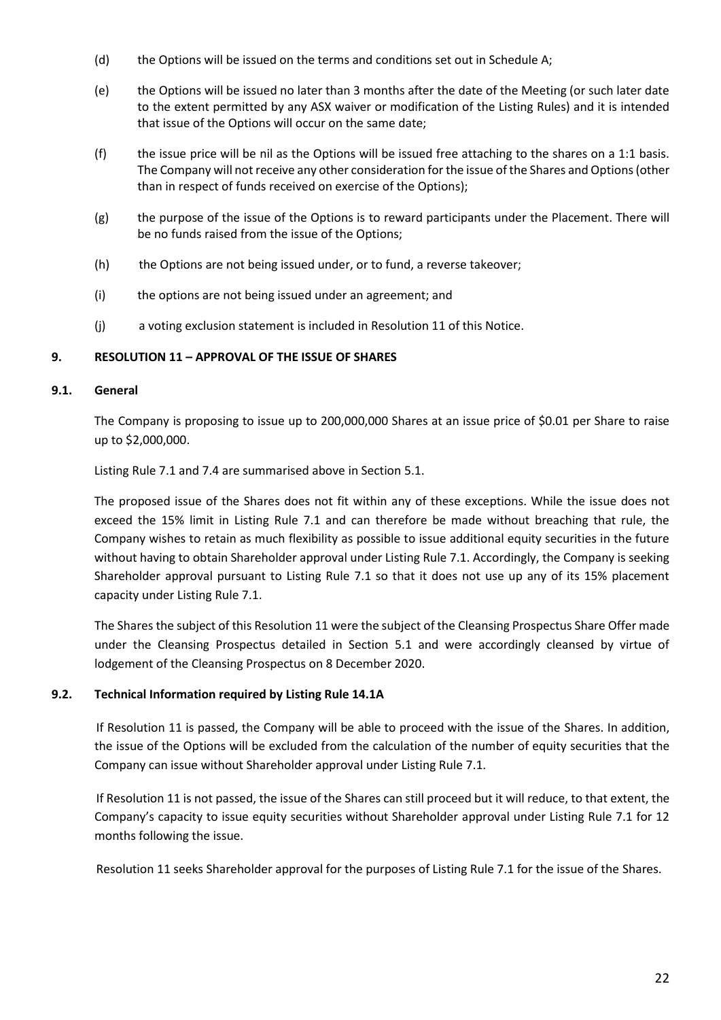- (d) the Options will be issued on the terms and conditions set out in Schedule A;
- (e) the Options will be issued no later than 3 months after the date of the Meeting (or such later date to the extent permitted by any ASX waiver or modification of the Listing Rules) and it is intended that issue of the Options will occur on the same date;
- (f) the issue price will be nil as the Options will be issued free attaching to the shares on a 1:1 basis. The Company will not receive any other consideration for the issue of the Shares and Options (other than in respect of funds received on exercise of the Options);
- (g) the purpose of the issue of the Options is to reward participants under the Placement. There will be no funds raised from the issue of the Options;
- (h) the Options are not being issued under, or to fund, a reverse takeover;
- (i) the options are not being issued under an agreement; and
- (j) a voting exclusion statement is included in Resolution 11 of this Notice.

# **9. RESOLUTION 11 – APPROVAL OF THE ISSUE OF SHARES**

#### **9.1. General**

The Company is proposing to issue up to 200,000,000 Shares at an issue price of \$0.01 per Share to raise up to \$2,000,000.

Listing Rule 7.1 and 7.4 are summarised above in Section 5.1.

The proposed issue of the Shares does not fit within any of these exceptions. While the issue does not exceed the 15% limit in Listing Rule 7.1 and can therefore be made without breaching that rule, the Company wishes to retain as much flexibility as possible to issue additional equity securities in the future without having to obtain Shareholder approval under Listing Rule 7.1. Accordingly, the Company is seeking Shareholder approval pursuant to Listing Rule 7.1 so that it does not use up any of its 15% placement capacity under Listing Rule 7.1.

The Shares the subject of this Resolution 11 were the subject of the Cleansing Prospectus Share Offer made under the Cleansing Prospectus detailed in Section 5.1 and were accordingly cleansed by virtue of lodgement of the Cleansing Prospectus on 8 December 2020.

# **9.2. Technical Information required by Listing Rule 14.1A**

If Resolution 11 is passed, the Company will be able to proceed with the issue of the Shares. In addition, the issue of the Options will be excluded from the calculation of the number of equity securities that the Company can issue without Shareholder approval under Listing Rule 7.1.

If Resolution 11 is not passed, the issue of the Shares can still proceed but it will reduce, to that extent, the Company's capacity to issue equity securities without Shareholder approval under Listing Rule 7.1 for 12 months following the issue.

Resolution 11 seeks Shareholder approval for the purposes of Listing Rule 7.1 for the issue of the Shares.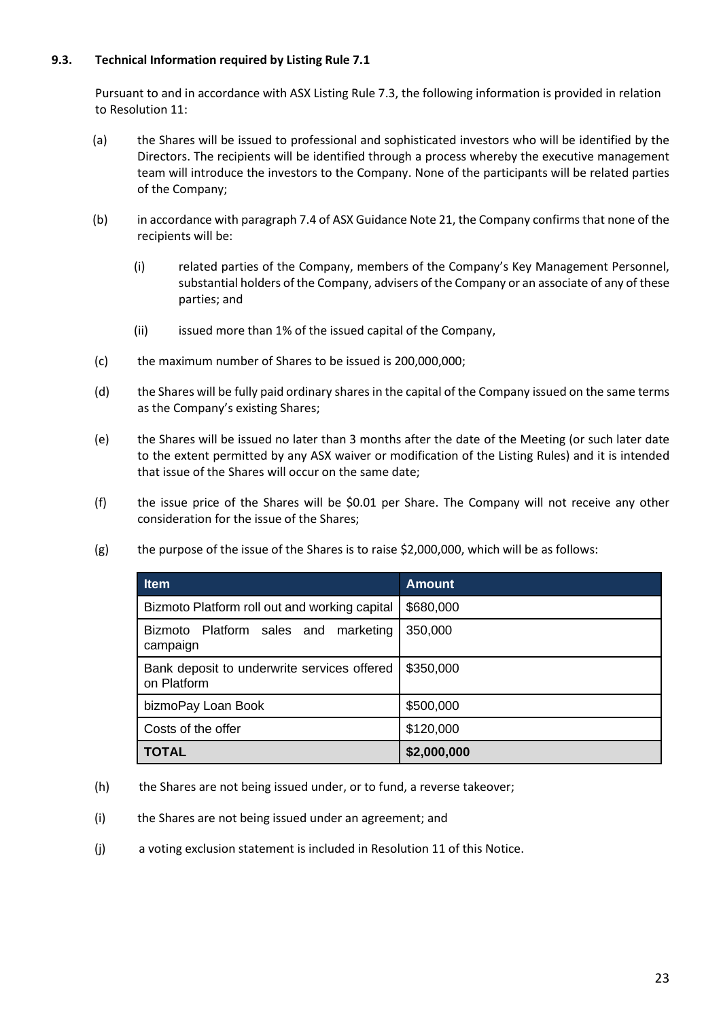# **9.3. Technical Information required by Listing Rule 7.1**

Pursuant to and in accordance with ASX Listing Rule 7.3, the following information is provided in relation to Resolution 11:

- (a) the Shares will be issued to professional and sophisticated investors who will be identified by the Directors. The recipients will be identified through a process whereby the executive management team will introduce the investors to the Company. None of the participants will be related parties of the Company;
- (b) in accordance with paragraph 7.4 of ASX Guidance Note 21, the Company confirms that none of the recipients will be:
	- (i) related parties of the Company, members of the Company's Key Management Personnel, substantial holders of the Company, advisers of the Company or an associate of any of these parties; and
	- (ii) issued more than 1% of the issued capital of the Company,
- (c) the maximum number of Shares to be issued is 200,000,000;
- (d) the Shares will be fully paid ordinary shares in the capital of the Company issued on the same terms as the Company's existing Shares;
- (e) the Shares will be issued no later than 3 months after the date of the Meeting (or such later date to the extent permitted by any ASX waiver or modification of the Listing Rules) and it is intended that issue of the Shares will occur on the same date;
- (f) the issue price of the Shares will be \$0.01 per Share. The Company will not receive any other consideration for the issue of the Shares;
- (g) the purpose of the issue of the Shares is to raise \$2,000,000, which will be as follows:

| <b>Item</b>                                                | <b>Amount</b> |
|------------------------------------------------------------|---------------|
| Bizmoto Platform roll out and working capital              | \$680,000     |
| Bizmoto Platform sales and marketing<br>campaign           | 350,000       |
| Bank deposit to underwrite services offered<br>on Platform | \$350,000     |
| bizmoPay Loan Book                                         | \$500,000     |
| Costs of the offer                                         | \$120,000     |
| <b>TOTAL</b>                                               | \$2,000,000   |

- (h) the Shares are not being issued under, or to fund, a reverse takeover;
- (i) the Shares are not being issued under an agreement; and
- (j) a voting exclusion statement is included in Resolution 11 of this Notice.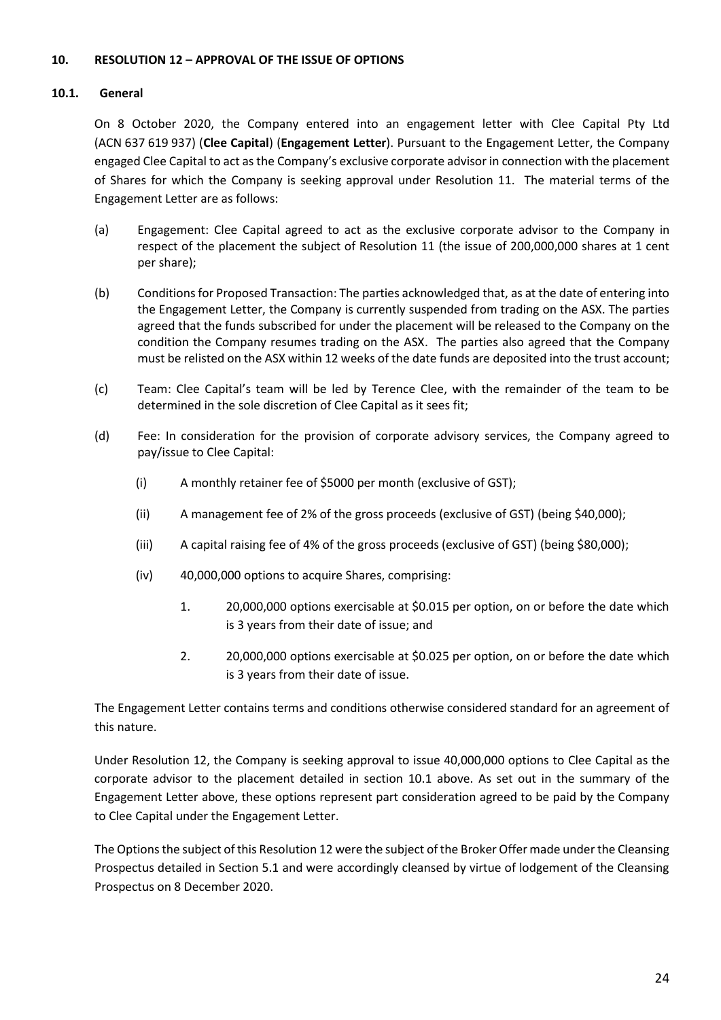# **10. RESOLUTION 12 – APPROVAL OF THE ISSUE OF OPTIONS**

#### **10.1. General**

On 8 October 2020, the Company entered into an engagement letter with Clee Capital Pty Ltd (ACN 637 619 937) (**Clee Capital**) (**Engagement Letter**). Pursuant to the Engagement Letter, the Company engaged Clee Capital to act as the Company's exclusive corporate advisor in connection with the placement of Shares for which the Company is seeking approval under Resolution 11. The material terms of the Engagement Letter are as follows:

- (a) Engagement: Clee Capital agreed to act as the exclusive corporate advisor to the Company in respect of the placement the subject of Resolution 11 (the issue of 200,000,000 shares at 1 cent per share);
- (b) Conditions for Proposed Transaction: The parties acknowledged that, as at the date of entering into the Engagement Letter, the Company is currently suspended from trading on the ASX. The parties agreed that the funds subscribed for under the placement will be released to the Company on the condition the Company resumes trading on the ASX. The parties also agreed that the Company must be relisted on the ASX within 12 weeks of the date funds are deposited into the trust account;
- (c) Team: Clee Capital's team will be led by Terence Clee, with the remainder of the team to be determined in the sole discretion of Clee Capital as it sees fit;
- (d) Fee: In consideration for the provision of corporate advisory services, the Company agreed to pay/issue to Clee Capital:
	- (i) A monthly retainer fee of \$5000 per month (exclusive of GST);
	- (ii) A management fee of 2% of the gross proceeds (exclusive of GST) (being \$40,000);
	- (iii) A capital raising fee of 4% of the gross proceeds (exclusive of GST) (being \$80,000);
	- (iv) 40,000,000 options to acquire Shares, comprising:
		- 1. 20,000,000 options exercisable at \$0.015 per option, on or before the date which is 3 years from their date of issue; and
		- 2. 20,000,000 options exercisable at \$0.025 per option, on or before the date which is 3 years from their date of issue.

The Engagement Letter contains terms and conditions otherwise considered standard for an agreement of this nature.

Under Resolution 12, the Company is seeking approval to issue 40,000,000 options to Clee Capital as the corporate advisor to the placement detailed in section 10.1 above. As set out in the summary of the Engagement Letter above, these options represent part consideration agreed to be paid by the Company to Clee Capital under the Engagement Letter.

The Options the subject of this Resolution 12 were the subject of the Broker Offer made under the Cleansing Prospectus detailed in Section 5.1 and were accordingly cleansed by virtue of lodgement of the Cleansing Prospectus on 8 December 2020.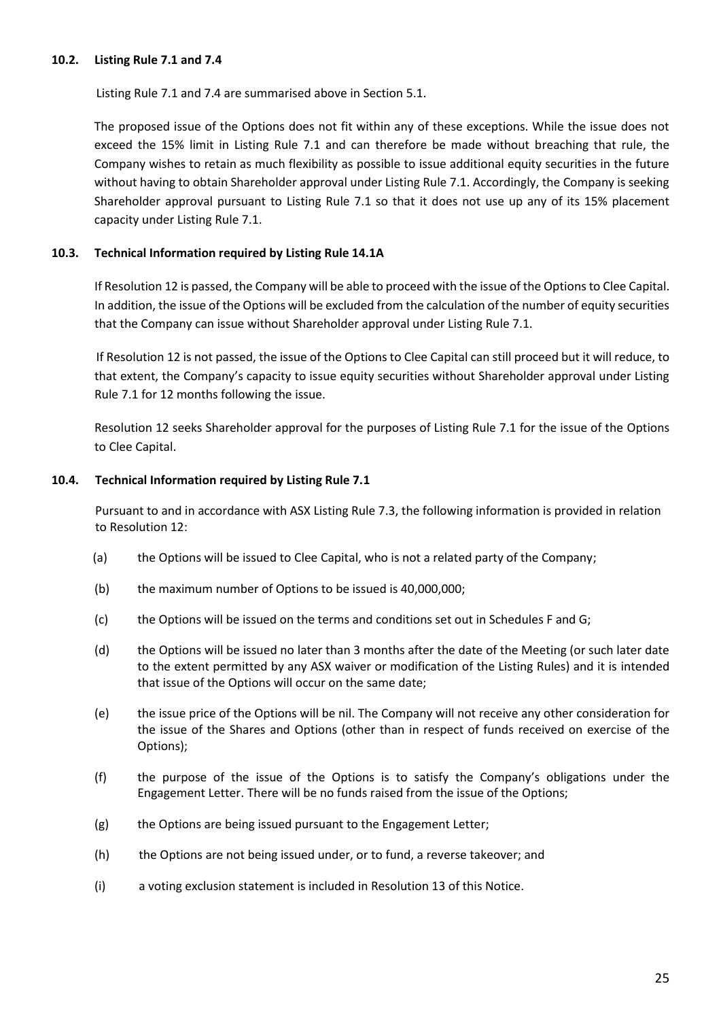#### **10.2. Listing Rule 7.1 and 7.4**

Listing Rule 7.1 and 7.4 are summarised above in Section 5.1.

The proposed issue of the Options does not fit within any of these exceptions. While the issue does not exceed the 15% limit in Listing Rule 7.1 and can therefore be made without breaching that rule, the Company wishes to retain as much flexibility as possible to issue additional equity securities in the future without having to obtain Shareholder approval under Listing Rule 7.1. Accordingly, the Company is seeking Shareholder approval pursuant to Listing Rule 7.1 so that it does not use up any of its 15% placement capacity under Listing Rule 7.1.

# **10.3. Technical Information required by Listing Rule 14.1A**

If Resolution 12 is passed, the Company will be able to proceed with the issue of the Optionsto Clee Capital. In addition, the issue of the Options will be excluded from the calculation of the number of equity securities that the Company can issue without Shareholder approval under Listing Rule 7.1.

If Resolution 12 is not passed, the issue of the Options to Clee Capital can still proceed but it will reduce, to that extent, the Company's capacity to issue equity securities without Shareholder approval under Listing Rule 7.1 for 12 months following the issue.

Resolution 12 seeks Shareholder approval for the purposes of Listing Rule 7.1 for the issue of the Options to Clee Capital.

# **10.4. Technical Information required by Listing Rule 7.1**

Pursuant to and in accordance with ASX Listing Rule 7.3, the following information is provided in relation to Resolution 12:

- (a) the Options will be issued to Clee Capital, who is not a related party of the Company;
- (b) the maximum number of Options to be issued is 40,000,000;
- (c) the Options will be issued on the terms and conditions set out in Schedules F and G;
- (d) the Options will be issued no later than 3 months after the date of the Meeting (or such later date to the extent permitted by any ASX waiver or modification of the Listing Rules) and it is intended that issue of the Options will occur on the same date;
- (e) the issue price of the Options will be nil. The Company will not receive any other consideration for the issue of the Shares and Options (other than in respect of funds received on exercise of the Options);
- (f) the purpose of the issue of the Options is to satisfy the Company's obligations under the Engagement Letter. There will be no funds raised from the issue of the Options;
- (g) the Options are being issued pursuant to the Engagement Letter;
- (h) the Options are not being issued under, or to fund, a reverse takeover; and
- (i) a voting exclusion statement is included in Resolution 13 of this Notice.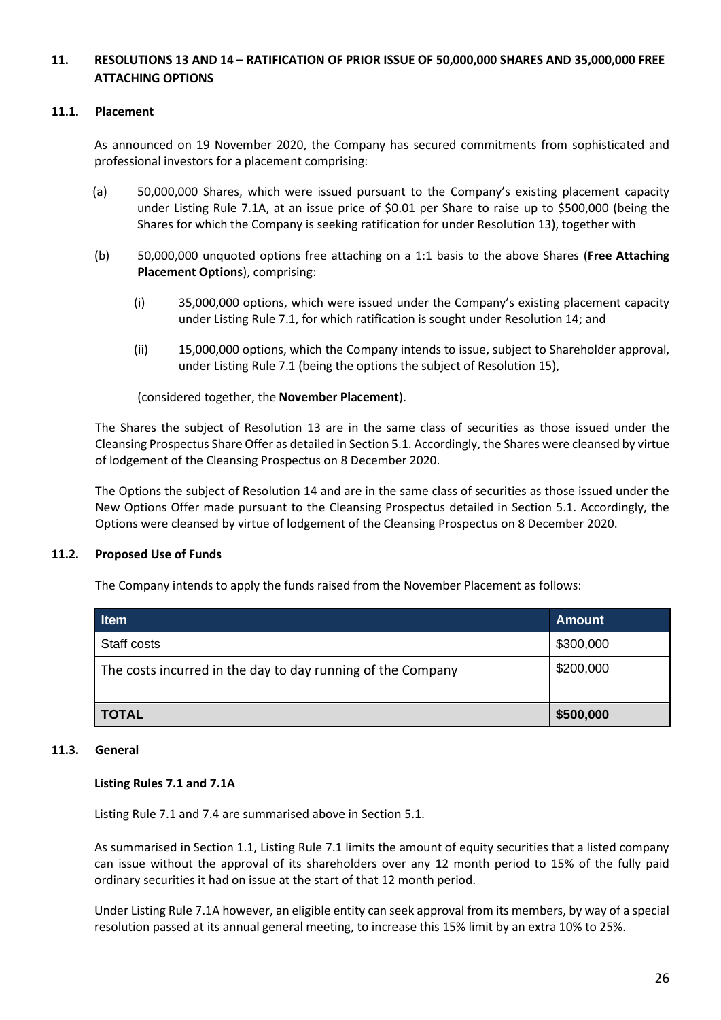# **11. RESOLUTIONS 13 AND 14 – RATIFICATION OF PRIOR ISSUE OF 50,000,000 SHARES AND 35,000,000 FREE ATTACHING OPTIONS**

# **11.1. Placement**

As announced on 19 November 2020, the Company has secured commitments from sophisticated and professional investors for a placement comprising:

- (a) 50,000,000 Shares, which were issued pursuant to the Company's existing placement capacity under Listing Rule 7.1A, at an issue price of \$0.01 per Share to raise up to \$500,000 (being the Shares for which the Company is seeking ratification for under Resolution 13), together with
- (b) 50,000,000 unquoted options free attaching on a 1:1 basis to the above Shares (**Free Attaching Placement Options**), comprising:
	- (i) 35,000,000 options, which were issued under the Company's existing placement capacity under Listing Rule 7.1, for which ratification is sought under Resolution 14; and
	- (ii) 15,000,000 options, which the Company intends to issue, subject to Shareholder approval, under Listing Rule 7.1 (being the options the subject of Resolution 15),

(considered together, the **November Placement**).

The Shares the subject of Resolution 13 are in the same class of securities as those issued under the Cleansing Prospectus Share Offer as detailed in Section 5.1. Accordingly, the Shares were cleansed by virtue of lodgement of the Cleansing Prospectus on 8 December 2020.

The Options the subject of Resolution 14 and are in the same class of securities as those issued under the New Options Offer made pursuant to the Cleansing Prospectus detailed in Section 5.1. Accordingly, the Options were cleansed by virtue of lodgement of the Cleansing Prospectus on 8 December 2020.

#### **11.2. Proposed Use of Funds**

The Company intends to apply the funds raised from the November Placement as follows:

| <b>Item</b>                                                 | <b>Amount</b> |
|-------------------------------------------------------------|---------------|
| Staff costs                                                 | \$300,000     |
| The costs incurred in the day to day running of the Company | \$200,000     |
| <b>TOTAL</b>                                                | \$500,000     |

#### **11.3. General**

#### **Listing Rules 7.1 and 7.1A**

Listing Rule 7.1 and 7.4 are summarised above in Section 5.1.

As summarised in Section 1.1, Listing Rule 7.1 limits the amount of equity securities that a listed company can issue without the approval of its shareholders over any 12 month period to 15% of the fully paid ordinary securities it had on issue at the start of that 12 month period.

Under Listing Rule 7.1A however, an eligible entity can seek approval from its members, by way of a special resolution passed at its annual general meeting, to increase this 15% limit by an extra 10% to 25%.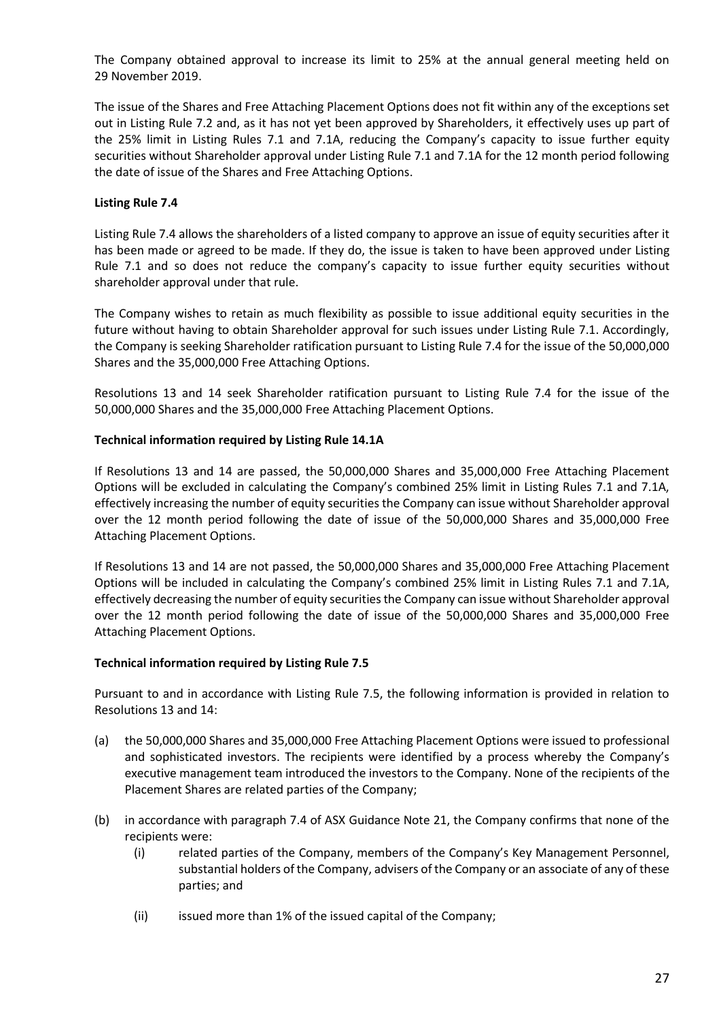The Company obtained approval to increase its limit to 25% at the annual general meeting held on 29 November 2019.

The issue of the Shares and Free Attaching Placement Options does not fit within any of the exceptions set out in Listing Rule 7.2 and, as it has not yet been approved by Shareholders, it effectively uses up part of the 25% limit in Listing Rules 7.1 and 7.1A, reducing the Company's capacity to issue further equity securities without Shareholder approval under Listing Rule 7.1 and 7.1A for the 12 month period following the date of issue of the Shares and Free Attaching Options.

# **Listing Rule 7.4**

Listing Rule 7.4 allows the shareholders of a listed company to approve an issue of equity securities after it has been made or agreed to be made. If they do, the issue is taken to have been approved under Listing Rule 7.1 and so does not reduce the company's capacity to issue further equity securities without shareholder approval under that rule.

The Company wishes to retain as much flexibility as possible to issue additional equity securities in the future without having to obtain Shareholder approval for such issues under Listing Rule 7.1. Accordingly, the Company is seeking Shareholder ratification pursuant to Listing Rule 7.4 for the issue of the 50,000,000 Shares and the 35,000,000 Free Attaching Options.

Resolutions 13 and 14 seek Shareholder ratification pursuant to Listing Rule 7.4 for the issue of the 50,000,000 Shares and the 35,000,000 Free Attaching Placement Options.

#### **Technical information required by Listing Rule 14.1A**

If Resolutions 13 and 14 are passed, the 50,000,000 Shares and 35,000,000 Free Attaching Placement Options will be excluded in calculating the Company's combined 25% limit in Listing Rules 7.1 and 7.1A, effectively increasing the number of equity securities the Company can issue without Shareholder approval over the 12 month period following the date of issue of the 50,000,000 Shares and 35,000,000 Free Attaching Placement Options.

If Resolutions 13 and 14 are not passed, the 50,000,000 Shares and 35,000,000 Free Attaching Placement Options will be included in calculating the Company's combined 25% limit in Listing Rules 7.1 and 7.1A, effectively decreasing the number of equity securities the Company can issue without Shareholder approval over the 12 month period following the date of issue of the 50,000,000 Shares and 35,000,000 Free Attaching Placement Options.

#### **Technical information required by Listing Rule 7.5**

Pursuant to and in accordance with Listing Rule 7.5, the following information is provided in relation to Resolutions 13 and 14:

- (a) the 50,000,000 Shares and 35,000,000 Free Attaching Placement Options were issued to professional and sophisticated investors. The recipients were identified by a process whereby the Company's executive management team introduced the investors to the Company. None of the recipients of the Placement Shares are related parties of the Company;
- (b) in accordance with paragraph 7.4 of ASX Guidance Note 21, the Company confirms that none of the recipients were:
	- (i) related parties of the Company, members of the Company's Key Management Personnel, substantial holders of the Company, advisers of the Company or an associate of any of these parties; and
	- (ii) issued more than 1% of the issued capital of the Company;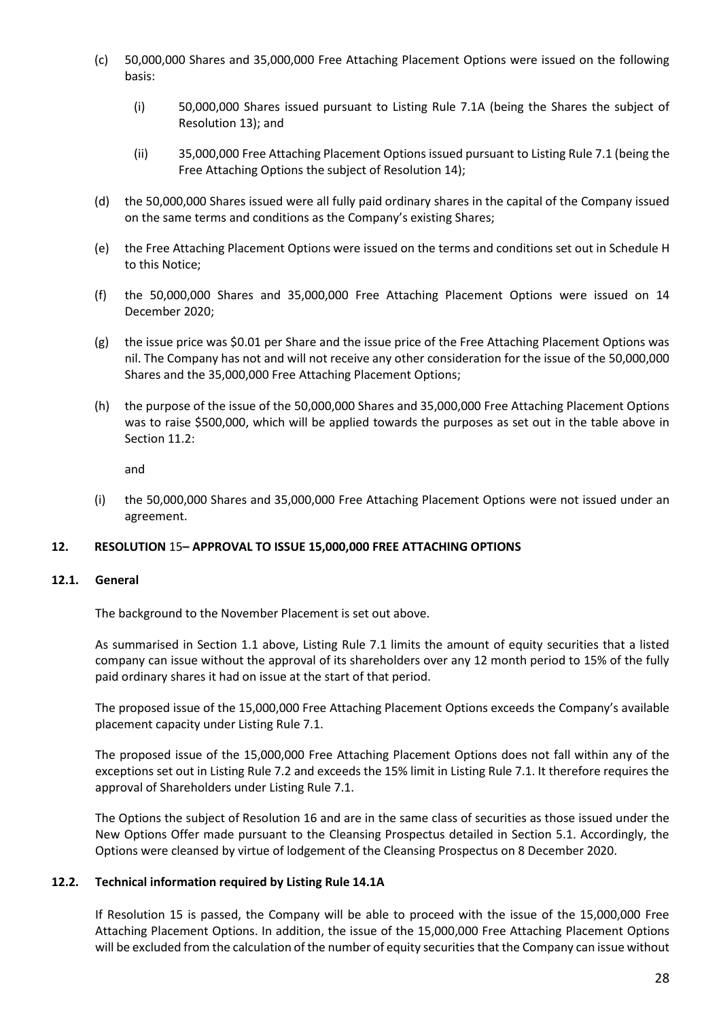- (c) 50,000,000 Shares and 35,000,000 Free Attaching Placement Options were issued on the following basis:
	- (i) 50,000,000 Shares issued pursuant to Listing Rule 7.1A (being the Shares the subject of Resolution 13); and
	- (ii) 35,000,000 Free Attaching Placement Options issued pursuant to Listing Rule 7.1 (being the Free Attaching Options the subject of Resolution 14);
- (d) the 50,000,000 Shares issued were all fully paid ordinary shares in the capital of the Company issued on the same terms and conditions as the Company's existing Shares;
- (e) the Free Attaching Placement Options were issued on the terms and conditions set out in Schedule H to this Notice;
- (f) the 50,000,000 Shares and 35,000,000 Free Attaching Placement Options were issued on 14 December 2020;
- (g) the issue price was \$0.01 per Share and the issue price of the Free Attaching Placement Options was nil. The Company has not and will not receive any other consideration for the issue of the 50,000,000 Shares and the 35,000,000 Free Attaching Placement Options;
- (h) the purpose of the issue of the 50,000,000 Shares and 35,000,000 Free Attaching Placement Options was to raise \$500,000, which will be applied towards the purposes as set out in the table above in Section 11.2:

and

(i) the 50,000,000 Shares and 35,000,000 Free Attaching Placement Options were not issued under an agreement.

#### **12. RESOLUTION** 15**– APPROVAL TO ISSUE 15,000,000 FREE ATTACHING OPTIONS**

#### **12.1. General**

The background to the November Placement is set out above.

As summarised in Section 1.1 above, Listing Rule 7.1 limits the amount of equity securities that a listed company can issue without the approval of its shareholders over any 12 month period to 15% of the fully paid ordinary shares it had on issue at the start of that period.

The proposed issue of the 15,000,000 Free Attaching Placement Options exceeds the Company's available placement capacity under Listing Rule 7.1.

The proposed issue of the 15,000,000 Free Attaching Placement Options does not fall within any of the exceptions set out in Listing Rule 7.2 and exceeds the 15% limit in Listing Rule 7.1. It therefore requires the approval of Shareholders under Listing Rule 7.1.

The Options the subject of Resolution 16 and are in the same class of securities as those issued under the New Options Offer made pursuant to the Cleansing Prospectus detailed in Section 5.1. Accordingly, the Options were cleansed by virtue of lodgement of the Cleansing Prospectus on 8 December 2020.

#### **12.2. Technical information required by Listing Rule 14.1A**

If Resolution 15 is passed, the Company will be able to proceed with the issue of the 15,000,000 Free Attaching Placement Options. In addition, the issue of the 15,000,000 Free Attaching Placement Options will be excluded from the calculation of the number of equity securities that the Company can issue without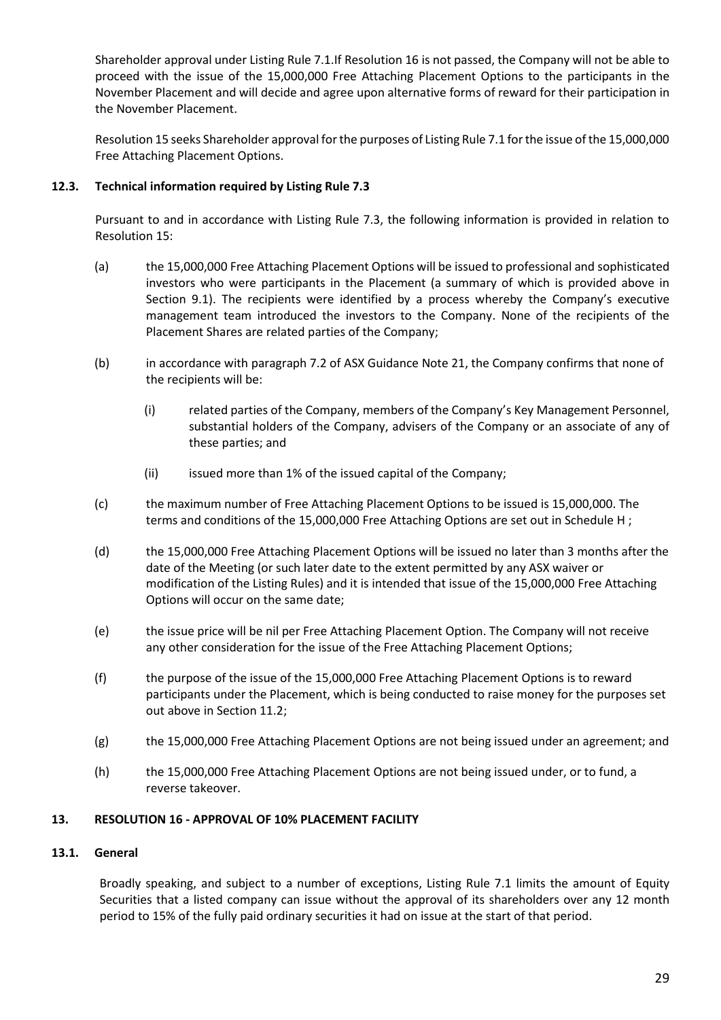Shareholder approval under Listing Rule 7.1.If Resolution 16 is not passed, the Company will not be able to proceed with the issue of the 15,000,000 Free Attaching Placement Options to the participants in the November Placement and will decide and agree upon alternative forms of reward for their participation in the November Placement.

Resolution 15 seeks Shareholder approval for the purposes of Listing Rule 7.1 for the issue of the 15,000,000 Free Attaching Placement Options.

# **12.3. Technical information required by Listing Rule 7.3**

Pursuant to and in accordance with Listing Rule 7.3, the following information is provided in relation to Resolution 15:

- (a) the 15,000,000 Free Attaching Placement Options will be issued to professional and sophisticated investors who were participants in the Placement (a summary of which is provided above in Section 9.1). The recipients were identified by a process whereby the Company's executive management team introduced the investors to the Company. None of the recipients of the Placement Shares are related parties of the Company;
- (b) in accordance with paragraph 7.2 of ASX Guidance Note 21, the Company confirms that none of the recipients will be:
	- (i) related parties of the Company, members of the Company's Key Management Personnel, substantial holders of the Company, advisers of the Company or an associate of any of these parties; and
	- (ii) issued more than 1% of the issued capital of the Company;
- (c) the maximum number of Free Attaching Placement Options to be issued is 15,000,000. The terms and conditions of the 15,000,000 Free Attaching Options are set out in Schedule H ;
- (d) the 15,000,000 Free Attaching Placement Options will be issued no later than 3 months after the date of the Meeting (or such later date to the extent permitted by any ASX waiver or modification of the Listing Rules) and it is intended that issue of the 15,000,000 Free Attaching Options will occur on the same date;
- (e) the issue price will be nil per Free Attaching Placement Option. The Company will not receive any other consideration for the issue of the Free Attaching Placement Options;
- (f) the purpose of the issue of the 15,000,000 Free Attaching Placement Options is to reward participants under the Placement, which is being conducted to raise money for the purposes set out above in Section 11.2;
- (g) the 15,000,000 Free Attaching Placement Options are not being issued under an agreement; and
- (h) the 15,000,000 Free Attaching Placement Options are not being issued under, or to fund, a reverse takeover.

# **13. RESOLUTION 16 - APPROVAL OF 10% PLACEMENT FACILITY**

# **13.1. General**

Broadly speaking, and subject to a number of exceptions, Listing Rule 7.1 limits the amount of Equity Securities that a listed company can issue without the approval of its shareholders over any 12 month period to 15% of the fully paid ordinary securities it had on issue at the start of that period.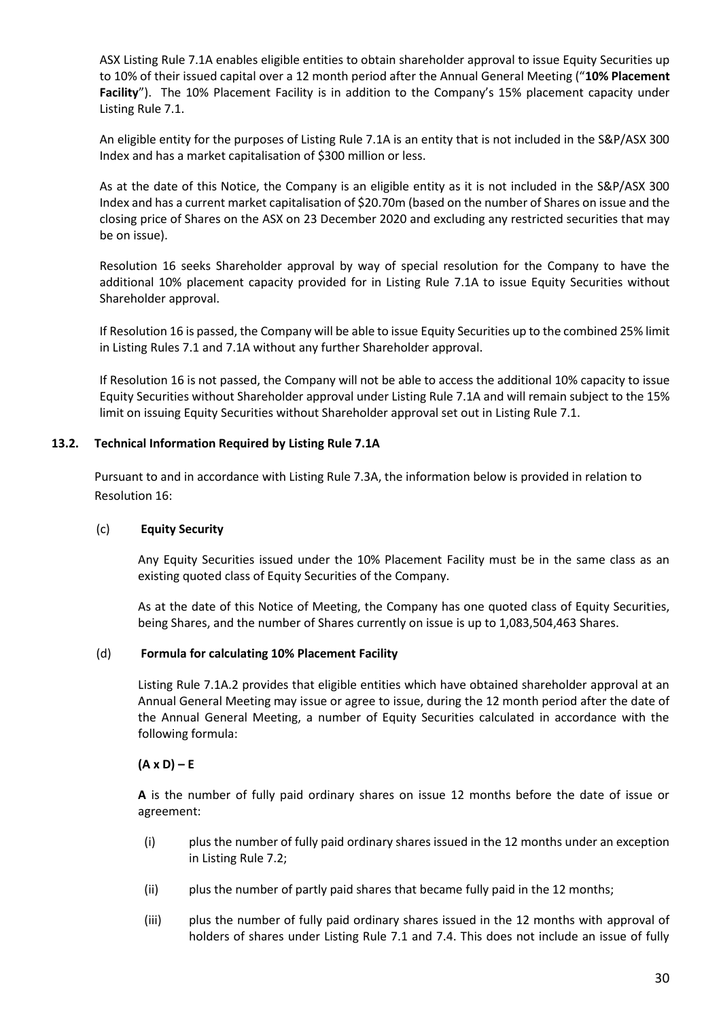ASX Listing Rule 7.1A enables eligible entities to obtain shareholder approval to issue Equity Securities up to 10% of their issued capital over a 12 month period after the Annual General Meeting ("**10% Placement Facility**"). The 10% Placement Facility is in addition to the Company's 15% placement capacity under Listing Rule 7.1.

An eligible entity for the purposes of Listing Rule 7.1A is an entity that is not included in the S&P/ASX 300 Index and has a market capitalisation of \$300 million or less.

As at the date of this Notice, the Company is an eligible entity as it is not included in the S&P/ASX 300 Index and has a current market capitalisation of \$20.70m (based on the number of Shares on issue and the closing price of Shares on the ASX on 23 December 2020 and excluding any restricted securities that may be on issue).

Resolution 16 seeks Shareholder approval by way of special resolution for the Company to have the additional 10% placement capacity provided for in Listing Rule 7.1A to issue Equity Securities without Shareholder approval.

If Resolution 16 is passed, the Company will be able to issue Equity Securities up to the combined 25% limit in Listing Rules 7.1 and 7.1A without any further Shareholder approval.

If Resolution 16 is not passed, the Company will not be able to access the additional 10% capacity to issue Equity Securities without Shareholder approval under Listing Rule 7.1A and will remain subject to the 15% limit on issuing Equity Securities without Shareholder approval set out in Listing Rule 7.1.

# **13.2. Technical Information Required by Listing Rule 7.1A**

Pursuant to and in accordance with Listing Rule 7.3A, the information below is provided in relation to Resolution 16:

#### (c) **Equity Security**

Any Equity Securities issued under the 10% Placement Facility must be in the same class as an existing quoted class of Equity Securities of the Company.

As at the date of this Notice of Meeting, the Company has one quoted class of Equity Securities, being Shares, and the number of Shares currently on issue is up to 1,083,504,463 Shares.

#### (d) **Formula for calculating 10% Placement Facility**

Listing Rule 7.1A.2 provides that eligible entities which have obtained shareholder approval at an Annual General Meeting may issue or agree to issue, during the 12 month period after the date of the Annual General Meeting, a number of Equity Securities calculated in accordance with the following formula:

#### $(A \times D) - E$

**A** is the number of fully paid ordinary shares on issue 12 months before the date of issue or agreement:

- (i) plus the number of fully paid ordinary shares issued in the 12 months under an exception in Listing Rule 7.2;
- (ii) plus the number of partly paid shares that became fully paid in the 12 months;
- (iii) plus the number of fully paid ordinary shares issued in the 12 months with approval of holders of shares under Listing Rule 7.1 and 7.4. This does not include an issue of fully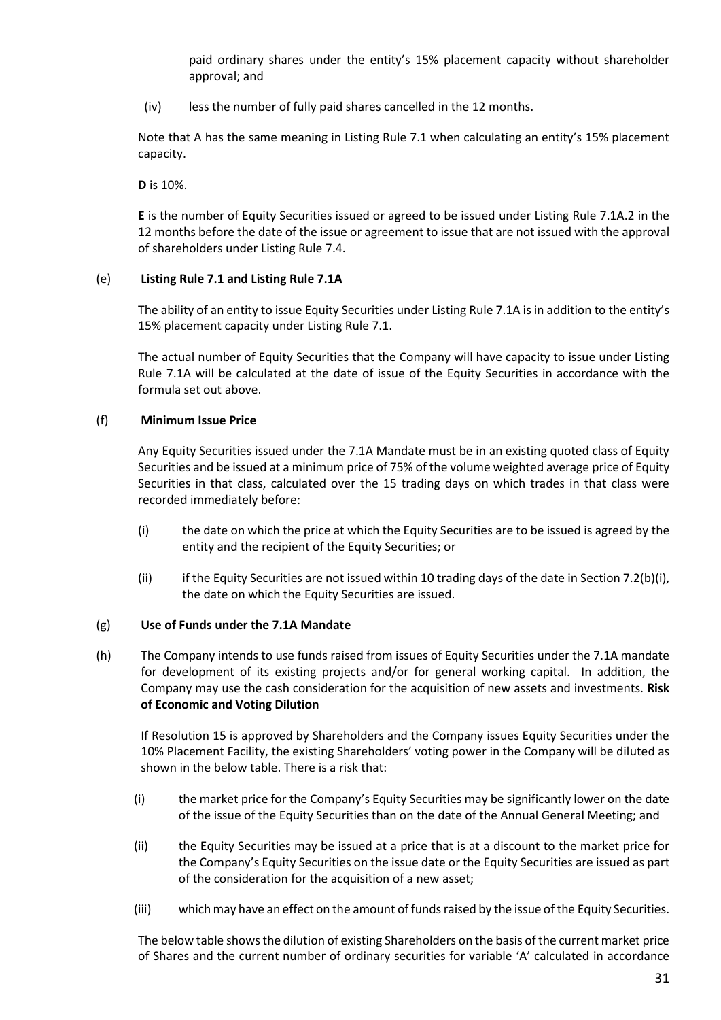paid ordinary shares under the entity's 15% placement capacity without shareholder approval; and

(iv) less the number of fully paid shares cancelled in the 12 months.

Note that A has the same meaning in Listing Rule 7.1 when calculating an entity's 15% placement capacity.

**D** is 10%.

**E** is the number of Equity Securities issued or agreed to be issued under Listing Rule 7.1A.2 in the 12 months before the date of the issue or agreement to issue that are not issued with the approval of shareholders under Listing Rule 7.4.

# (e) **Listing Rule 7.1 and Listing Rule 7.1A**

The ability of an entity to issue Equity Securities under Listing Rule 7.1A is in addition to the entity's 15% placement capacity under Listing Rule 7.1.

The actual number of Equity Securities that the Company will have capacity to issue under Listing Rule 7.1A will be calculated at the date of issue of the Equity Securities in accordance with the formula set out above.

# (f) **Minimum Issue Price**

Any Equity Securities issued under the 7.1A Mandate must be in an existing quoted class of Equity Securities and be issued at a minimum price of 75% of the volume weighted average price of Equity Securities in that class, calculated over the 15 trading days on which trades in that class were recorded immediately before:

- (i) the date on which the price at which the Equity Securities are to be issued is agreed by the entity and the recipient of the Equity Securities; or
- (ii) if the Equity Securities are not issued within 10 trading days of the date in Section 7.2(b)(i), the date on which the Equity Securities are issued.

#### (g) **Use of Funds under the 7.1A Mandate**

(h) The Company intends to use funds raised from issues of Equity Securities under the 7.1A mandate for development of its existing projects and/or for general working capital. In addition, the Company may use the cash consideration for the acquisition of new assets and investments. **Risk of Economic and Voting Dilution**

If Resolution 15 is approved by Shareholders and the Company issues Equity Securities under the 10% Placement Facility, the existing Shareholders' voting power in the Company will be diluted as shown in the below table. There is a risk that:

- (i) the market price for the Company's Equity Securities may be significantly lower on the date of the issue of the Equity Securities than on the date of the Annual General Meeting; and
- (ii) the Equity Securities may be issued at a price that is at a discount to the market price for the Company's Equity Securities on the issue date or the Equity Securities are issued as part of the consideration for the acquisition of a new asset;
- (iii) which may have an effect on the amount of funds raised by the issue of the Equity Securities.

The below table shows the dilution of existing Shareholders on the basis of the current market price of Shares and the current number of ordinary securities for variable 'A' calculated in accordance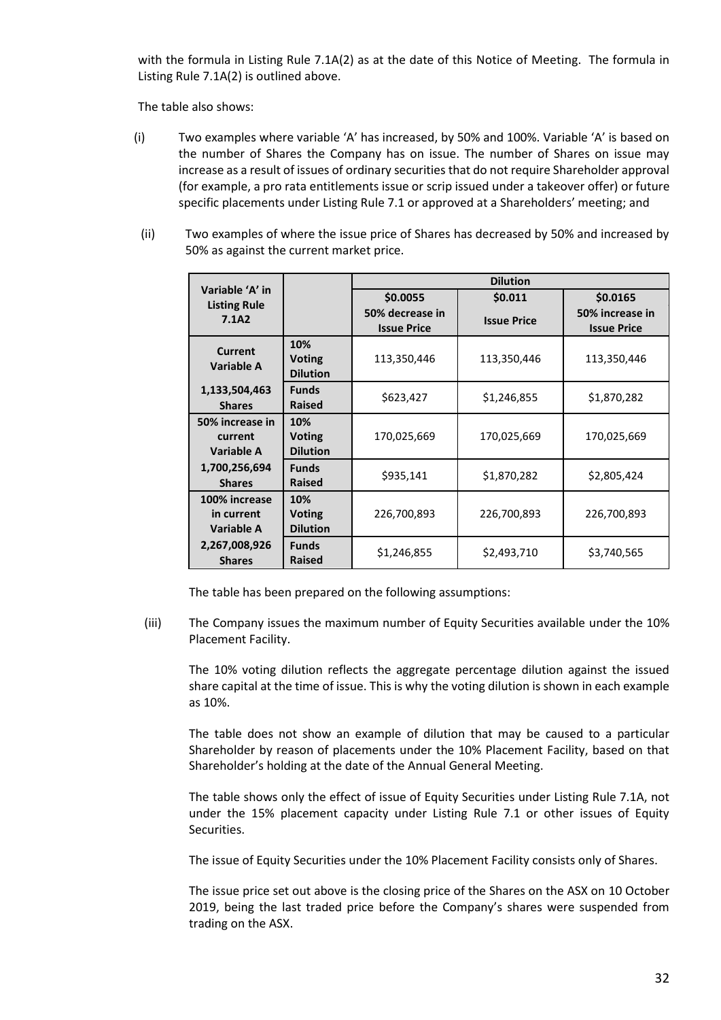with the formula in Listing Rule 7.1A(2) as at the date of this Notice of Meeting. The formula in Listing Rule 7.1A(2) is outlined above.

The table also shows:

- (i) Two examples where variable 'A' has increased, by 50% and 100%. Variable 'A' is based on the number of Shares the Company has on issue. The number of Shares on issue may increase as a result of issues of ordinary securities that do not require Shareholder approval (for example, a pro rata entitlements issue or scrip issued under a takeover offer) or future specific placements under Listing Rule 7.1 or approved at a Shareholders' meeting; and
- (ii) Two examples of where the issue price of Shares has decreased by 50% and increased by 50% as against the current market price.

|                                           |                                         | <b>Dilution</b>                       |                    |                                       |  |
|-------------------------------------------|-----------------------------------------|---------------------------------------|--------------------|---------------------------------------|--|
| Variable 'A' in<br><b>Listing Rule</b>    |                                         | \$0.0055                              | \$0.011            | \$0.0165                              |  |
| 7.1A2                                     |                                         | 50% decrease in<br><b>Issue Price</b> | <b>Issue Price</b> | 50% increase in<br><b>Issue Price</b> |  |
| <b>Current</b><br><b>Variable A</b>       | 10%<br><b>Voting</b><br><b>Dilution</b> | 113,350,446                           | 113,350,446        | 113,350,446                           |  |
| 1,133,504,463<br><b>Shares</b>            | <b>Funds</b><br><b>Raised</b>           | \$623,427                             | \$1,246,855        | \$1,870,282                           |  |
| 50% increase in<br>current<br>Variable A  | 10%<br><b>Voting</b><br><b>Dilution</b> | 170,025,669                           | 170,025,669        | 170,025,669                           |  |
| 1,700,256,694<br><b>Shares</b>            | <b>Funds</b><br><b>Raised</b>           | \$935,141                             | \$1,870,282        | \$2,805,424                           |  |
| 100% increase<br>in current<br>Variable A | 10%<br><b>Voting</b><br><b>Dilution</b> | 226,700,893                           | 226,700,893        | 226,700,893                           |  |
| 2,267,008,926<br><b>Shares</b>            | <b>Funds</b><br><b>Raised</b>           | \$1,246,855                           | \$2,493,710        | \$3,740,565                           |  |

The table has been prepared on the following assumptions:

(iii) The Company issues the maximum number of Equity Securities available under the 10% Placement Facility.

The 10% voting dilution reflects the aggregate percentage dilution against the issued share capital at the time of issue. This is why the voting dilution is shown in each example as 10%.

The table does not show an example of dilution that may be caused to a particular Shareholder by reason of placements under the 10% Placement Facility, based on that Shareholder's holding at the date of the Annual General Meeting.

The table shows only the effect of issue of Equity Securities under Listing Rule 7.1A, not under the 15% placement capacity under Listing Rule 7.1 or other issues of Equity Securities.

The issue of Equity Securities under the 10% Placement Facility consists only of Shares.

The issue price set out above is the closing price of the Shares on the ASX on 10 October 2019, being the last traded price before the Company's shares were suspended from trading on the ASX.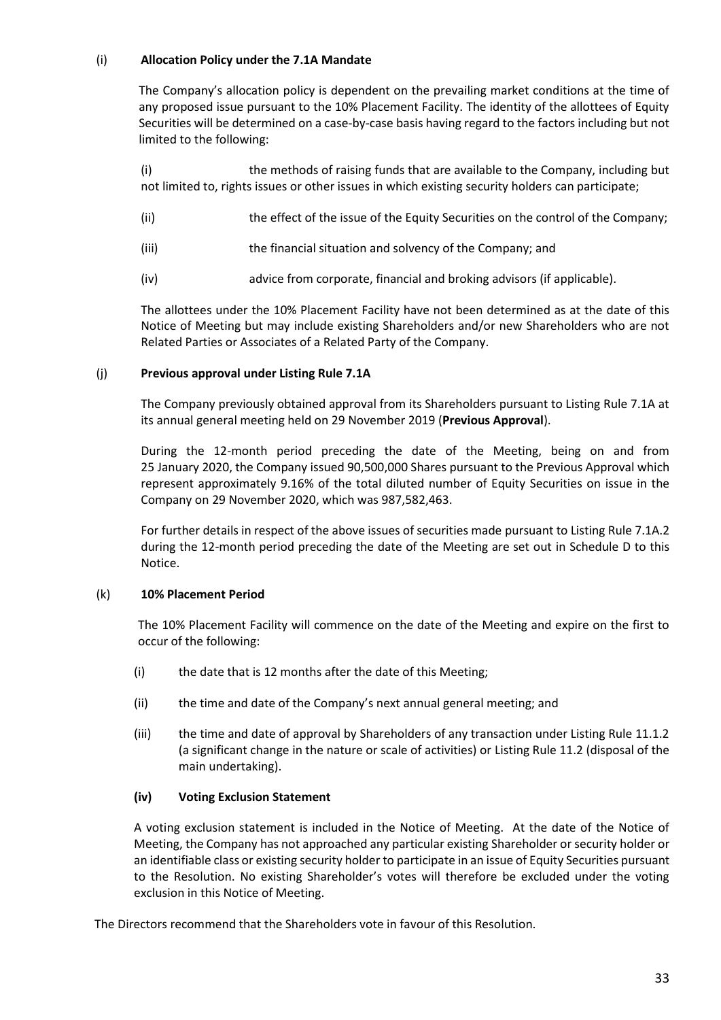# (i) **Allocation Policy under the 7.1A Mandate**

The Company's allocation policy is dependent on the prevailing market conditions at the time of any proposed issue pursuant to the 10% Placement Facility. The identity of the allottees of Equity Securities will be determined on a case-by-case basis having regard to the factors including but not limited to the following:

(i) the methods of raising funds that are available to the Company, including but not limited to, rights issues or other issues in which existing security holders can participate;

- (ii) the effect of the issue of the Equity Securities on the control of the Company;
- (iii) the financial situation and solvency of the Company; and
- (iv) advice from corporate, financial and broking advisors (if applicable).

The allottees under the 10% Placement Facility have not been determined as at the date of this Notice of Meeting but may include existing Shareholders and/or new Shareholders who are not Related Parties or Associates of a Related Party of the Company.

#### (j) **Previous approval under Listing Rule 7.1A**

The Company previously obtained approval from its Shareholders pursuant to Listing Rule 7.1A at its annual general meeting held on 29 November 2019 (**Previous Approval**).

During the 12-month period preceding the date of the Meeting, being on and from 25 January 2020, the Company issued 90,500,000 Shares pursuant to the Previous Approval which represent approximately 9.16% of the total diluted number of Equity Securities on issue in the Company on 29 November 2020, which was 987,582,463.

For further details in respect of the above issues of securities made pursuant to Listing Rule 7.1A.2 during the 12-month period preceding the date of the Meeting are set out in Schedule D to this Notice.

#### (k) **10% Placement Period**

The 10% Placement Facility will commence on the date of the Meeting and expire on the first to occur of the following:

- (i) the date that is 12 months after the date of this Meeting;
- (ii) the time and date of the Company's next annual general meeting; and
- (iii) the time and date of approval by Shareholders of any transaction under Listing Rule 11.1.2 (a significant change in the nature or scale of activities) or Listing Rule 11.2 (disposal of the main undertaking).

#### **(iv) Voting Exclusion Statement**

A voting exclusion statement is included in the Notice of Meeting. At the date of the Notice of Meeting, the Company has not approached any particular existing Shareholder or security holder or an identifiable class or existing security holder to participate in an issue of Equity Securities pursuant to the Resolution. No existing Shareholder's votes will therefore be excluded under the voting exclusion in this Notice of Meeting.

The Directors recommend that the Shareholders vote in favour of this Resolution.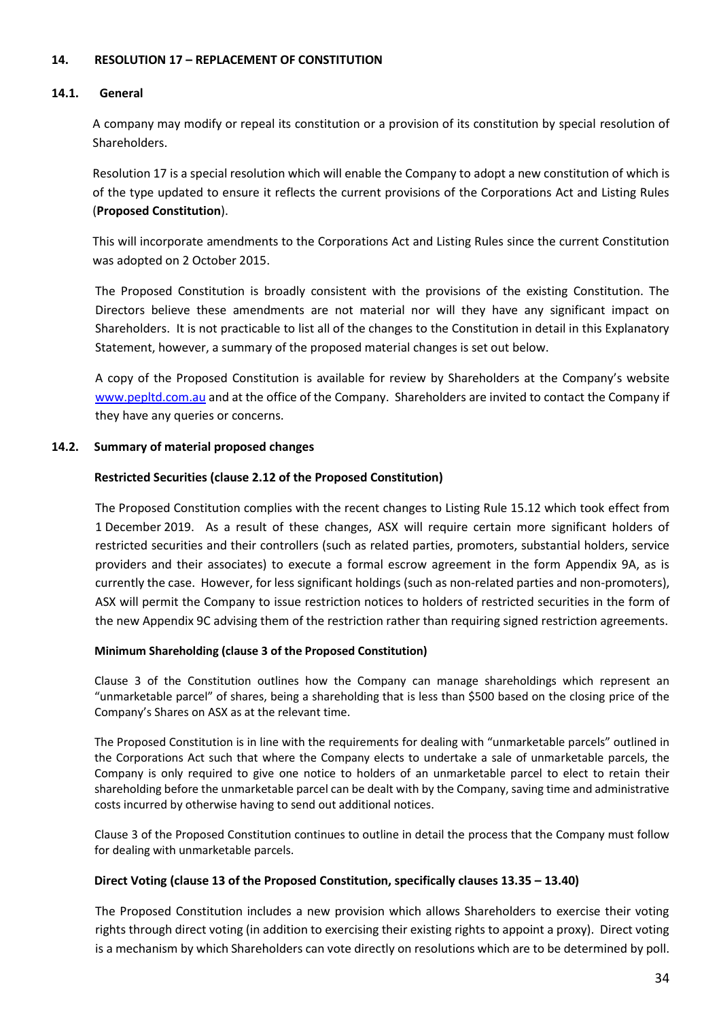# **14. RESOLUTION 17 – REPLACEMENT OF CONSTITUTION**

#### **14.1. General**

A company may modify or repeal its constitution or a provision of its constitution by special resolution of Shareholders.

Resolution 17 is a special resolution which will enable the Company to adopt a new constitution of which is of the type updated to ensure it reflects the current provisions of the Corporations Act and Listing Rules (**Proposed Constitution**).

This will incorporate amendments to the Corporations Act and Listing Rules since the current Constitution was adopted on 2 October 2015.

The Proposed Constitution is broadly consistent with the provisions of the existing Constitution. The Directors believe these amendments are not material nor will they have any significant impact on Shareholders. It is not practicable to list all of the changes to the Constitution in detail in this Explanatory Statement, however, a summary of the proposed material changes is set out below.

A copy of the Proposed Constitution is available for review by Shareholders at the Company's website [www.pepltd.com.](http://www.pepltd.com/)au and at the office of the Company. Shareholders are invited to contact the Company if they have any queries or concerns.

#### **14.2. Summary of material proposed changes**

#### **Restricted Securities (clause 2.12 of the Proposed Constitution)**

The Proposed Constitution complies with the recent changes to Listing Rule 15.12 which took effect from 1 December 2019. As a result of these changes, ASX will require certain more significant holders of restricted securities and their controllers (such as related parties, promoters, substantial holders, service providers and their associates) to execute a formal escrow agreement in the form Appendix 9A, as is currently the case. However, for less significant holdings (such as non-related parties and non-promoters), ASX will permit the Company to issue restriction notices to holders of restricted securities in the form of the new Appendix 9C advising them of the restriction rather than requiring signed restriction agreements.

#### **Minimum Shareholding (clause 3 of the Proposed Constitution)**

Clause 3 of the Constitution outlines how the Company can manage shareholdings which represent an "unmarketable parcel" of shares, being a shareholding that is less than \$500 based on the closing price of the Company's Shares on ASX as at the relevant time.

The Proposed Constitution is in line with the requirements for dealing with "unmarketable parcels" outlined in the Corporations Act such that where the Company elects to undertake a sale of unmarketable parcels, the Company is only required to give one notice to holders of an unmarketable parcel to elect to retain their shareholding before the unmarketable parcel can be dealt with by the Company, saving time and administrative costs incurred by otherwise having to send out additional notices.

Clause 3 of the Proposed Constitution continues to outline in detail the process that the Company must follow for dealing with unmarketable parcels.

#### **Direct Voting (clause 13 of the Proposed Constitution, specifically clauses 13.35 – 13.40)**

The Proposed Constitution includes a new provision which allows Shareholders to exercise their voting rights through direct voting (in addition to exercising their existing rights to appoint a proxy). Direct voting is a mechanism by which Shareholders can vote directly on resolutions which are to be determined by poll.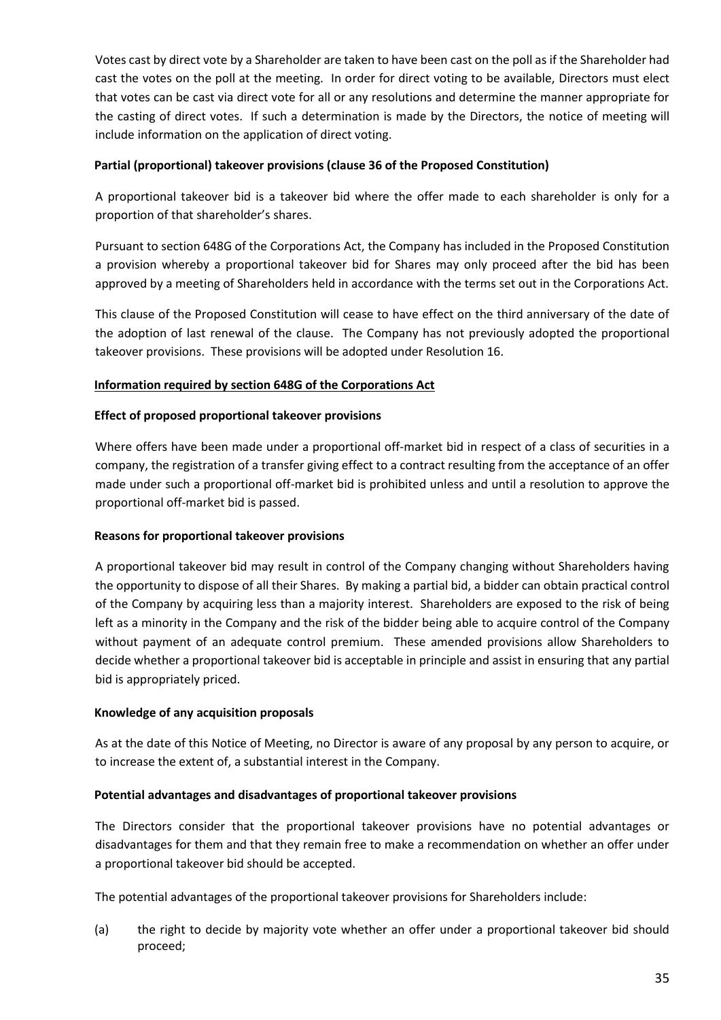Votes cast by direct vote by a Shareholder are taken to have been cast on the poll as if the Shareholder had cast the votes on the poll at the meeting. In order for direct voting to be available, Directors must elect that votes can be cast via direct vote for all or any resolutions and determine the manner appropriate for the casting of direct votes. If such a determination is made by the Directors, the notice of meeting will include information on the application of direct voting.

# **Partial (proportional) takeover provisions (clause 36 of the Proposed Constitution)**

A proportional takeover bid is a takeover bid where the offer made to each shareholder is only for a proportion of that shareholder's shares.

Pursuant to section 648G of the Corporations Act, the Company has included in the Proposed Constitution a provision whereby a proportional takeover bid for Shares may only proceed after the bid has been approved by a meeting of Shareholders held in accordance with the terms set out in the Corporations Act.

This clause of the Proposed Constitution will cease to have effect on the third anniversary of the date of the adoption of last renewal of the clause. The Company has not previously adopted the proportional takeover provisions. These provisions will be adopted under Resolution 16.

# **Information required by section 648G of the Corporations Act**

# **Effect of proposed proportional takeover provisions**

Where offers have been made under a proportional off-market bid in respect of a class of securities in a company, the registration of a transfer giving effect to a contract resulting from the acceptance of an offer made under such a proportional off-market bid is prohibited unless and until a resolution to approve the proportional off-market bid is passed.

# **Reasons for proportional takeover provisions**

A proportional takeover bid may result in control of the Company changing without Shareholders having the opportunity to dispose of all their Shares. By making a partial bid, a bidder can obtain practical control of the Company by acquiring less than a majority interest. Shareholders are exposed to the risk of being left as a minority in the Company and the risk of the bidder being able to acquire control of the Company without payment of an adequate control premium. These amended provisions allow Shareholders to decide whether a proportional takeover bid is acceptable in principle and assist in ensuring that any partial bid is appropriately priced.

# **Knowledge of any acquisition proposals**

As at the date of this Notice of Meeting, no Director is aware of any proposal by any person to acquire, or to increase the extent of, a substantial interest in the Company.

# **Potential advantages and disadvantages of proportional takeover provisions**

The Directors consider that the proportional takeover provisions have no potential advantages or disadvantages for them and that they remain free to make a recommendation on whether an offer under a proportional takeover bid should be accepted.

The potential advantages of the proportional takeover provisions for Shareholders include:

(a) the right to decide by majority vote whether an offer under a proportional takeover bid should proceed;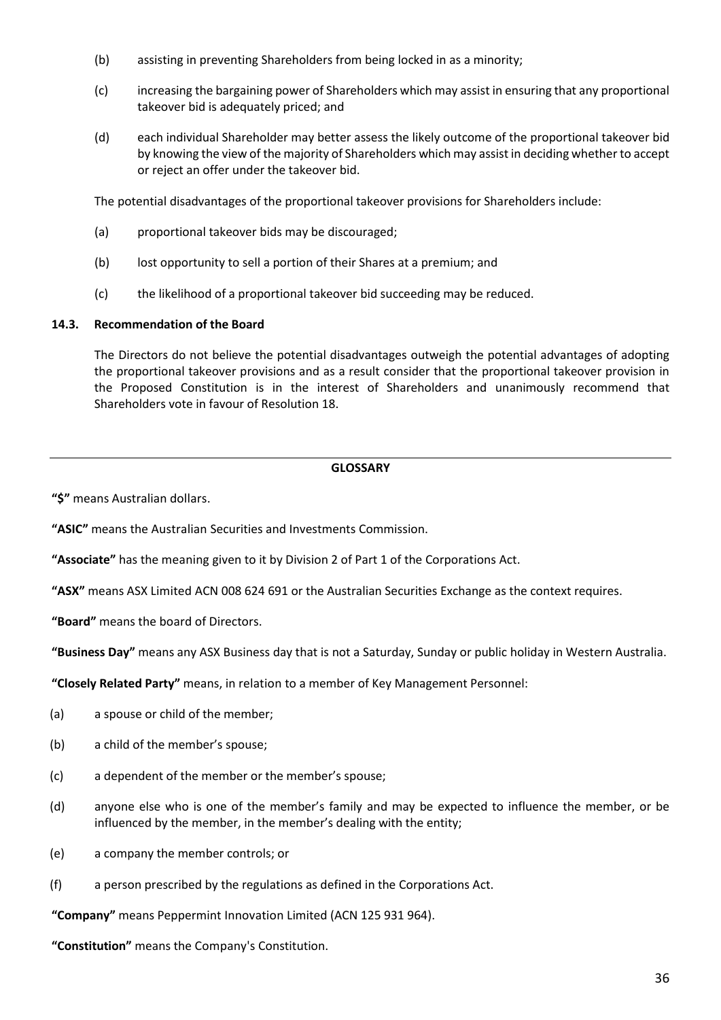- (b) assisting in preventing Shareholders from being locked in as a minority;
- (c) increasing the bargaining power of Shareholders which may assist in ensuring that any proportional takeover bid is adequately priced; and
- (d) each individual Shareholder may better assess the likely outcome of the proportional takeover bid by knowing the view of the majority of Shareholders which may assist in deciding whether to accept or reject an offer under the takeover bid.

The potential disadvantages of the proportional takeover provisions for Shareholders include:

- (a) proportional takeover bids may be discouraged;
- (b) lost opportunity to sell a portion of their Shares at a premium; and
- (c) the likelihood of a proportional takeover bid succeeding may be reduced.

# **14.3. Recommendation of the Board**

The Directors do not believe the potential disadvantages outweigh the potential advantages of adopting the proportional takeover provisions and as a result consider that the proportional takeover provision in the Proposed Constitution is in the interest of Shareholders and unanimously recommend that Shareholders vote in favour of Resolution 18.

# **GLOSSARY**

**"\$"** means Australian dollars.

**"ASIC"** means the Australian Securities and Investments Commission.

**"Associate"** has the meaning given to it by Division 2 of Part 1 of the Corporations Act.

**"ASX"** means ASX Limited ACN 008 624 691 or the Australian Securities Exchange as the context requires.

**"Board"** means the board of Directors.

**"Business Day"** means any ASX Business day that is not a Saturday, Sunday or public holiday in Western Australia.

**"Closely Related Party"** means, in relation to a member of Key Management Personnel:

- (a) a spouse or child of the member;
- (b) a child of the member's spouse;
- (c) a dependent of the member or the member's spouse;
- (d) anyone else who is one of the member's family and may be expected to influence the member, or be influenced by the member, in the member's dealing with the entity;
- (e) a company the member controls; or
- (f) a person prescribed by the regulations as defined in the Corporations Act.

**"Company"** means Peppermint Innovation Limited (ACN 125 931 964).

**"Constitution"** means the Company's Constitution.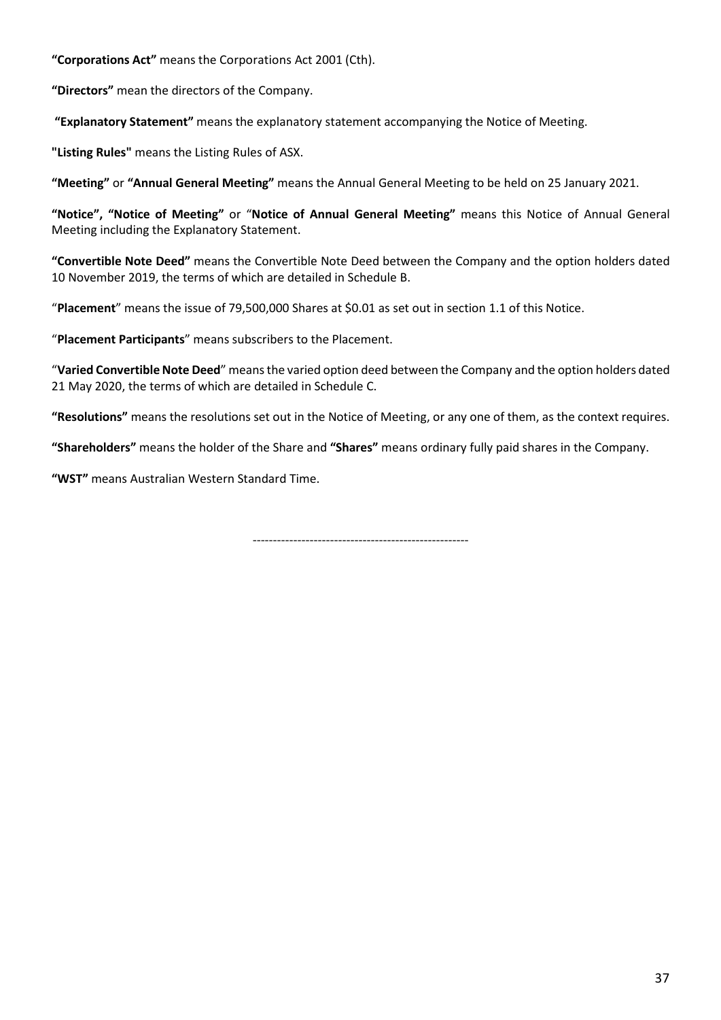**"Corporations Act"** means the Corporations Act 2001 (Cth).

**"Directors"** mean the directors of the Company.

**"Explanatory Statement"** means the explanatory statement accompanying the Notice of Meeting.

**"Listing Rules"** means the Listing Rules of ASX.

**"Meeting"** or **"Annual General Meeting"** means the Annual General Meeting to be held on 25 January 2021.

**"Notice", "Notice of Meeting"** or "**Notice of Annual General Meeting"** means this Notice of Annual General Meeting including the Explanatory Statement.

**"Convertible Note Deed"** means the Convertible Note Deed between the Company and the option holders dated 10 November 2019, the terms of which are detailed in Schedule B.

"**Placement**" means the issue of 79,500,000 Shares at \$0.01 as set out in section 1.1 of this Notice.

"**Placement Participants**" means subscribers to the Placement.

"**Varied Convertible Note Deed**" means the varied option deed between the Company and the option holders dated 21 May 2020, the terms of which are detailed in Schedule C.

**"Resolutions"** means the resolutions set out in the Notice of Meeting, or any one of them, as the context requires.

**"Shareholders"** means the holder of the Share and **"Shares"** means ordinary fully paid shares in the Company.

**"WST"** means Australian Western Standard Time.

-----------------------------------------------------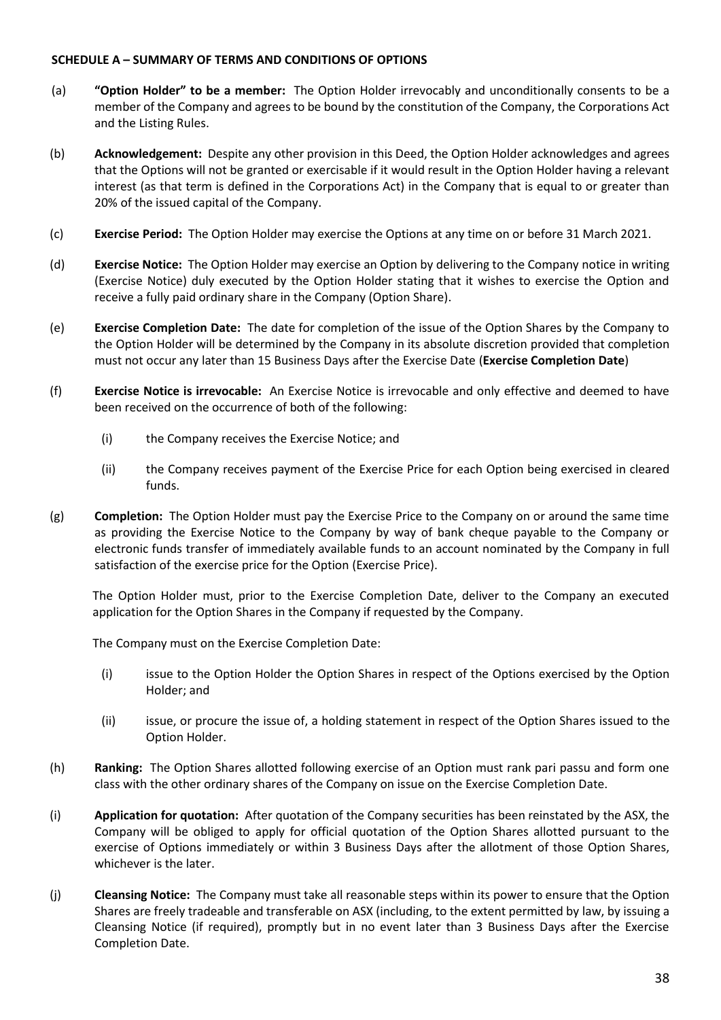# **SCHEDULE A – SUMMARY OF TERMS AND CONDITIONS OF OPTIONS**

- (a) **"Option Holder" to be a member:** The Option Holder irrevocably and unconditionally consents to be a member of the Company and agrees to be bound by the constitution of the Company, the Corporations Act and the Listing Rules.
- (b) **Acknowledgement:** Despite any other provision in this Deed, the Option Holder acknowledges and agrees that the Options will not be granted or exercisable if it would result in the Option Holder having a relevant interest (as that term is defined in the Corporations Act) in the Company that is equal to or greater than 20% of the issued capital of the Company.
- (c) **Exercise Period:** The Option Holder may exercise the Options at any time on or before 31 March 2021.
- (d) **Exercise Notice:** The Option Holder may exercise an Option by delivering to the Company notice in writing (Exercise Notice) duly executed by the Option Holder stating that it wishes to exercise the Option and receive a fully paid ordinary share in the Company (Option Share).
- (e) **Exercise Completion Date:** The date for completion of the issue of the Option Shares by the Company to the Option Holder will be determined by the Company in its absolute discretion provided that completion must not occur any later than 15 Business Days after the Exercise Date (**Exercise Completion Date**)
- (f) **Exercise Notice is irrevocable:** An Exercise Notice is irrevocable and only effective and deemed to have been received on the occurrence of both of the following:
	- (i) the Company receives the Exercise Notice; and
	- (ii) the Company receives payment of the Exercise Price for each Option being exercised in cleared funds.
- <span id="page-37-0"></span>(g) **Completion:** The Option Holder must pay the Exercise Price to the Company on or around the same time as providing the Exercise Notice to the Company by way of bank cheque payable to the Company or electronic funds transfer of immediately available funds to an account nominated by the Company in full satisfaction of the exercise price for the Option (Exercise Price).

The Option Holder must, prior to the Exercise Completion Date, deliver to the Company an executed application for the Option Shares in the Company if requested by the Company.

<span id="page-37-2"></span><span id="page-37-1"></span>The Company must on the Exercise Completion Date:

- (i) issue to the Option Holder the Option Shares in respect of the Options exercised by the Option Holder; and
- (ii) issue, or procure the issue of, a holding statement in respect of the Option Shares issued to the Option Holder.
- (h) **Ranking:** The Option Shares allotted following exercise of an Option must rank pari passu and form one class with the other ordinary shares of the Company on issue on the Exercise Completion Date.
- (i) **Application for quotation:** After quotation of the Company securities has been reinstated by the ASX, the Company will be obliged to apply for official quotation of the Option Shares allotted pursuant to the exercise of Options immediately or within 3 Business Days after the allotment of those Option Shares, whichever is the later.
- (j) **Cleansing Notice:** The Company must take all reasonable steps within its power to ensure that the Option Shares are freely tradeable and transferable on ASX (including, to the extent permitted by law, by issuing a Cleansing Notice (if required), promptly but in no event later than 3 Business Days after the Exercise Completion Date.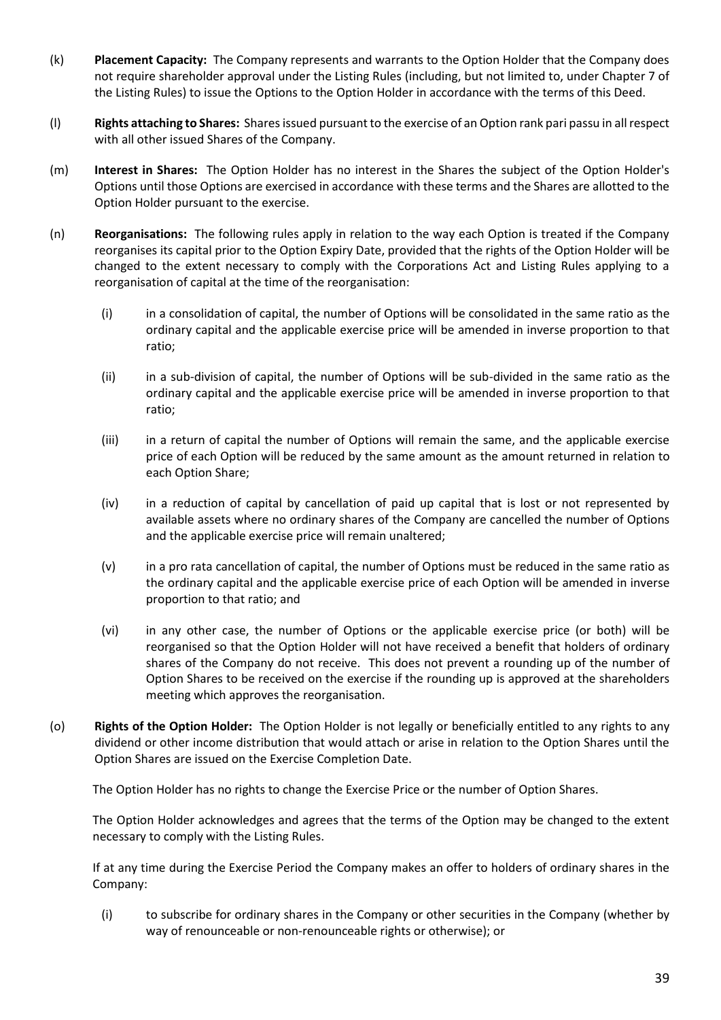- (k) **Placement Capacity:** The Company represents and warrants to the Option Holder that the Company does not require shareholder approval under the Listing Rules (including, but not limited to, under Chapter 7 of the Listing Rules) to issue the Options to the Option Holder in accordance with the terms of this Deed.
- (l) **Rights attaching to Shares:** Shares issued pursuant to the exercise of an Option rank pari passu in all respect with all other issued Shares of the Company.
- (m) **Interest in Shares:** The Option Holder has no interest in the Shares the subject of the Option Holder's Options until those Options are exercised in accordance with these terms and the Shares are allotted to the Option Holder pursuant to the exercise.
- (n) **Reorganisations:** The following rules apply in relation to the way each Option is treated if the Company reorganises its capital prior to the Option Expiry Date, provided that the rights of the Option Holder will be changed to the extent necessary to comply with the Corporations Act and Listing Rules applying to a reorganisation of capital at the time of the reorganisation:
	- (i) in a consolidation of capital, the number of Options will be consolidated in the same ratio as the ordinary capital and the applicable exercise price will be amended in inverse proportion to that ratio;
	- (ii) in a sub-division of capital, the number of Options will be sub-divided in the same ratio as the ordinary capital and the applicable exercise price will be amended in inverse proportion to that ratio;
	- (iii) in a return of capital the number of Options will remain the same, and the applicable exercise price of each Option will be reduced by the same amount as the amount returned in relation to each Option Share;
	- (iv) in a reduction of capital by cancellation of paid up capital that is lost or not represented by available assets where no ordinary shares of the Company are cancelled the number of Options and the applicable exercise price will remain unaltered;
	- (v) in a pro rata cancellation of capital, the number of Options must be reduced in the same ratio as the ordinary capital and the applicable exercise price of each Option will be amended in inverse proportion to that ratio; and
	- (vi) in any other case, the number of Options or the applicable exercise price (or both) will be reorganised so that the Option Holder will not have received a benefit that holders of ordinary shares of the Company do not receive. This does not prevent a rounding up of the number of Option Shares to be received on the exercise if the rounding up is approved at the shareholders meeting which approves the reorganisation.
- (o) **Rights of the Option Holder:** The Option Holder is not legally or beneficially entitled to any rights to any dividend or other income distribution that would attach or arise in relation to the Option Shares until the Option Shares are issued on the Exercise Completion Date.

The Option Holder has no rights to change the Exercise Price or the number of Option Shares.

The Option Holder acknowledges and agrees that the terms of the Option may be changed to the extent necessary to comply with the Listing Rules.

If at any time during the Exercise Period the Company makes an offer to holders of ordinary shares in the Company:

(i) to subscribe for ordinary shares in the Company or other securities in the Company (whether by way of renounceable or non-renounceable rights or otherwise); or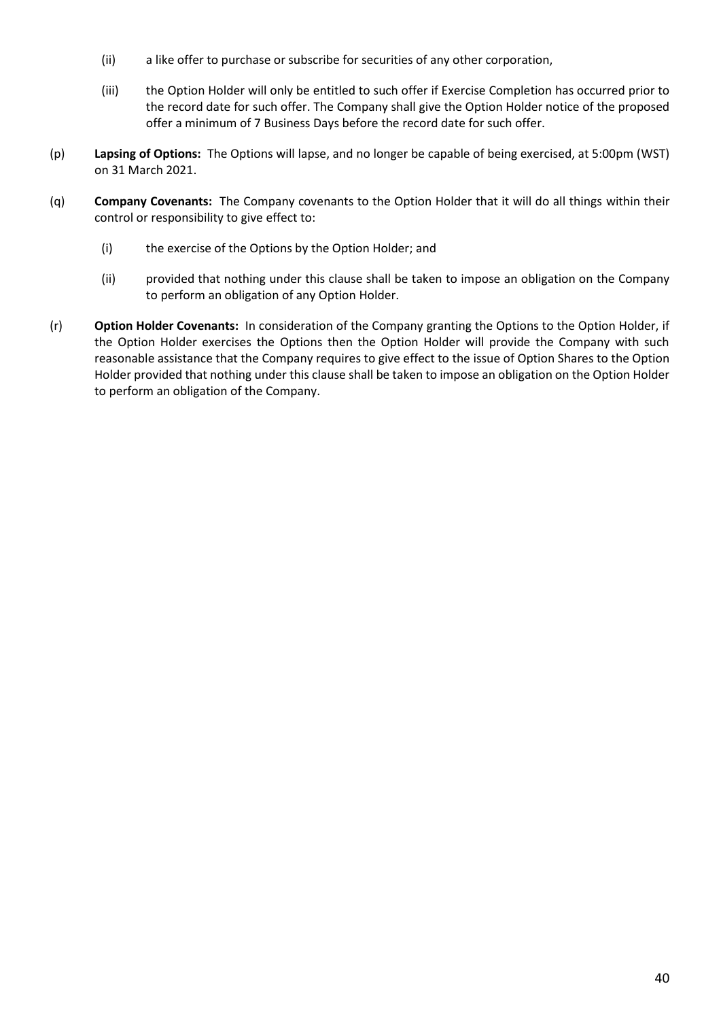- (ii) a like offer to purchase or subscribe for securities of any other corporation,
- (iii) the Option Holder will only be entitled to such offer if Exercise Completion has occurred prior to the record date for such offer. The Company shall give the Option Holder notice of the proposed offer a minimum of 7 Business Days before the record date for such offer.
- (p) **Lapsing of Options:** The Options will lapse, and no longer be capable of being exercised, at 5:00pm (WST) on 31 March 2021.
- <span id="page-39-0"></span>(q) **Company Covenants:** The Company covenants to the Option Holder that it will do all things within their control or responsibility to give effect to:
	- (i) the exercise of the Options by the Option Holder; and
	- (ii) provided that nothing under this clause shall be taken to impose an obligation on the Company to perform an obligation of any Option Holder.
- <span id="page-39-1"></span>(r) **Option Holder Covenants:** In consideration of the Company granting the Options to the Option Holder, if the Option Holder exercises the Options then the Option Holder will provide the Company with such reasonable assistance that the Company requires to give effect to the issue of Option Shares to the Option Holder provided that nothing under this clause shall be taken to impose an obligation on the Option Holder to perform an obligation of the Company.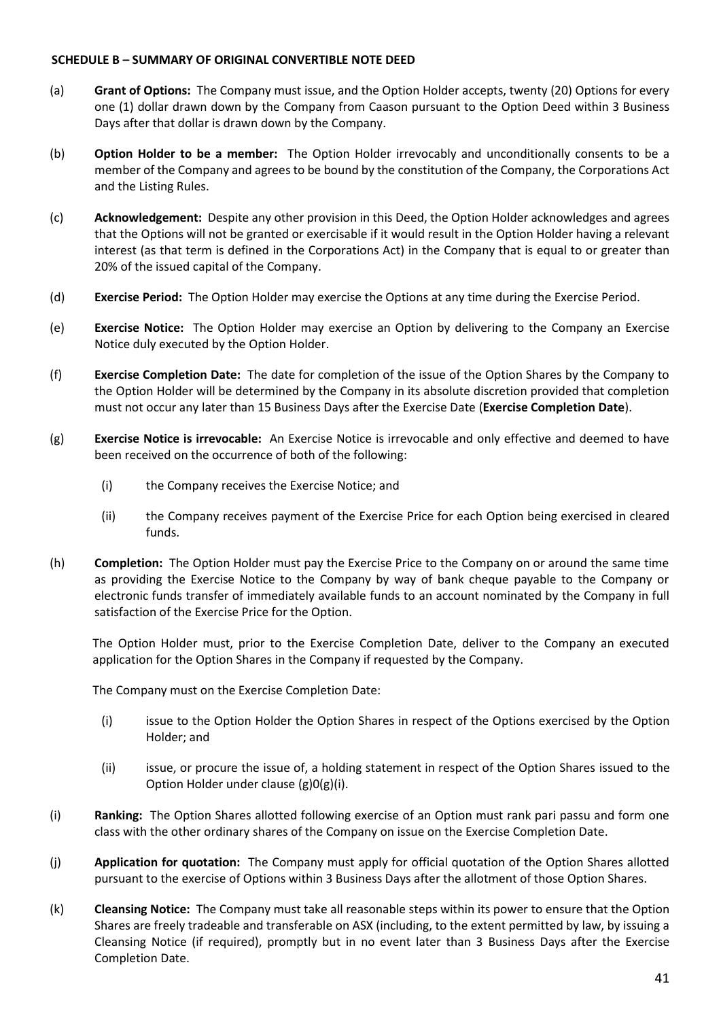# **SCHEDULE B – SUMMARY OF ORIGINAL CONVERTIBLE NOTE DEED**

- (a) **Grant of Options:** The Company must issue, and the Option Holder accepts, twenty (20) Options for every one (1) dollar drawn down by the Company from Caason pursuant to the Option Deed within 3 Business Days after that dollar is drawn down by the Company.
- (b) **Option Holder to be a member:** The Option Holder irrevocably and unconditionally consents to be a member of the Company and agrees to be bound by the constitution of the Company, the Corporations Act and the Listing Rules.
- (c) **Acknowledgement:** Despite any other provision in this Deed, the Option Holder acknowledges and agrees that the Options will not be granted or exercisable if it would result in the Option Holder having a relevant interest (as that term is defined in the Corporations Act) in the Company that is equal to or greater than 20% of the issued capital of the Company.
- (d) **Exercise Period:** The Option Holder may exercise the Options at any time during the Exercise Period.
- (e) **Exercise Notice:** The Option Holder may exercise an Option by delivering to the Company an Exercise Notice duly executed by the Option Holder.
- (f) **Exercise Completion Date:** The date for completion of the issue of the Option Shares by the Company to the Option Holder will be determined by the Company in its absolute discretion provided that completion must not occur any later than 15 Business Days after the Exercise Date (**Exercise Completion Date**).
- (g) **Exercise Notice is irrevocable:** An Exercise Notice is irrevocable and only effective and deemed to have been received on the occurrence of both of the following:
	- (i) the Company receives the Exercise Notice; and
	- (ii) the Company receives payment of the Exercise Price for each Option being exercised in cleared funds.
- (h) **Completion:** The Option Holder must pay the Exercise Price to the Company on or around the same time as providing the Exercise Notice to the Company by way of bank cheque payable to the Company or electronic funds transfer of immediately available funds to an account nominated by the Company in full satisfaction of the Exercise Price for the Option.

The Option Holder must, prior to the Exercise Completion Date, deliver to the Company an executed application for the Option Shares in the Company if requested by the Company.

The Company must on the Exercise Completion Date:

- (i) issue to the Option Holder the Option Shares in respect of the Options exercised by the Option Holder; and
- (ii) issue, or procure the issue of, a holding statement in respect of the Option Shares issued to the Option Holder under clause [\(g\)](#page-37-0)[0](#page-37-1)[\(g\)\(i\).](#page-37-2)
- (i) **Ranking:** The Option Shares allotted following exercise of an Option must rank pari passu and form one class with the other ordinary shares of the Company on issue on the Exercise Completion Date.
- (j) **Application for quotation:** The Company must apply for official quotation of the Option Shares allotted pursuant to the exercise of Options within 3 Business Days after the allotment of those Option Shares.
- (k) **Cleansing Notice:** The Company must take all reasonable steps within its power to ensure that the Option Shares are freely tradeable and transferable on ASX (including, to the extent permitted by law, by issuing a Cleansing Notice (if required), promptly but in no event later than 3 Business Days after the Exercise Completion Date.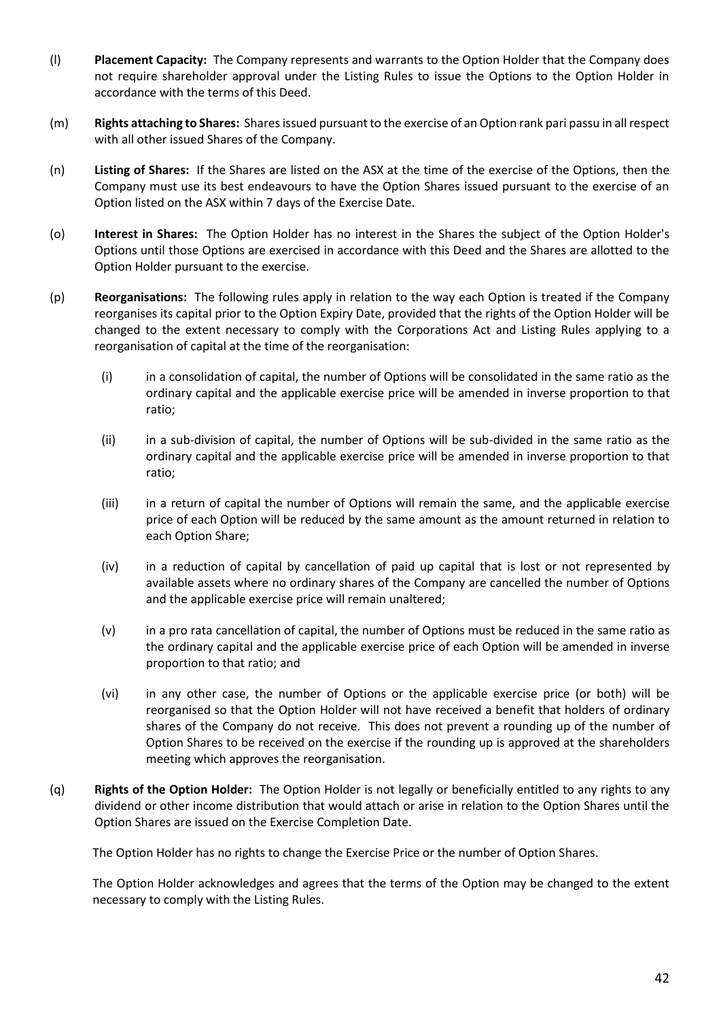- (l) **Placement Capacity:** The Company represents and warrants to the Option Holder that the Company does not require shareholder approval under the Listing Rules to issue the Options to the Option Holder in accordance with the terms of this Deed.
- (m) **Rights attaching to Shares:** Shares issued pursuant to the exercise of an Option rank pari passu in all respect with all other issued Shares of the Company.
- (n) **Listing of Shares:** If the Shares are listed on the ASX at the time of the exercise of the Options, then the Company must use its best endeavours to have the Option Shares issued pursuant to the exercise of an Option listed on the ASX within 7 days of the Exercise Date.
- (o) **Interest in Shares:** The Option Holder has no interest in the Shares the subject of the Option Holder's Options until those Options are exercised in accordance with this Deed and the Shares are allotted to the Option Holder pursuant to the exercise.
- (p) **Reorganisations:** The following rules apply in relation to the way each Option is treated if the Company reorganises its capital prior to the Option Expiry Date, provided that the rights of the Option Holder will be changed to the extent necessary to comply with the Corporations Act and Listing Rules applying to a reorganisation of capital at the time of the reorganisation:
	- (i) in a consolidation of capital, the number of Options will be consolidated in the same ratio as the ordinary capital and the applicable exercise price will be amended in inverse proportion to that ratio;
	- (ii) in a sub-division of capital, the number of Options will be sub-divided in the same ratio as the ordinary capital and the applicable exercise price will be amended in inverse proportion to that ratio;
	- (iii) in a return of capital the number of Options will remain the same, and the applicable exercise price of each Option will be reduced by the same amount as the amount returned in relation to each Option Share;
	- (iv) in a reduction of capital by cancellation of paid up capital that is lost or not represented by available assets where no ordinary shares of the Company are cancelled the number of Options and the applicable exercise price will remain unaltered;
	- (v) in a pro rata cancellation of capital, the number of Options must be reduced in the same ratio as the ordinary capital and the applicable exercise price of each Option will be amended in inverse proportion to that ratio; and
	- (vi) in any other case, the number of Options or the applicable exercise price (or both) will be reorganised so that the Option Holder will not have received a benefit that holders of ordinary shares of the Company do not receive. This does not prevent a rounding up of the number of Option Shares to be received on the exercise if the rounding up is approved at the shareholders meeting which approves the reorganisation.
- (q) **Rights of the Option Holder:** The Option Holder is not legally or beneficially entitled to any rights to any dividend or other income distribution that would attach or arise in relation to the Option Shares until the Option Shares are issued on the Exercise Completion Date.

The Option Holder has no rights to change the Exercise Price or the number of Option Shares.

The Option Holder acknowledges and agrees that the terms of the Option may be changed to the extent necessary to comply with the Listing Rules.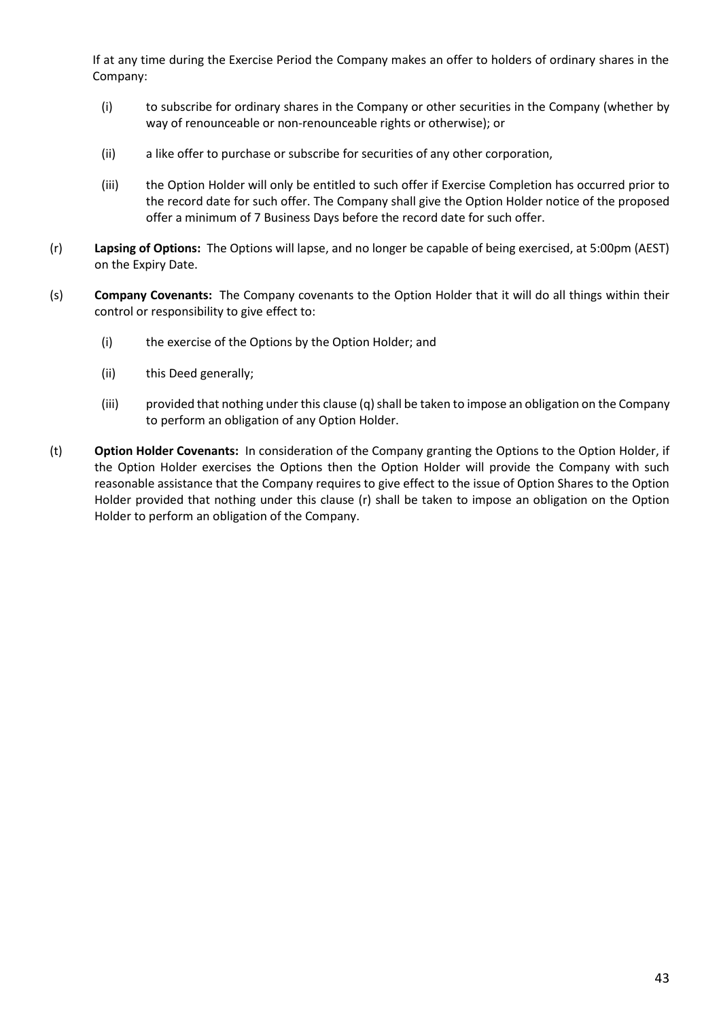If at any time during the Exercise Period the Company makes an offer to holders of ordinary shares in the Company:

- (i) to subscribe for ordinary shares in the Company or other securities in the Company (whether by way of renounceable or non-renounceable rights or otherwise); or
- (ii) a like offer to purchase or subscribe for securities of any other corporation,
- (iii) the Option Holder will only be entitled to such offer if Exercise Completion has occurred prior to the record date for such offer. The Company shall give the Option Holder notice of the proposed offer a minimum of 7 Business Days before the record date for such offer.
- (r) **Lapsing of Options:** The Options will lapse, and no longer be capable of being exercised, at 5:00pm (AEST) on the Expiry Date.
- (s) **Company Covenants:** The Company covenants to the Option Holder that it will do all things within their control or responsibility to give effect to:
	- (i) the exercise of the Options by the Option Holder; and
	- (ii) this Deed generally;
	- (iii) provided that nothing under this claus[e \(q\)](#page-39-0) shall be taken to impose an obligation on the Company to perform an obligation of any Option Holder.
- (t) **Option Holder Covenants:** In consideration of the Company granting the Options to the Option Holder, if the Option Holder exercises the Options then the Option Holder will provide the Company with such reasonable assistance that the Company requires to give effect to the issue of Option Shares to the Option Holder provided that nothing under this clause [\(r\)](#page-39-1) shall be taken to impose an obligation on the Option Holder to perform an obligation of the Company.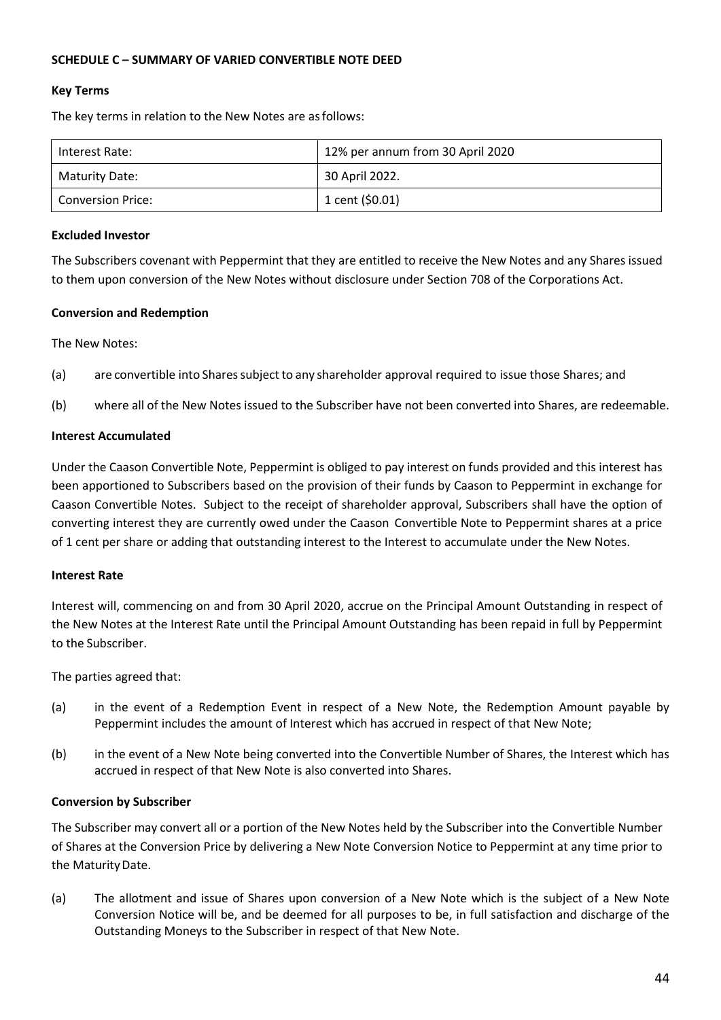# **SCHEDULE C – SUMMARY OF VARIED CONVERTIBLE NOTE DEED**

# **Key Terms**

The key terms in relation to the New Notes are asfollows:

| Interest Rate:           | 12% per annum from 30 April 2020 |
|--------------------------|----------------------------------|
| Maturity Date:           | 30 April 2022.                   |
| <b>Conversion Price:</b> | 1 cent $(50.01)$                 |

#### **Excluded Investor**

The Subscribers covenant with Peppermint that they are entitled to receive the New Notes and any Shares issued to them upon conversion of the New Notes without disclosure under Section 708 of the Corporations Act.

#### **Conversion and Redemption**

The New Notes:

- (a) are convertible into Shares subject to any shareholder approval required to issue those Shares; and
- (b) where all of the New Notes issued to the Subscriber have not been converted into Shares, are redeemable.

#### **Interest Accumulated**

Under the Caason Convertible Note, Peppermint is obliged to pay interest on funds provided and this interest has been apportioned to Subscribers based on the provision of their funds by Caason to Peppermint in exchange for Caason Convertible Notes. Subject to the receipt of shareholder approval, Subscribers shall have the option of converting interest they are currently owed under the Caason Convertible Note to Peppermint shares at a price of 1 cent per share or adding that outstanding interest to the Interest to accumulate under the New Notes.

#### **Interest Rate**

Interest will, commencing on and from 30 April 2020, accrue on the Principal Amount Outstanding in respect of the New Notes at the Interest Rate until the Principal Amount Outstanding has been repaid in full by Peppermint to the Subscriber.

#### The parties agreed that:

- (a) in the event of a Redemption Event in respect of a New Note, the Redemption Amount payable by Peppermint includes the amount of Interest which has accrued in respect of that New Note;
- (b) in the event of a New Note being converted into the Convertible Number of Shares, the Interest which has accrued in respect of that New Note is also converted into Shares.

#### **Conversion by Subscriber**

The Subscriber may convert all or a portion of the New Notes held by the Subscriber into the Convertible Number of Shares at the Conversion Price by delivering a New Note Conversion Notice to Peppermint at any time prior to the Maturity Date.

(a) The allotment and issue of Shares upon conversion of a New Note which is the subject of a New Note Conversion Notice will be, and be deemed for all purposes to be, in full satisfaction and discharge of the Outstanding Moneys to the Subscriber in respect of that New Note.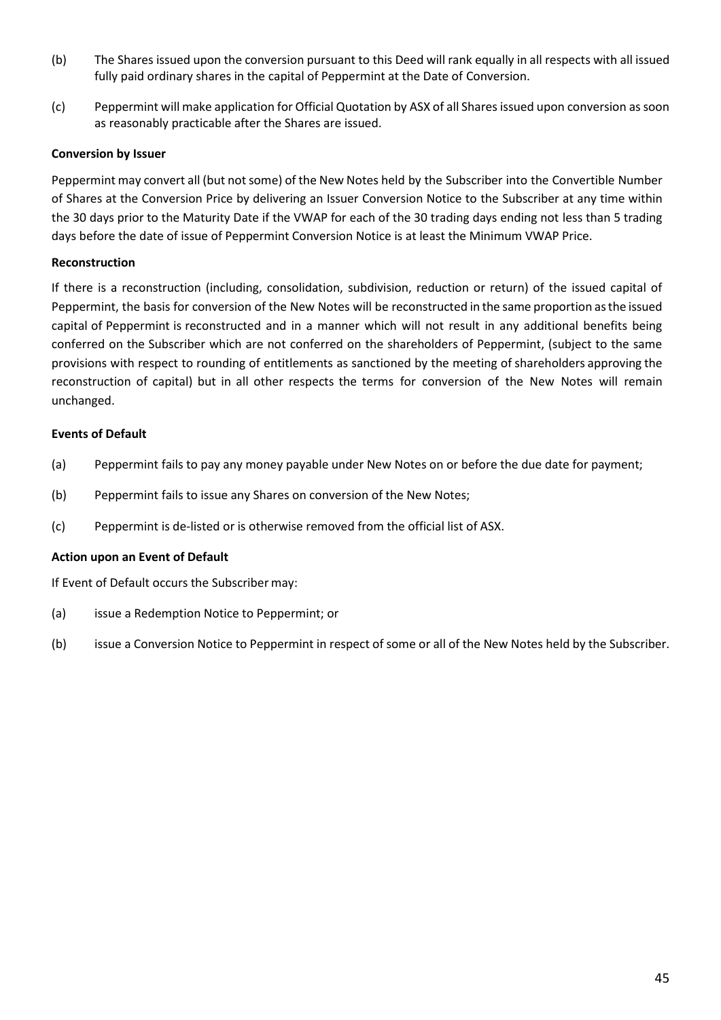- (b) The Shares issued upon the conversion pursuant to this Deed will rank equally in all respects with all issued fully paid ordinary shares in the capital of Peppermint at the Date of Conversion.
- (c) Peppermint will make application for Official Quotation by ASX of all Shares issued upon conversion as soon as reasonably practicable after the Shares are issued.

# **Conversion by Issuer**

Peppermint may convert all (but not some) of the New Notes held by the Subscriber into the Convertible Number of Shares at the Conversion Price by delivering an Issuer Conversion Notice to the Subscriber at any time within the 30 days prior to the Maturity Date if the VWAP for each of the 30 trading days ending not less than 5 trading days before the date of issue of Peppermint Conversion Notice is at least the Minimum VWAP Price.

# **Reconstruction**

If there is a reconstruction (including, consolidation, subdivision, reduction or return) of the issued capital of Peppermint, the basis for conversion of the New Notes will be reconstructed in the same proportion asthe issued capital of Peppermint is reconstructed and in a manner which will not result in any additional benefits being conferred on the Subscriber which are not conferred on the shareholders of Peppermint, (subject to the same provisions with respect to rounding of entitlements as sanctioned by the meeting of shareholders approving the reconstruction of capital) but in all other respects the terms for conversion of the New Notes will remain unchanged.

# **Events of Default**

- (a) Peppermint fails to pay any money payable under New Notes on or before the due date for payment;
- (b) Peppermint fails to issue any Shares on conversion of the New Notes;
- (c) Peppermint is de-listed or is otherwise removed from the official list of ASX.

# **Action upon an Event of Default**

If Event of Default occurs the Subscriber may:

- (a) issue a Redemption Notice to Peppermint; or
- (b) issue a Conversion Notice to Peppermint in respect of some or all of the New Notes held by the Subscriber.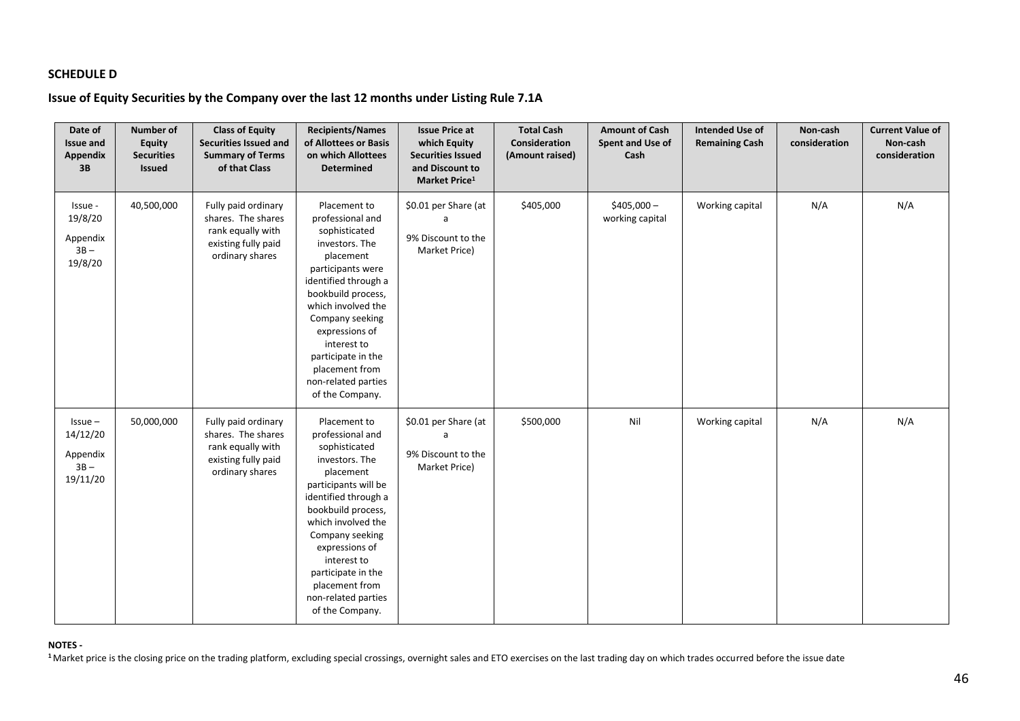# **SCHEDULE D**

# **Issue of Equity Securities by the Company over the last 12 months under Listing Rule 7.1A**

| Date of<br><b>Issue and</b><br><b>Appendix</b><br>3B     | <b>Number of</b><br><b>Equity</b><br><b>Securities</b><br><b>Issued</b> | <b>Class of Equity</b><br>Securities Issued and<br><b>Summary of Terms</b><br>of that Class              | <b>Recipients/Names</b><br>of Allottees or Basis<br>on which Allottees<br><b>Determined</b>                                                                                                                                                                                                                        | <b>Issue Price at</b><br>which Equity<br><b>Securities Issued</b><br>and Discount to<br>Market Price <sup>1</sup> | <b>Total Cash</b><br>Consideration<br>(Amount raised) | <b>Amount of Cash</b><br>Spent and Use of<br>Cash | <b>Intended Use of</b><br><b>Remaining Cash</b> | Non-cash<br>consideration | <b>Current Value of</b><br>Non-cash<br>consideration |
|----------------------------------------------------------|-------------------------------------------------------------------------|----------------------------------------------------------------------------------------------------------|--------------------------------------------------------------------------------------------------------------------------------------------------------------------------------------------------------------------------------------------------------------------------------------------------------------------|-------------------------------------------------------------------------------------------------------------------|-------------------------------------------------------|---------------------------------------------------|-------------------------------------------------|---------------------------|------------------------------------------------------|
| Issue -<br>19/8/20<br>Appendix<br>$3B -$<br>19/8/20      | 40,500,000                                                              | Fully paid ordinary<br>shares. The shares<br>rank equally with<br>existing fully paid<br>ordinary shares | Placement to<br>professional and<br>sophisticated<br>investors. The<br>placement<br>participants were<br>identified through a<br>bookbuild process,<br>which involved the<br>Company seeking<br>expressions of<br>interest to<br>participate in the<br>placement from<br>non-related parties<br>of the Company.    | \$0.01 per Share (at<br>a<br>9% Discount to the<br>Market Price)                                                  | \$405,000                                             | $$405,000-$<br>working capital                    | Working capital                                 | N/A                       | N/A                                                  |
| $Is sue -$<br>14/12/20<br>Appendix<br>$3B -$<br>19/11/20 | 50,000,000                                                              | Fully paid ordinary<br>shares. The shares<br>rank equally with<br>existing fully paid<br>ordinary shares | Placement to<br>professional and<br>sophisticated<br>investors. The<br>placement<br>participants will be<br>identified through a<br>bookbuild process,<br>which involved the<br>Company seeking<br>expressions of<br>interest to<br>participate in the<br>placement from<br>non-related parties<br>of the Company. | \$0.01 per Share (at<br>a<br>9% Discount to the<br>Market Price)                                                  | \$500,000                                             | Nil                                               | Working capital                                 | N/A                       | N/A                                                  |

#### **NOTES -**

<sup>1</sup> Market price is the closing price on the trading platform, excluding special crossings, overnight sales and ETO exercises on the last trading day on which trades occurred before the issue date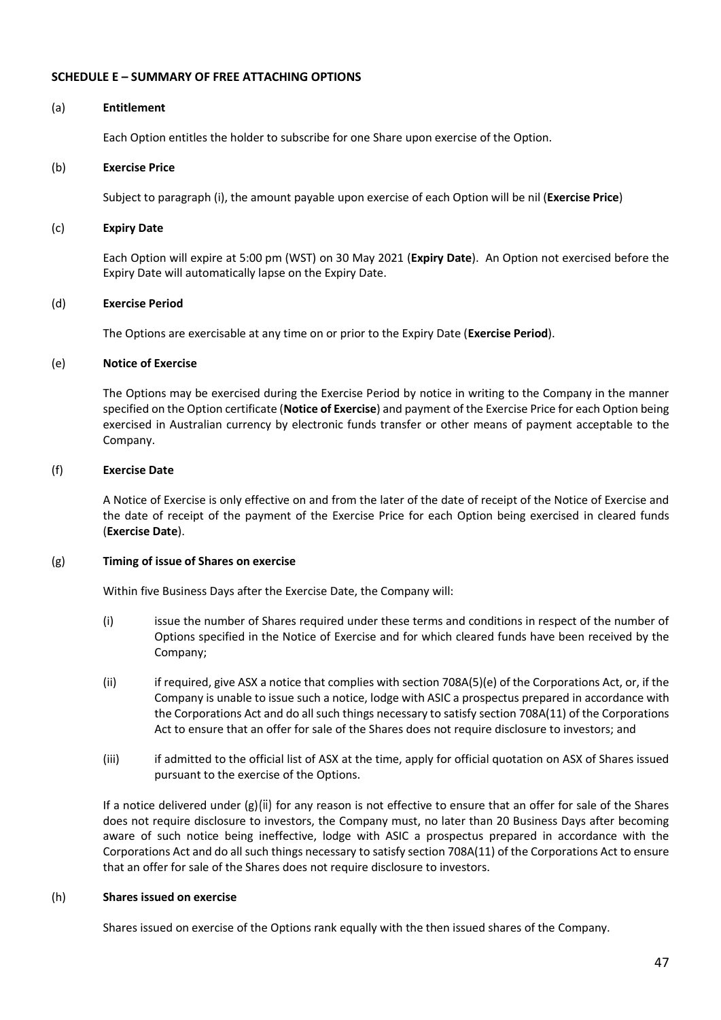#### **SCHEDULE E – SUMMARY OF FREE ATTACHING OPTIONS**

#### (a) **Entitlement**

Each Option entitles the holder to subscribe for one Share upon exercise of the Option.

#### (b) **Exercise Price**

Subject to paragrap[h \(i\),](#page-47-0) the amount payable upon exercise of each Option will be nil (**Exercise Price**)

#### (c) **Expiry Date**

Each Option will expire at 5:00 pm (WST) on 30 May 2021 (**Expiry Date**). An Option not exercised before the Expiry Date will automatically lapse on the Expiry Date.

#### (d) **Exercise Period**

The Options are exercisable at any time on or prior to the Expiry Date (**Exercise Period**).

#### (e) **Notice of Exercise**

The Options may be exercised during the Exercise Period by notice in writing to the Company in the manner specified on the Option certificate (**Notice of Exercise**) and payment of the Exercise Price for each Option being exercised in Australian currency by electronic funds transfer or other means of payment acceptable to the Company.

#### (f) **Exercise Date**

A Notice of Exercise is only effective on and from the later of the date of receipt of the Notice of Exercise and the date of receipt of the payment of the Exercise Price for each Option being exercised in cleared funds (**Exercise Date**).

#### <span id="page-46-0"></span>(g) **Timing of issue of Shares on exercise**

Within five Business Days after the Exercise Date, the Company will:

- (i) issue the number of Shares required under these terms and conditions in respect of the number of Options specified in the Notice of Exercise and for which cleared funds have been received by the Company;
- <span id="page-46-1"></span>(ii) if required, give ASX a notice that complies with section 708A(5)(e) of the Corporations Act, or, if the Company is unable to issue such a notice, lodge with ASIC a prospectus prepared in accordance with the Corporations Act and do all such things necessary to satisfy section 708A(11) of the Corporations Act to ensure that an offer for sale of the Shares does not require disclosure to investors; and
- (iii) if admitted to the official list of ASX at the time, apply for official quotation on ASX of Shares issued pursuant to the exercise of the Options.

If a notice delivered under [\(g\)](#page-46-0)[\(ii\)](#page-46-1) for any reason is not effective to ensure that an offer for sale of the Shares does not require disclosure to investors, the Company must, no later than 20 Business Days after becoming aware of such notice being ineffective, lodge with ASIC a prospectus prepared in accordance with the Corporations Act and do all such things necessary to satisfy section 708A(11) of the Corporations Act to ensure that an offer for sale of the Shares does not require disclosure to investors.

#### (h) **Shares issued on exercise**

Shares issued on exercise of the Options rank equally with the then issued shares of the Company.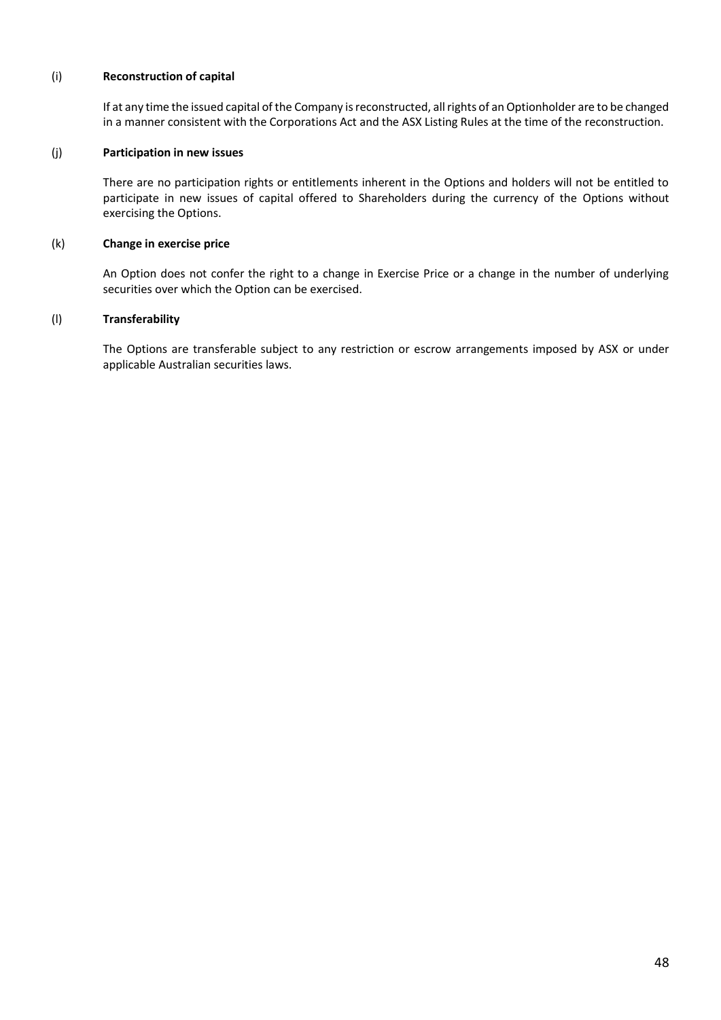#### <span id="page-47-0"></span>(i) **Reconstruction of capital**

If at any time the issued capital of the Company is reconstructed, all rights of an Optionholder are to be changed in a manner consistent with the Corporations Act and the ASX Listing Rules at the time of the reconstruction.

#### (j) **Participation in new issues**

There are no participation rights or entitlements inherent in the Options and holders will not be entitled to participate in new issues of capital offered to Shareholders during the currency of the Options without exercising the Options.

#### (k) **Change in exercise price**

An Option does not confer the right to a change in Exercise Price or a change in the number of underlying securities over which the Option can be exercised.

#### (l) **Transferability**

The Options are transferable subject to any restriction or escrow arrangements imposed by ASX or under applicable Australian securities laws.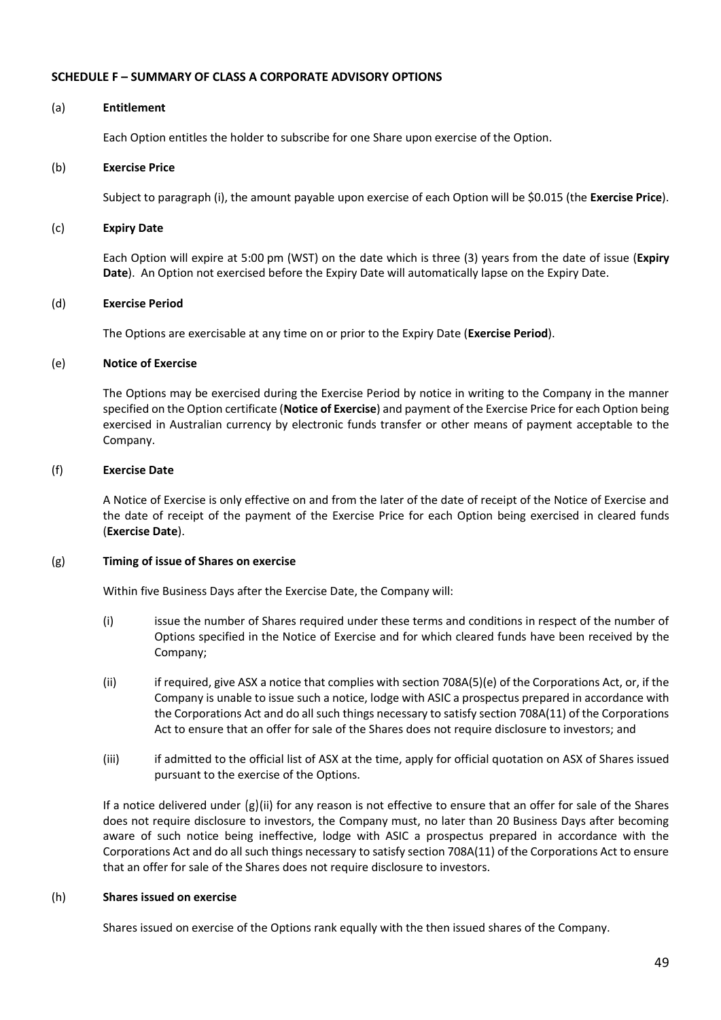#### **SCHEDULE F – SUMMARY OF CLASS A CORPORATE ADVISORY OPTIONS**

#### (a) **Entitlement**

Each Option entitles the holder to subscribe for one Share upon exercise of the Option.

#### (b) **Exercise Price**

Subject to paragrap[h \(i\),](#page-47-0) the amount payable upon exercise of each Option will be \$0.015 (the **Exercise Price**).

#### (c) **Expiry Date**

Each Option will expire at 5:00 pm (WST) on the date which is three (3) years from the date of issue (**Expiry Date**). An Option not exercised before the Expiry Date will automatically lapse on the Expiry Date.

#### (d) **Exercise Period**

The Options are exercisable at any time on or prior to the Expiry Date (**Exercise Period**).

#### (e) **Notice of Exercise**

The Options may be exercised during the Exercise Period by notice in writing to the Company in the manner specified on the Option certificate (**Notice of Exercise**) and payment of the Exercise Price for each Option being exercised in Australian currency by electronic funds transfer or other means of payment acceptable to the Company.

#### (f) **Exercise Date**

A Notice of Exercise is only effective on and from the later of the date of receipt of the Notice of Exercise and the date of receipt of the payment of the Exercise Price for each Option being exercised in cleared funds (**Exercise Date**).

#### (g) **Timing of issue of Shares on exercise**

Within five Business Days after the Exercise Date, the Company will:

- (i) issue the number of Shares required under these terms and conditions in respect of the number of Options specified in the Notice of Exercise and for which cleared funds have been received by the Company;
- (ii) if required, give ASX a notice that complies with section 708A(5)(e) of the Corporations Act, or, if the Company is unable to issue such a notice, lodge with ASIC a prospectus prepared in accordance with the Corporations Act and do all such things necessary to satisfy section 708A(11) of the Corporations Act to ensure that an offer for sale of the Shares does not require disclosure to investors; and
- (iii) if admitted to the official list of ASX at the time, apply for official quotation on ASX of Shares issued pursuant to the exercise of the Options.

If a notice delivered under ([g](#page-46-1))[\(ii\)](#page-46-1) for any reason is not effective to ensure that an offer for sale of the Shares does not require disclosure to investors, the Company must, no later than 20 Business Days after becoming aware of such notice being ineffective, lodge with ASIC a prospectus prepared in accordance with the Corporations Act and do all such things necessary to satisfy section 708A(11) of the Corporations Act to ensure that an offer for sale of the Shares does not require disclosure to investors.

#### (h) **Shares issued on exercise**

Shares issued on exercise of the Options rank equally with the then issued shares of the Company.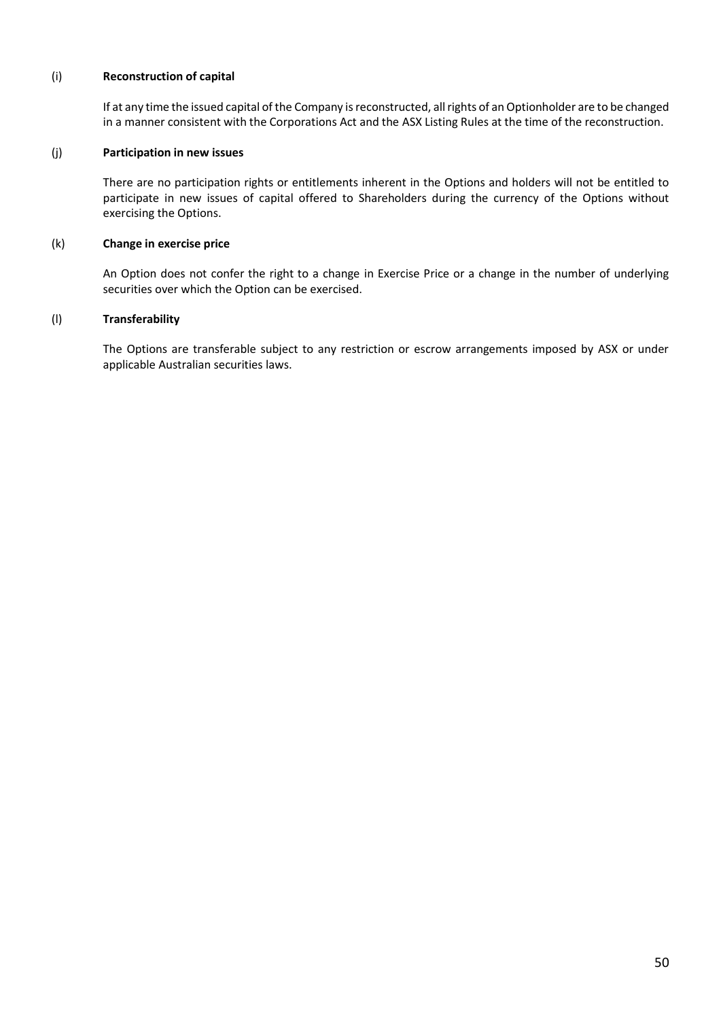#### (i) **Reconstruction of capital**

If at any time the issued capital of the Company is reconstructed, all rights of an Optionholder are to be changed in a manner consistent with the Corporations Act and the ASX Listing Rules at the time of the reconstruction.

#### (j) **Participation in new issues**

There are no participation rights or entitlements inherent in the Options and holders will not be entitled to participate in new issues of capital offered to Shareholders during the currency of the Options without exercising the Options.

#### (k) **Change in exercise price**

An Option does not confer the right to a change in Exercise Price or a change in the number of underlying securities over which the Option can be exercised.

#### (l) **Transferability**

The Options are transferable subject to any restriction or escrow arrangements imposed by ASX or under applicable Australian securities laws.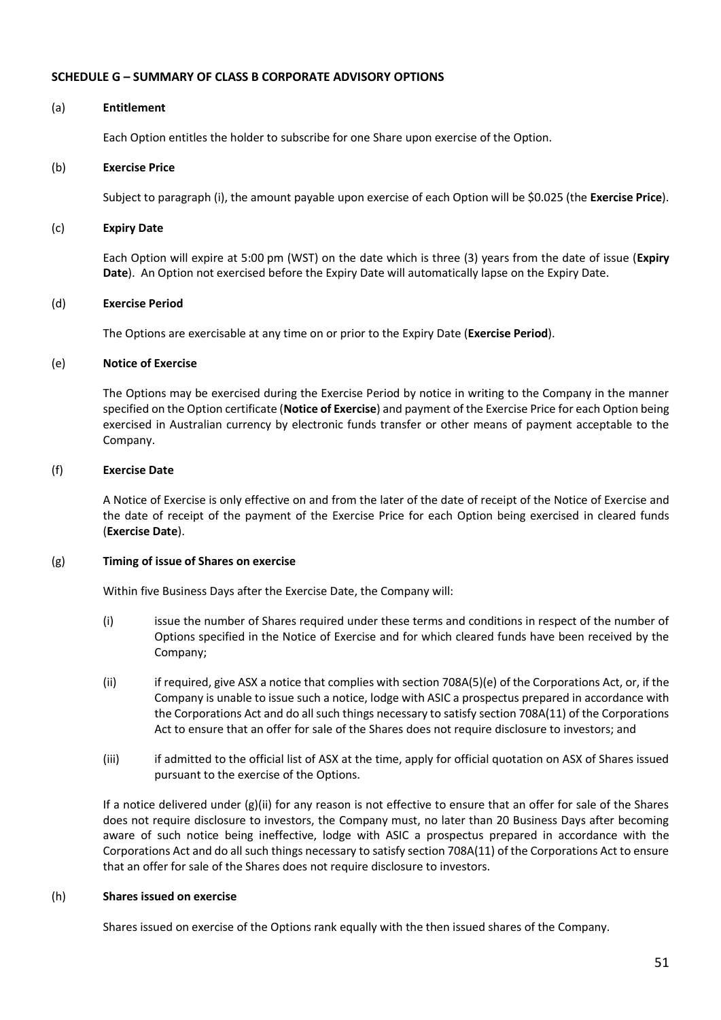#### **SCHEDULE G – SUMMARY OF CLASS B CORPORATE ADVISORY OPTIONS**

#### (a) **Entitlement**

Each Option entitles the holder to subscribe for one Share upon exercise of the Option.

#### (b) **Exercise Price**

Subject to paragrap[h \(i\),](#page-47-0) the amount payable upon exercise of each Option will be \$0.025 (the **Exercise Price**).

#### (c) **Expiry Date**

Each Option will expire at 5:00 pm (WST) on the date which is three (3) years from the date of issue (**Expiry Date**). An Option not exercised before the Expiry Date will automatically lapse on the Expiry Date.

#### (d) **Exercise Period**

The Options are exercisable at any time on or prior to the Expiry Date (**Exercise Period**).

#### (e) **Notice of Exercise**

The Options may be exercised during the Exercise Period by notice in writing to the Company in the manner specified on the Option certificate (**Notice of Exercise**) and payment of the Exercise Price for each Option being exercised in Australian currency by electronic funds transfer or other means of payment acceptable to the Company.

#### (f) **Exercise Date**

A Notice of Exercise is only effective on and from the later of the date of receipt of the Notice of Exercise and the date of receipt of the payment of the Exercise Price for each Option being exercised in cleared funds (**Exercise Date**).

#### (g) **Timing of issue of Shares on exercise**

Within five Business Days after the Exercise Date, the Company will:

- (i) issue the number of Shares required under these terms and conditions in respect of the number of Options specified in the Notice of Exercise and for which cleared funds have been received by the Company;
- (ii) if required, give ASX a notice that complies with section 708A(5)(e) of the Corporations Act, or, if the Company is unable to issue such a notice, lodge with ASIC a prospectus prepared in accordance with the Corporations Act and do all such things necessary to satisfy section 708A(11) of the Corporations Act to ensure that an offer for sale of the Shares does not require disclosure to investors; and
- (iii) if admitted to the official list of ASX at the time, apply for official quotation on ASX of Shares issued pursuant to the exercise of the Options.

If a notice delivered under  $(g)(ii)$  for any reason is not effective to ensure that an offer for sale of the Shares does not require disclosure to investors, the Company must, no later than 20 Business Days after becoming aware of such notice being ineffective, lodge with ASIC a prospectus prepared in accordance with the Corporations Act and do all such things necessary to satisfy section 708A(11) of the Corporations Act to ensure that an offer for sale of the Shares does not require disclosure to investors.

#### (h) **Shares issued on exercise**

Shares issued on exercise of the Options rank equally with the then issued shares of the Company.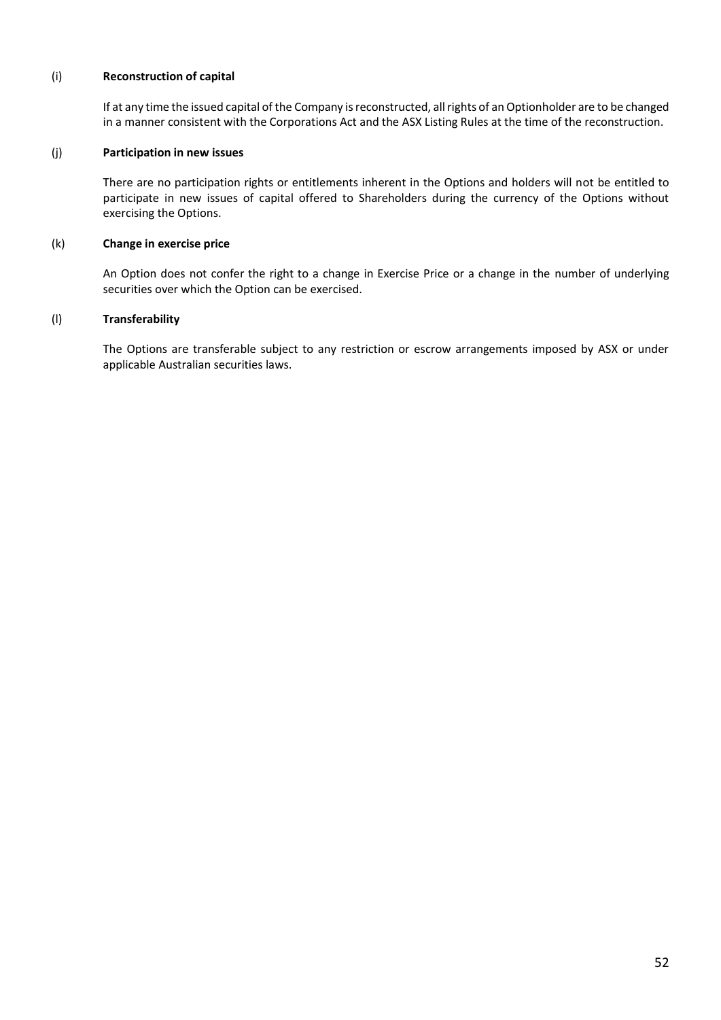#### (i) **Reconstruction of capital**

If at any time the issued capital of the Company is reconstructed, all rights of an Optionholder are to be changed in a manner consistent with the Corporations Act and the ASX Listing Rules at the time of the reconstruction.

#### (j) **Participation in new issues**

There are no participation rights or entitlements inherent in the Options and holders will not be entitled to participate in new issues of capital offered to Shareholders during the currency of the Options without exercising the Options.

#### (k) **Change in exercise price**

An Option does not confer the right to a change in Exercise Price or a change in the number of underlying securities over which the Option can be exercised.

#### (l) **Transferability**

The Options are transferable subject to any restriction or escrow arrangements imposed by ASX or under applicable Australian securities laws.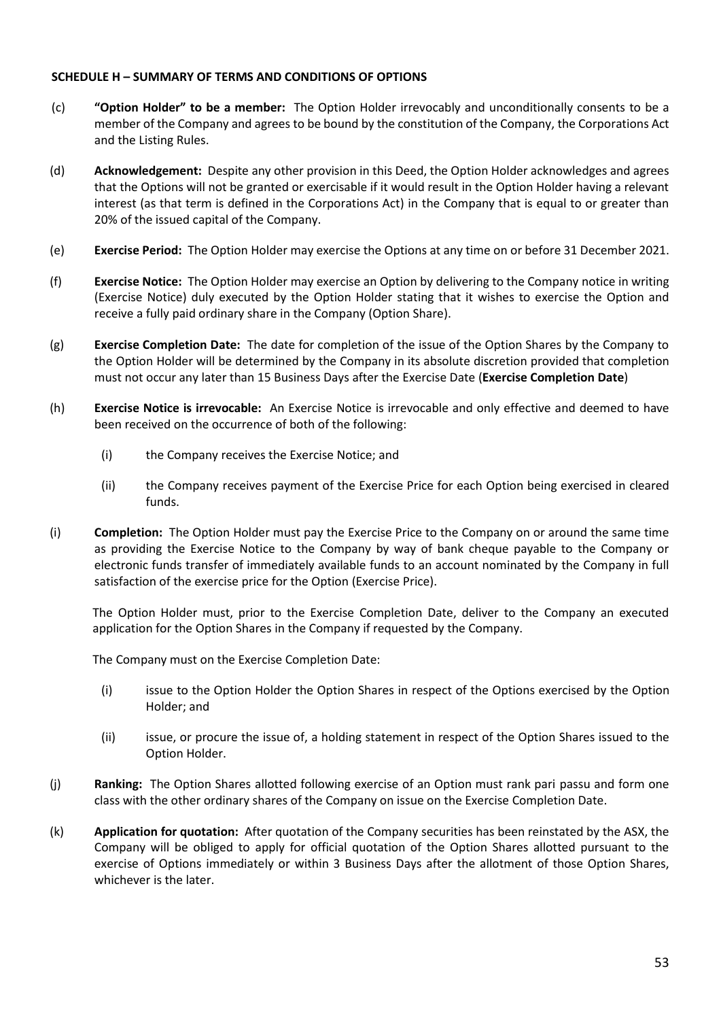#### **SCHEDULE H – SUMMARY OF TERMS AND CONDITIONS OF OPTIONS**

- (c) **"Option Holder" to be a member:** The Option Holder irrevocably and unconditionally consents to be a member of the Company and agrees to be bound by the constitution of the Company, the Corporations Act and the Listing Rules.
- (d) **Acknowledgement:** Despite any other provision in this Deed, the Option Holder acknowledges and agrees that the Options will not be granted or exercisable if it would result in the Option Holder having a relevant interest (as that term is defined in the Corporations Act) in the Company that is equal to or greater than 20% of the issued capital of the Company.
- (e) **Exercise Period:** The Option Holder may exercise the Options at any time on or before 31 December 2021.
- (f) **Exercise Notice:** The Option Holder may exercise an Option by delivering to the Company notice in writing (Exercise Notice) duly executed by the Option Holder stating that it wishes to exercise the Option and receive a fully paid ordinary share in the Company (Option Share).
- (g) **Exercise Completion Date:** The date for completion of the issue of the Option Shares by the Company to the Option Holder will be determined by the Company in its absolute discretion provided that completion must not occur any later than 15 Business Days after the Exercise Date (**Exercise Completion Date**)
- (h) **Exercise Notice is irrevocable:** An Exercise Notice is irrevocable and only effective and deemed to have been received on the occurrence of both of the following:
	- (i) the Company receives the Exercise Notice; and
	- (ii) the Company receives payment of the Exercise Price for each Option being exercised in cleared funds.
- (i) **Completion:** The Option Holder must pay the Exercise Price to the Company on or around the same time as providing the Exercise Notice to the Company by way of bank cheque payable to the Company or electronic funds transfer of immediately available funds to an account nominated by the Company in full satisfaction of the exercise price for the Option (Exercise Price).

The Option Holder must, prior to the Exercise Completion Date, deliver to the Company an executed application for the Option Shares in the Company if requested by the Company.

The Company must on the Exercise Completion Date:

- (i) issue to the Option Holder the Option Shares in respect of the Options exercised by the Option Holder; and
- (ii) issue, or procure the issue of, a holding statement in respect of the Option Shares issued to the Option Holder.
- (j) **Ranking:** The Option Shares allotted following exercise of an Option must rank pari passu and form one class with the other ordinary shares of the Company on issue on the Exercise Completion Date.
- (k) **Application for quotation:** After quotation of the Company securities has been reinstated by the ASX, the Company will be obliged to apply for official quotation of the Option Shares allotted pursuant to the exercise of Options immediately or within 3 Business Days after the allotment of those Option Shares, whichever is the later.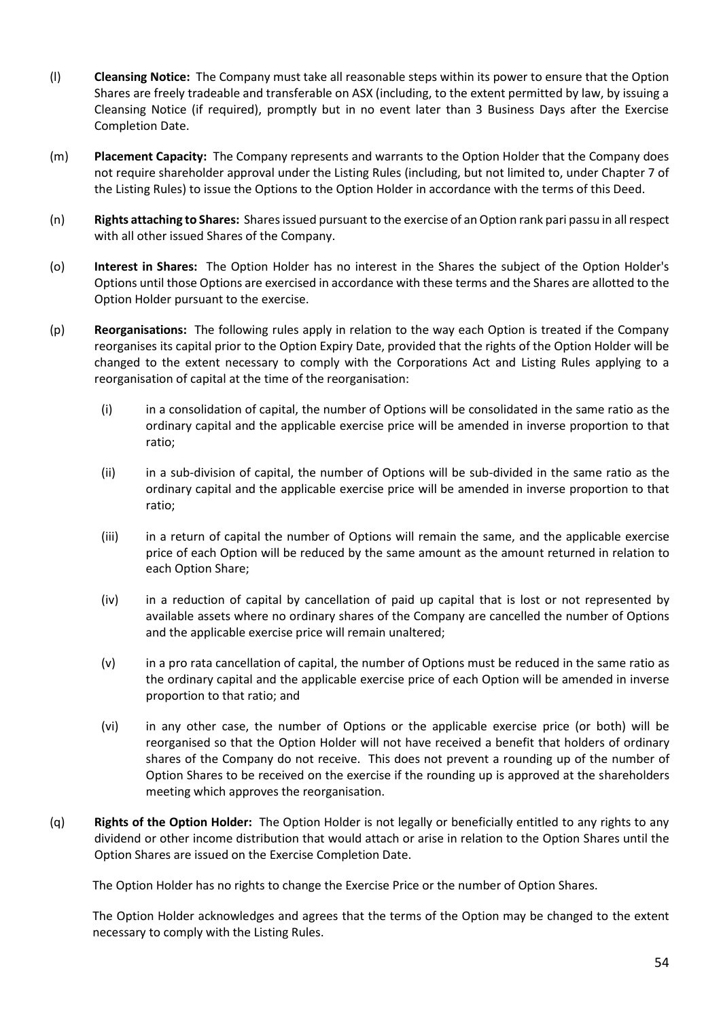- (l) **Cleansing Notice:** The Company must take all reasonable steps within its power to ensure that the Option Shares are freely tradeable and transferable on ASX (including, to the extent permitted by law, by issuing a Cleansing Notice (if required), promptly but in no event later than 3 Business Days after the Exercise Completion Date.
- (m) **Placement Capacity:** The Company represents and warrants to the Option Holder that the Company does not require shareholder approval under the Listing Rules (including, but not limited to, under Chapter 7 of the Listing Rules) to issue the Options to the Option Holder in accordance with the terms of this Deed.
- (n) **Rights attaching to Shares:** Shares issued pursuant to the exercise of an Option rank pari passu in all respect with all other issued Shares of the Company.
- (o) **Interest in Shares:** The Option Holder has no interest in the Shares the subject of the Option Holder's Options until those Options are exercised in accordance with these terms and the Shares are allotted to the Option Holder pursuant to the exercise.
- (p) **Reorganisations:** The following rules apply in relation to the way each Option is treated if the Company reorganises its capital prior to the Option Expiry Date, provided that the rights of the Option Holder will be changed to the extent necessary to comply with the Corporations Act and Listing Rules applying to a reorganisation of capital at the time of the reorganisation:
	- (i) in a consolidation of capital, the number of Options will be consolidated in the same ratio as the ordinary capital and the applicable exercise price will be amended in inverse proportion to that ratio;
	- (ii) in a sub-division of capital, the number of Options will be sub-divided in the same ratio as the ordinary capital and the applicable exercise price will be amended in inverse proportion to that ratio;
	- (iii) in a return of capital the number of Options will remain the same, and the applicable exercise price of each Option will be reduced by the same amount as the amount returned in relation to each Option Share;
	- (iv) in a reduction of capital by cancellation of paid up capital that is lost or not represented by available assets where no ordinary shares of the Company are cancelled the number of Options and the applicable exercise price will remain unaltered;
	- (v) in a pro rata cancellation of capital, the number of Options must be reduced in the same ratio as the ordinary capital and the applicable exercise price of each Option will be amended in inverse proportion to that ratio; and
	- (vi) in any other case, the number of Options or the applicable exercise price (or both) will be reorganised so that the Option Holder will not have received a benefit that holders of ordinary shares of the Company do not receive. This does not prevent a rounding up of the number of Option Shares to be received on the exercise if the rounding up is approved at the shareholders meeting which approves the reorganisation.
- (q) **Rights of the Option Holder:** The Option Holder is not legally or beneficially entitled to any rights to any dividend or other income distribution that would attach or arise in relation to the Option Shares until the Option Shares are issued on the Exercise Completion Date.

The Option Holder has no rights to change the Exercise Price or the number of Option Shares.

The Option Holder acknowledges and agrees that the terms of the Option may be changed to the extent necessary to comply with the Listing Rules.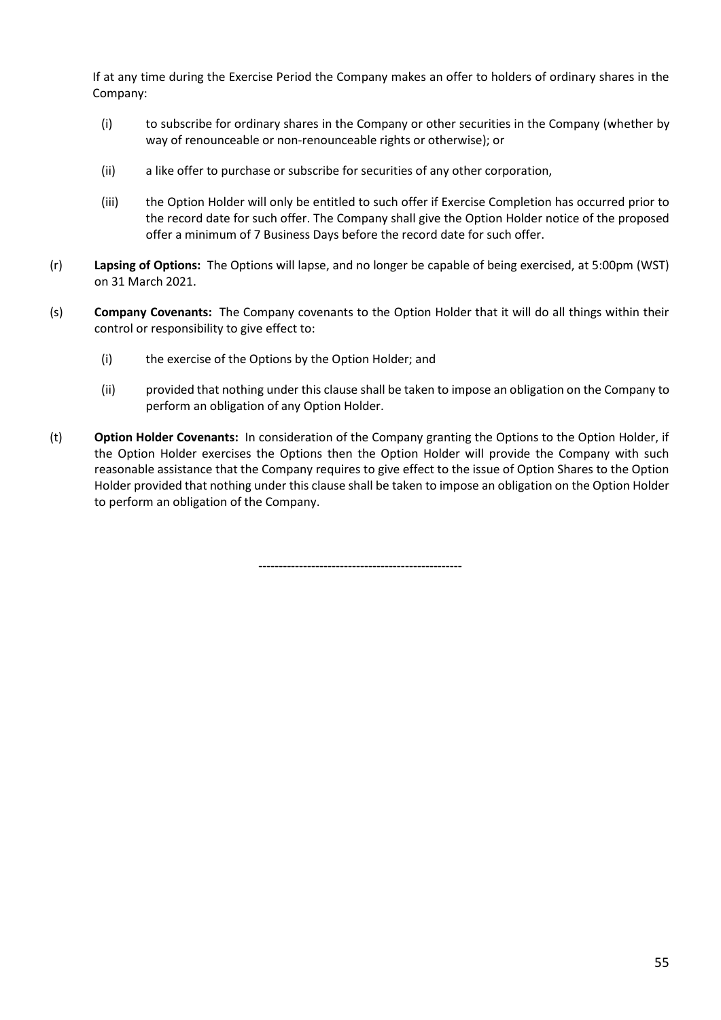If at any time during the Exercise Period the Company makes an offer to holders of ordinary shares in the Company:

- (i) to subscribe for ordinary shares in the Company or other securities in the Company (whether by way of renounceable or non-renounceable rights or otherwise); or
- (ii) a like offer to purchase or subscribe for securities of any other corporation,
- (iii) the Option Holder will only be entitled to such offer if Exercise Completion has occurred prior to the record date for such offer. The Company shall give the Option Holder notice of the proposed offer a minimum of 7 Business Days before the record date for such offer.
- (r) **Lapsing of Options:** The Options will lapse, and no longer be capable of being exercised, at 5:00pm (WST) on 31 March 2021.
- (s) **Company Covenants:** The Company covenants to the Option Holder that it will do all things within their control or responsibility to give effect to:
	- (i) the exercise of the Options by the Option Holder; and
	- (ii) provided that nothing under this clause shall be taken to impose an obligation on the Company to perform an obligation of any Option Holder.
- (t) **Option Holder Covenants:** In consideration of the Company granting the Options to the Option Holder, if the Option Holder exercises the Options then the Option Holder will provide the Company with such reasonable assistance that the Company requires to give effect to the issue of Option Shares to the Option Holder provided that nothing under this clause shall be taken to impose an obligation on the Option Holder to perform an obligation of the Company.

**--------------------------------------------------**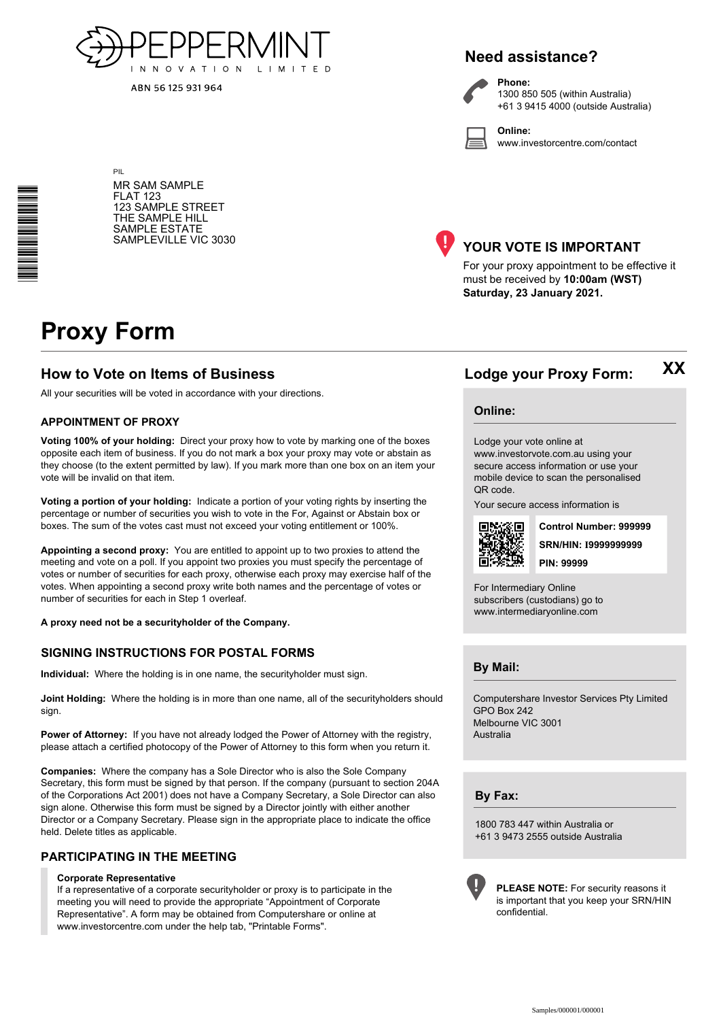

ABN 56 125 931 964

# **Need assistance?**

**Phone:**



1300 850 505 (within Australia) +61 3 9415 4000 (outside Australia)

**Online:** www.investorcentre.com/contact

MR SAM SAMPLE FLAT 123 123 SAMPLE STREET THE SAMPLE HILL SAMPLE ESTATE SAMPLEVILLE VIC 3030



# **YOUR VOTE IS IMPORTANT**

For your proxy appointment to be effective it must be received by **10:00am (WST) Saturday, 23 January 2021.**

# **Proxy Form**

\*<br>\* London<br>Timografia

PIL

# **How to Vote on Items of Business Lodge your Proxy Form:**

All your securities will be voted in accordance with your directions.

#### **APPOINTMENT OF PROXY**

**Voting 100% of your holding:** Direct your proxy how to vote by marking one of the boxes opposite each item of business. If you do not mark a box your proxy may vote or abstain as they choose (to the extent permitted by law). If you mark more than one box on an item your vote will be invalid on that item.

**Voting a portion of your holding:** Indicate a portion of your voting rights by inserting the percentage or number of securities you wish to vote in the For, Against or Abstain box or boxes. The sum of the votes cast must not exceed your voting entitlement or 100%.

**Appointing a second proxy:** You are entitled to appoint up to two proxies to attend the meeting and vote on a poll. If you appoint two proxies you must specify the percentage of votes or number of securities for each proxy, otherwise each proxy may exercise half of the votes. When appointing a second proxy write both names and the percentage of votes or number of securities for each in Step 1 overleaf.

**A proxy need not be a securityholder of the Company.**

#### **SIGNING INSTRUCTIONS FOR POSTAL FORMS**

**Individual:** Where the holding is in one name, the securityholder must sign.

**Joint Holding:** Where the holding is in more than one name, all of the securityholders should sign.

**Power of Attorney:** If you have not already lodged the Power of Attorney with the registry, please attach a certified photocopy of the Power of Attorney to this form when you return it.

**Companies:** Where the company has a Sole Director who is also the Sole Company Secretary, this form must be signed by that person. If the company (pursuant to section 204A of the Corporations Act 2001) does not have a Company Secretary, a Sole Director can also sign alone. Otherwise this form must be signed by a Director jointly with either another Director or a Company Secretary. Please sign in the appropriate place to indicate the office held. Delete titles as applicable.

#### **PARTICIPATING IN THE MEETING**

#### **Corporate Representative**

If a representative of a corporate securityholder or proxy is to participate in the meeting you will need to provide the appropriate "Appointment of Corporate Representative". A form may be obtained from Computershare or online at www.investorcentre.com under the help tab, "Printable Forms".

**Online:**

#### Lodge your vote online at

www.investorvote.com.au using your secure access information or use your mobile device to scan the personalised QR code.

Your secure access information is



**SRN/HIN: I9999999999 Control Number: 999999 PIN: 99999**

**XX**

For Intermediary Online subscribers (custodians) go to www.intermediaryonline.com

**By Mail:**

Computershare Investor Services Pty Limited GPO Box 242 Melbourne VIC 3001 Australia

**By Fax:**

1800 783 447 within Australia or +61 3 9473 2555 outside Australia



**PLEASE NOTE:** For security reasons it is important that you keep your SRN/HIN confidential.